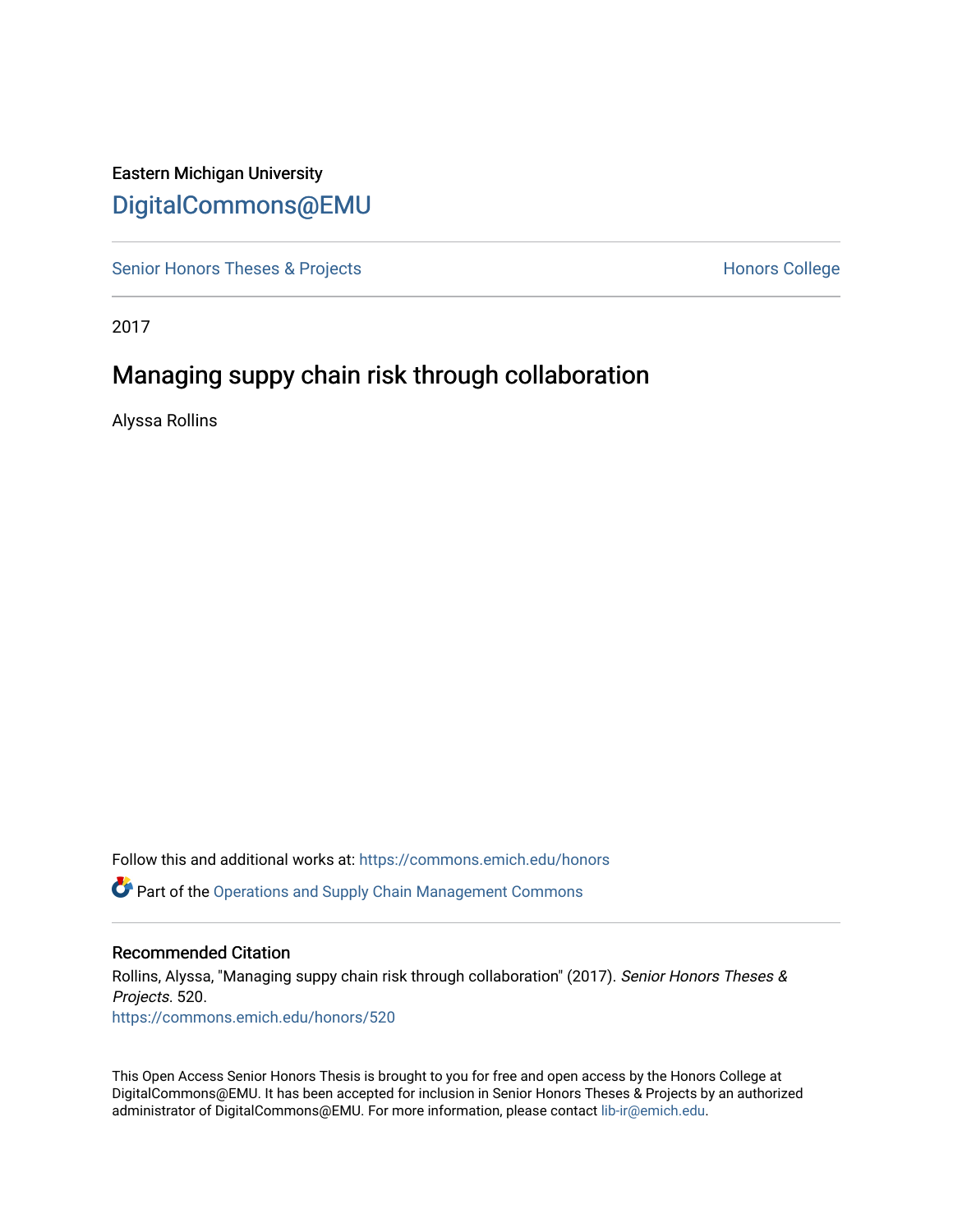# Eastern Michigan University [DigitalCommons@EMU](https://commons.emich.edu/)

[Senior Honors Theses & Projects](https://commons.emich.edu/honors) **Honors College** Honors College

2017

# Managing suppy chain risk through collaboration

Alyssa Rollins

Follow this and additional works at: [https://commons.emich.edu/honors](https://commons.emich.edu/honors?utm_source=commons.emich.edu%2Fhonors%2F520&utm_medium=PDF&utm_campaign=PDFCoverPages) Part of the [Operations and Supply Chain Management Commons](http://network.bepress.com/hgg/discipline/1229?utm_source=commons.emich.edu%2Fhonors%2F520&utm_medium=PDF&utm_campaign=PDFCoverPages) 

#### Recommended Citation

Rollins, Alyssa, "Managing suppy chain risk through collaboration" (2017). Senior Honors Theses & Projects. 520. [https://commons.emich.edu/honors/520](https://commons.emich.edu/honors/520?utm_source=commons.emich.edu%2Fhonors%2F520&utm_medium=PDF&utm_campaign=PDFCoverPages)

This Open Access Senior Honors Thesis is brought to you for free and open access by the Honors College at DigitalCommons@EMU. It has been accepted for inclusion in Senior Honors Theses & Projects by an authorized administrator of DigitalCommons@EMU. For more information, please contact [lib-ir@emich.edu](mailto:lib-ir@emich.edu).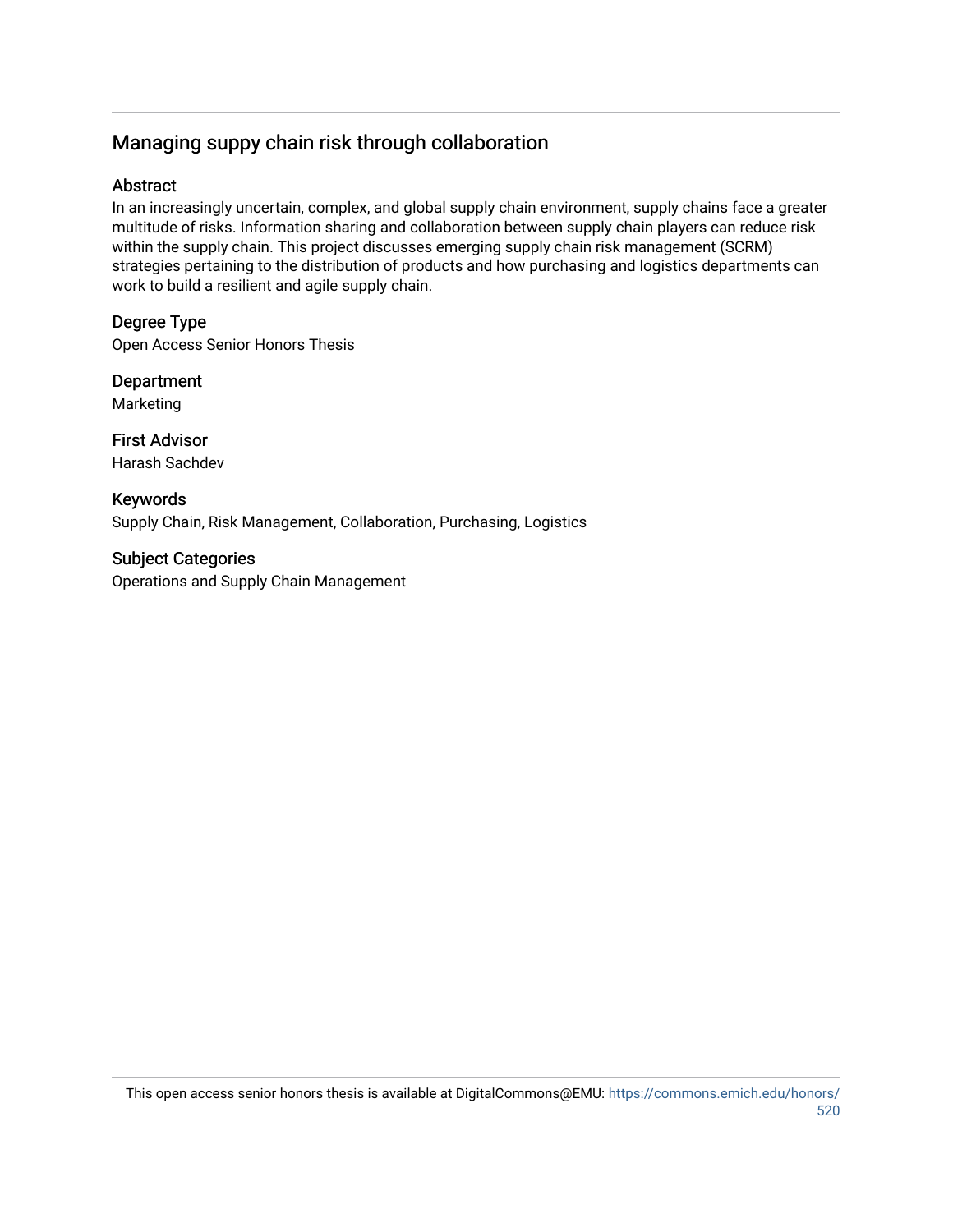# Managing suppy chain risk through collaboration

# Abstract

In an increasingly uncertain, complex, and global supply chain environment, supply chains face a greater multitude of risks. Information sharing and collaboration between supply chain players can reduce risk within the supply chain. This project discusses emerging supply chain risk management (SCRM) strategies pertaining to the distribution of products and how purchasing and logistics departments can work to build a resilient and agile supply chain.

# Degree Type

Open Access Senior Honors Thesis

Department Marketing

First Advisor Harash Sachdev

Keywords Supply Chain, Risk Management, Collaboration, Purchasing, Logistics

Subject Categories Operations and Supply Chain Management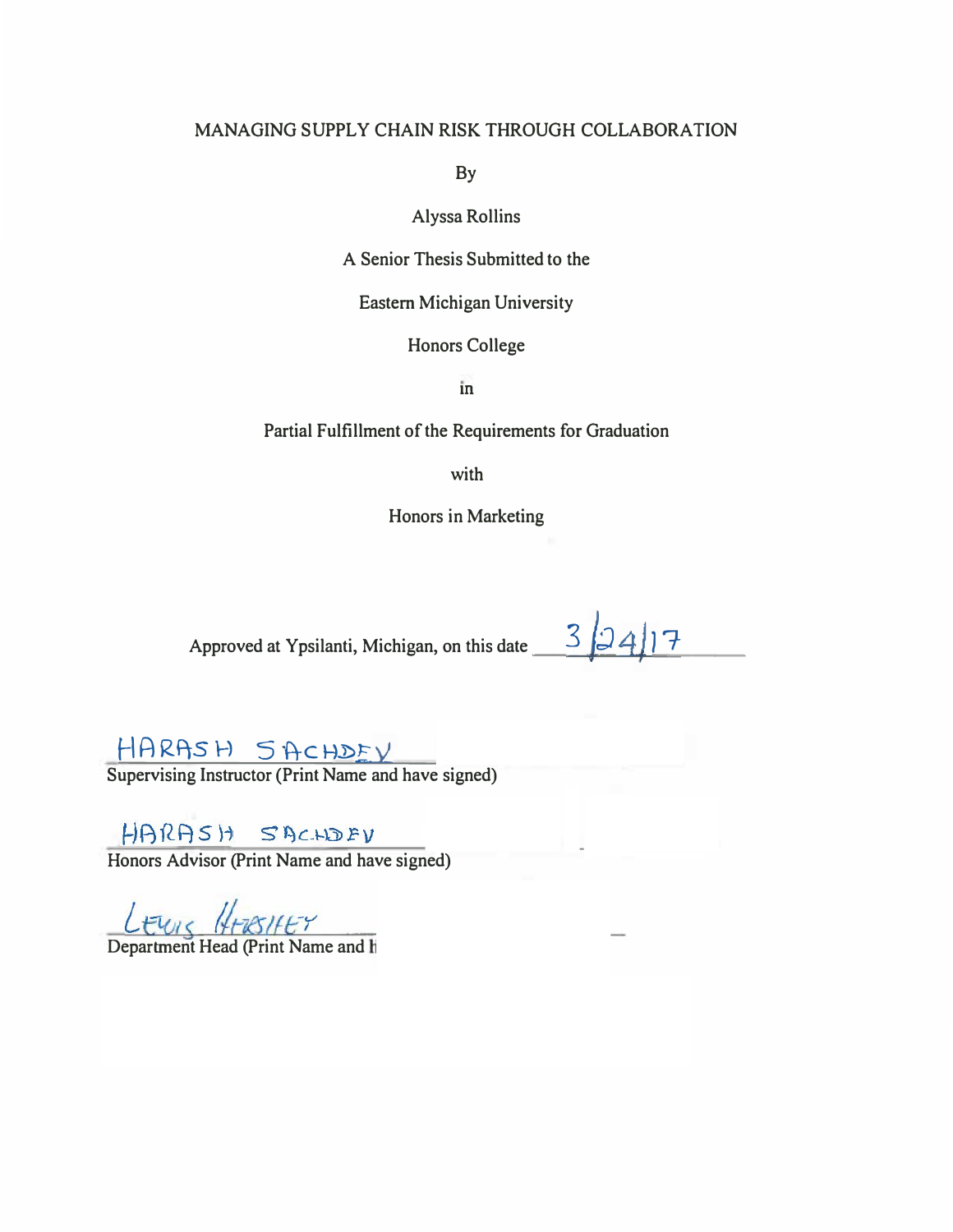# **MANAGING SUPPLY CHAIN RISK THROUGH COLLABORATION**

**By** 

**Alyssa Rollins** 

**A Senior Thesis Submitted to the** 

**Eastern Michigan University** 

**Honors College** 

m

**Partial Fulfillment of the Requirements for Graduation** 

**with** 

**Honors in Marketing** 

Approved at Ypsilanti, Michigan, on this date 32417

# HARASH SACHDEV

**Supervising Instructor (Print Name and have signed)** 

HARASH SACHDEV

**Honors Advisor (Print Name and have signed)** 

Lewis HERSHEY<br>Department Head (Print Name and h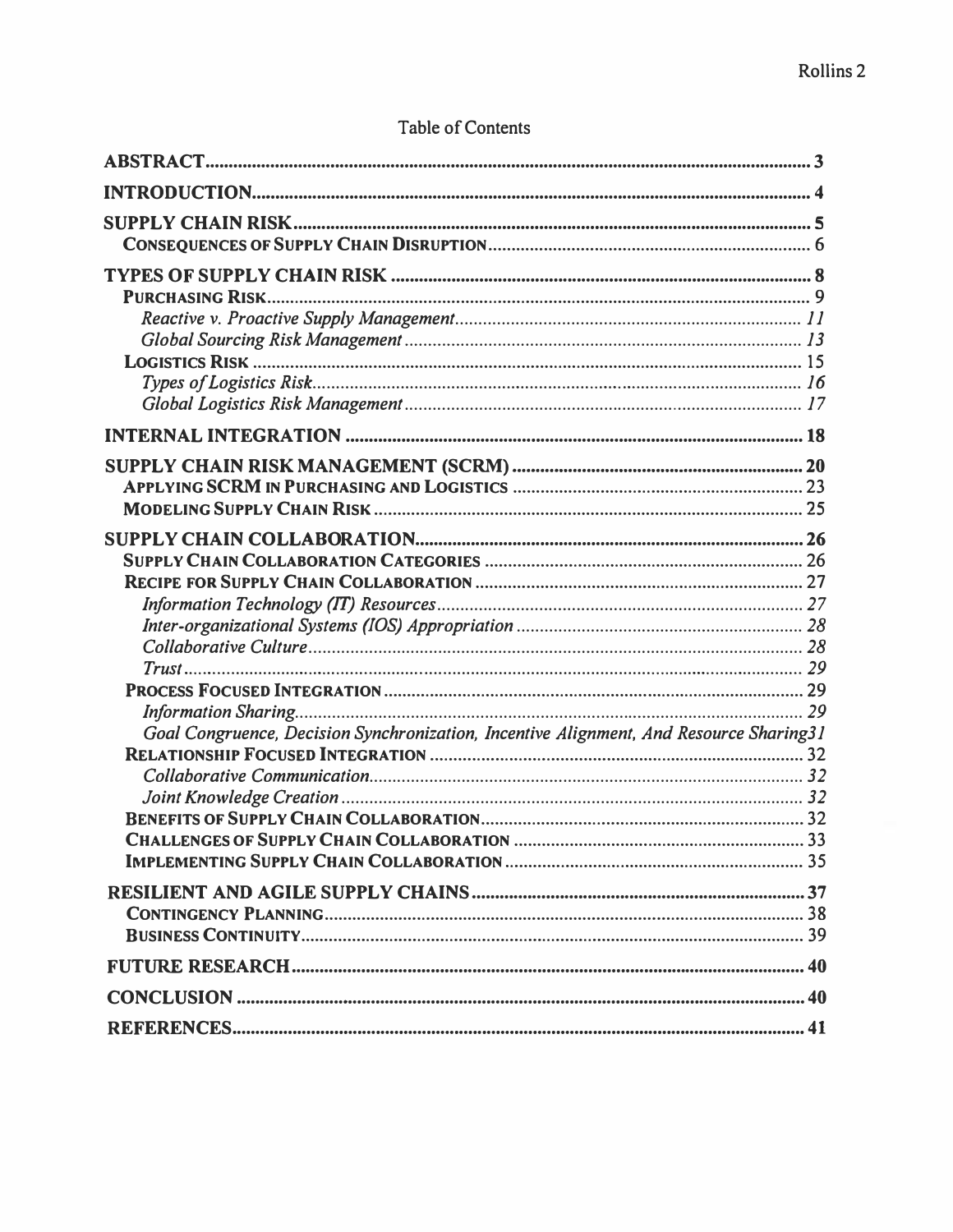# **Table of Contents**

| Goal Congruence, Decision Synchronization, Incentive Alignment, And Resource Sharing31 |  |
|----------------------------------------------------------------------------------------|--|
|                                                                                        |  |
|                                                                                        |  |
|                                                                                        |  |
|                                                                                        |  |
|                                                                                        |  |
|                                                                                        |  |
|                                                                                        |  |
|                                                                                        |  |
|                                                                                        |  |
|                                                                                        |  |
|                                                                                        |  |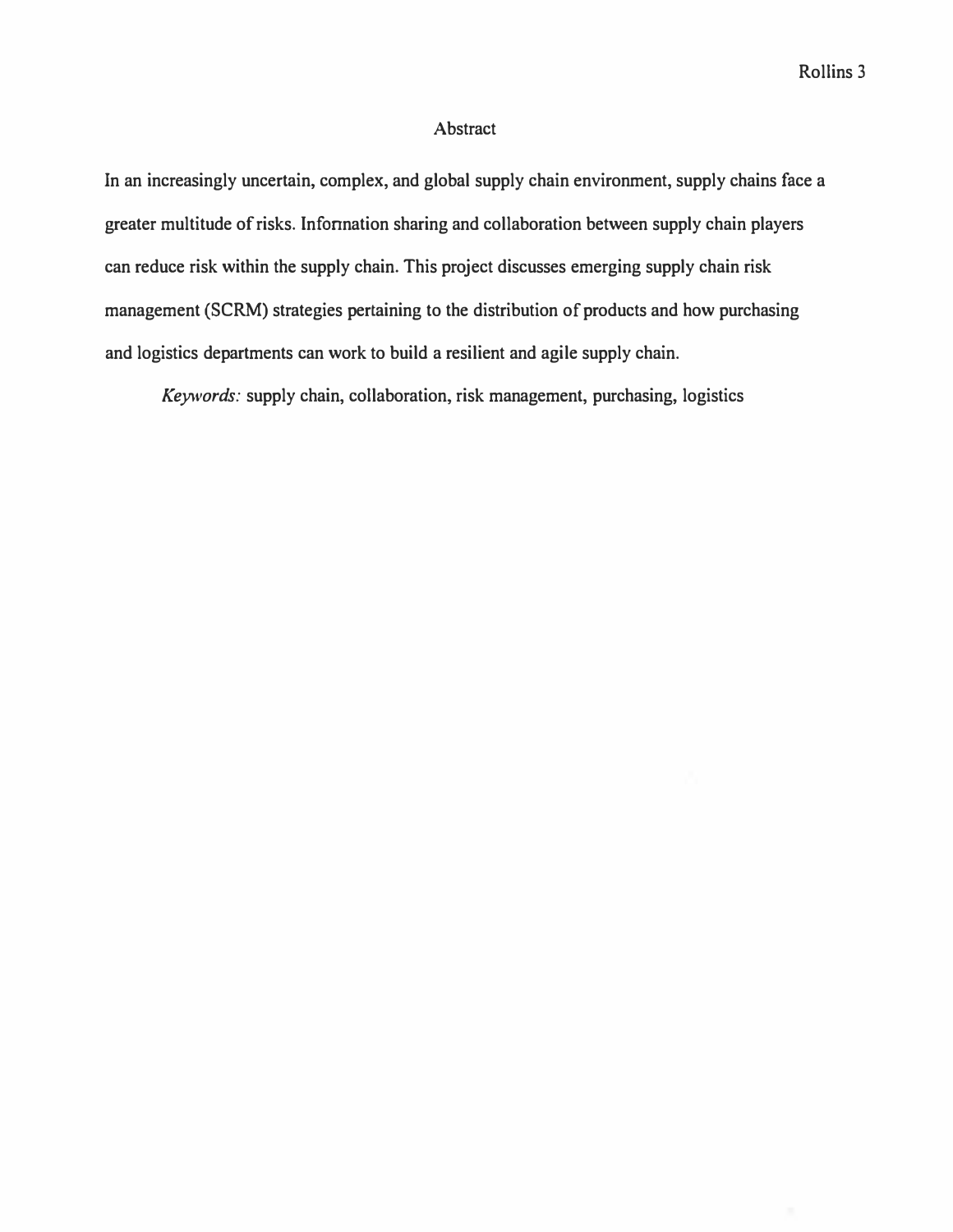# **Abstract**

**In an increasingly uncertain, complex, and global supply chain environment, supply chains face a greater multitude of risks. Infonnation sharing and collaboration between supply chain players can reduce risk within the supply chain. This project discusses emerging supply chain risk management (SCRM) strategies pertaining to the distribution of products and how purchasing and logistics departments can work to build a resilient and agile supply chain.** 

*Keywords:* **supply chain, collaboration, risk management, purchasing, logistics**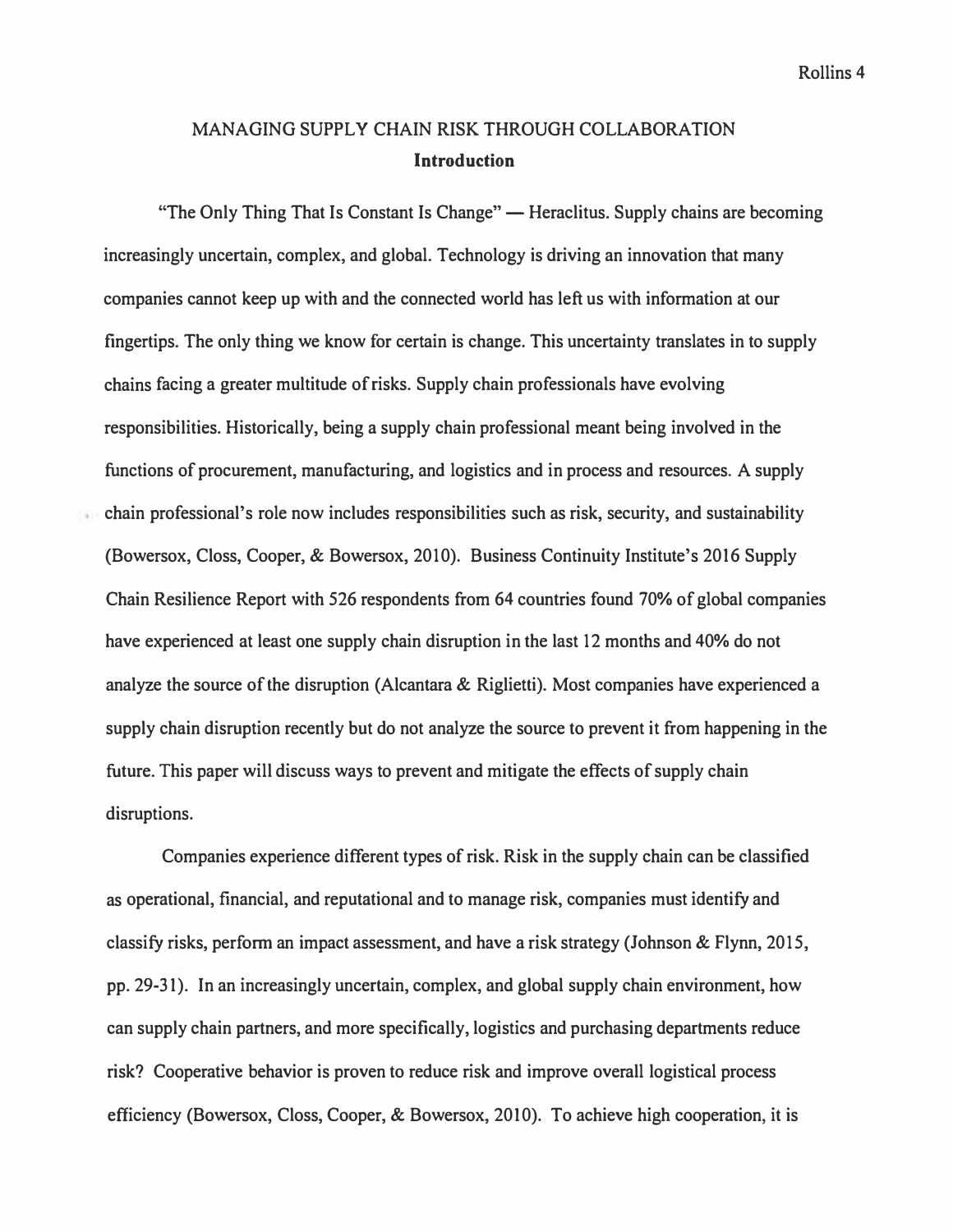# **MANAGING SUPPLY CHAIN RISK THROUGH COLLABORATION Introduction**

"The Only Thing That Is Constant Is Change" — Heraclitus. Supply chains are becoming **increasingly uncertain, complex, and global. Technology is driving an innovation that many companies cannot keep up with and the connected world has left us with information at our fingertips. The only thing we know for certain is change. This uncertainty translates in to supply chains facing a greater multitude of risks. Supply chain professionals have evolving responsibilities. Historically, being a supply chain professional meant being involved in the functions of procurement, manufacturing, and logistics and in process and resources. A supply chain professional's role now includes responsibilities such as risk, security, and sustainability (Bowersox, Closs, Cooper, & Bowersox, 2010). Business Continuity Institute's 2016 Supply Chain Resilience Report with 526 respondents from 64 countries found 70% of global companies have experienced at least one supply chain disruption in the last 12 months and 40% do not analyze the source of the disruption (Alcantara & Riglietti). Most companies have experienced a supply chain disruption recently but do not analyze the source to prevent it from happening in the future. This paper will discuss ways to prevent and mitigate the effects of supply chain disruptions.** 

**Companies experience different types of risk. Risk in the supply chain can be classified as operational, financial, and reputational and to manage risk, companies must identify and classify risks, perform an impact assessment, and have a risk strategy (Johnson & Flynn, 2015, pp. 29-31 ). In an increasingly uncertain, complex, and global supply chain environment, how can supply chain partners, and more specifically, logistics and purchasing departments reduce risk? Cooperative behavior is proven to reduce risk and improve overall logistical process efficiency (Bowersox, Closs, Cooper, & Bowersox, 2010). To achieve high cooperation, it is**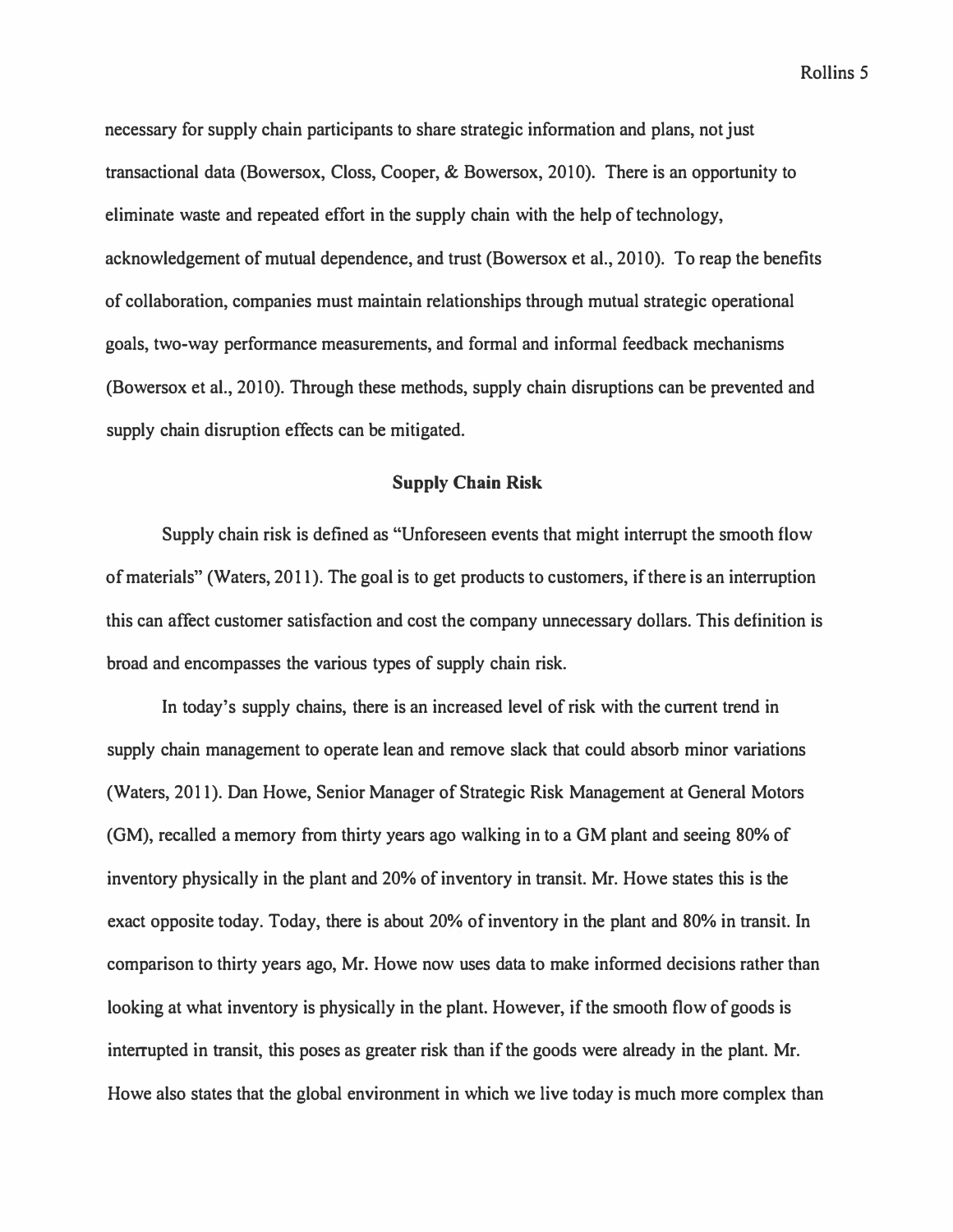necessary for supply chain participants to share strategic information and plans, not just transactional data (Bowersox, Closs, Cooper, & Bowersox, 2010). There is an opportunity to eliminate waste and repeated effort in the supply chain with the help of technology, acknowledgement of mutual dependence, and trust (Bowersox et al., 2010). To reap the benefits of collaboration, companies must maintain relationships through mutual strategic operational goals, two-way performance measurements, and formal and informal feedback mechanisms (Bowersox et al., 2010). Through these methods, supply chain disruptions can be prevented and supply chain disruption effects can be mitigated.

# **Supply Chain Risk**

Supply chain risk is defined as "Unforeseen events that might interrupt the smooth flow of materials" (Waters, 2011). The goal is to get products to customers, if there is an interruption this can affect customer satisfaction and cost the company unnecessary dollars. This definition is broad and encompasses the various types of supply chain risk.

In today's supply chains, there is an increased level of risk with the current trend in supply chain management to operate lean and remove slack that could absorb minor variations (Waters, 2011). Dan Howe, Senior Manager of Strategic Risk Management at General Motors (GM), recalled a memory from thirty years ago walking in to a GM plant and seeing 80% of inventory physically in the plant and 20% of inventory in transit. Mr. Howe states this is the exact opposite today. Today, there is about 20% of inventory in the plant and 80% in transit. In comparison to thirty years ago, Mr. Howe now uses data to make informed decisions rather than looking at what inventory is physically in the plant. However, if the smooth flow of goods is interrupted in transit, this poses as greater risk than if the goods were already in the plant. Mr. Howe also states that the global environment in which we live today is much more complex than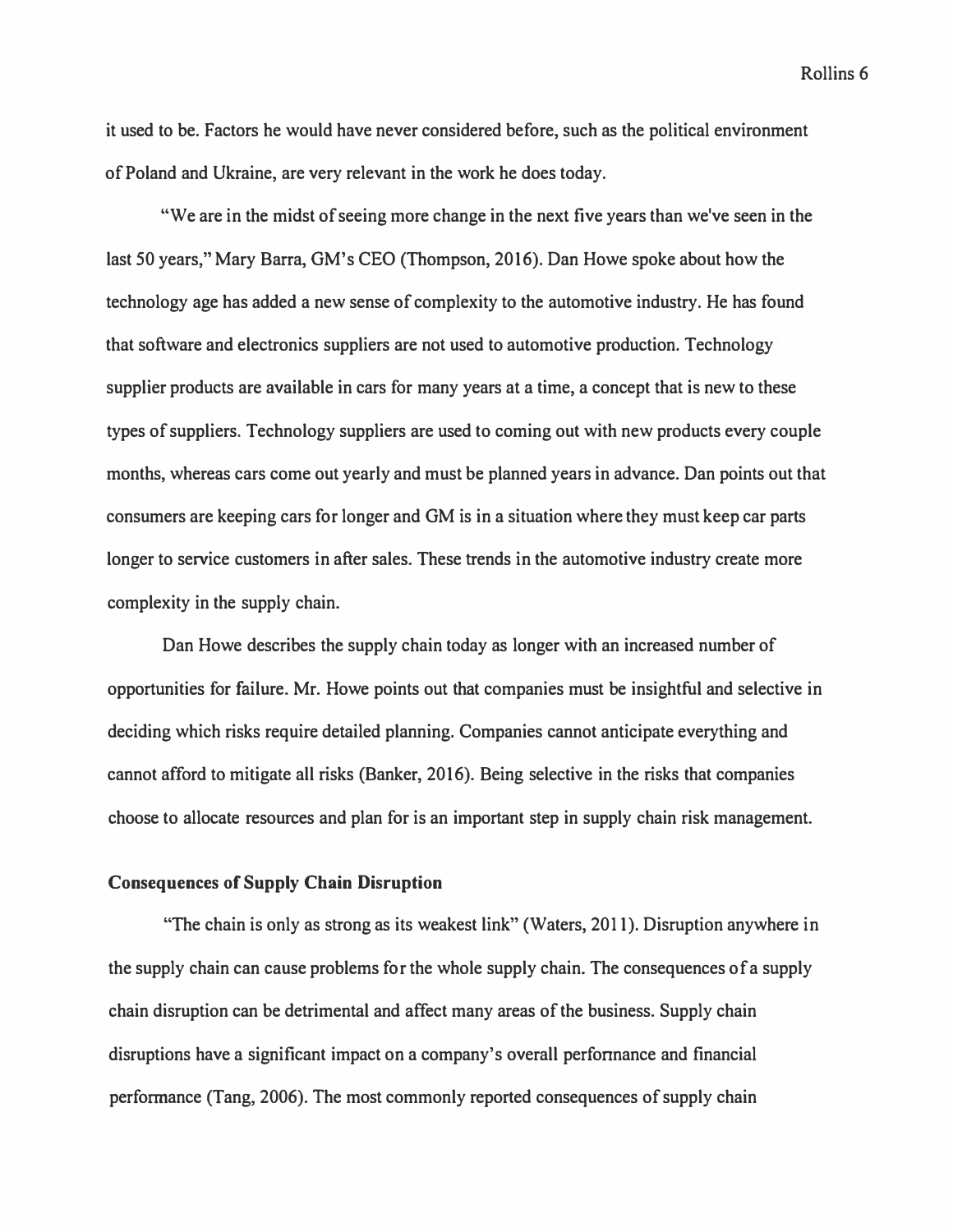*it used to be. Factors he would have never considered before, such as the political environment of Poland and Ukraine, are very relevant in the work he does today.* 

"We are in the midst of seeing more change in the next five years than we've seen in the last 50 years," Mary Barra, GM's CEO (Thompson, 2016). Dan Howe spoke about how the *technology age has added a new sense of complexity to the automotive industry. He has found that software and electronics suppliers are not used to automotive production. Technology supplier products are available in cars for many years at a time, a concept that is new to these types of suppliers. Technology suppliers are used to coming out with new products every couple months, whereas cars come out yearly and must be planned years in advance. Dan points out that consumers are keeping cars for longer and GM is in a situation where they must keep car parts*  longer to service customers in after sales. These trends in the automotive industry create more *complexity in the supply chain.* 

*Dan Howe describes the supply chain today as longer with an increased number of opportunities for failure. Mr. Howe points out that companies must be insightful and selective in deciding which risks require detailed planning. Companies cannot anticipate everything and cannot afford to mitigate all risks (Banker, 2016). Being selective in the risks that companies choose to allocate resources and plan for is an important step in supply chain risk management.* 

# **Consequences of Supply Chain Disruption**

*"The chain is only as strong as its weakest link" (Waters, 2011). Disruption anywhere in the supply chain can cause problems for the whole supply chain. The consequences of a supply chain disruption can be detrimental and affect many areas of the business. Supply chain disruptions have a significant impact on a company's overall perfonnance and financial perfonnance (Tang, 2006). The most commonly reported consequences of supply chain*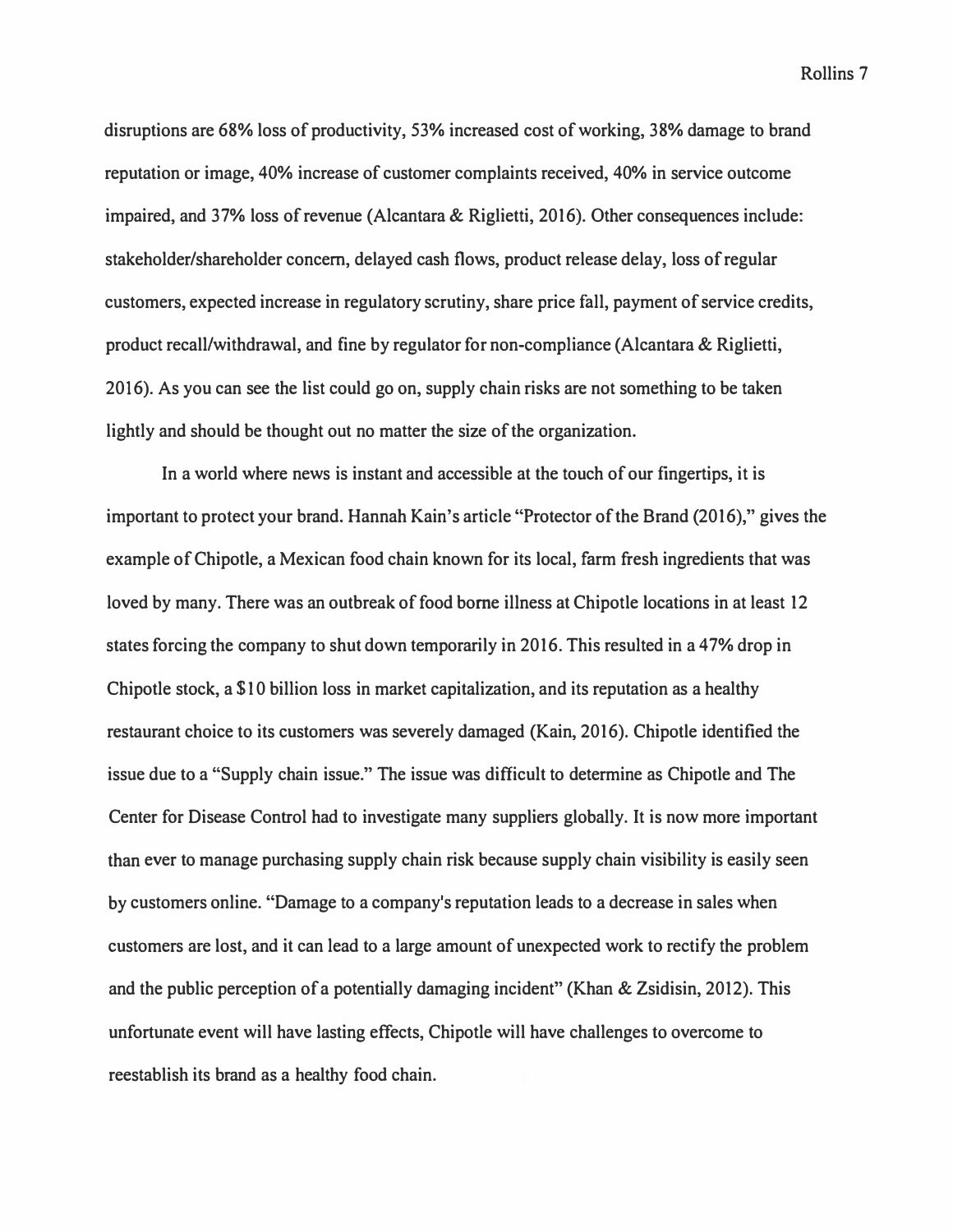**disruptions are 68% loss of productivity, 53% increased cost of working, 38% damage to brand reputation or image, 40% increase of customer complaints received, 40% in service outcome impaired, and 37% loss of revenue (Alcantara & Riglietti, 2016). Other consequences include: stakeholder/shareholder concern, delayed cash flows, product release delay, loss of regular customers, expected increase in regulatory scrutiny, share price fall, payment of service credits, product recall/withdrawal, and fine by regulator for non-compliance (Alcantara & Riglietti, 2016). As you can see the list could go on, supply chain risks are not something to be taken lightly and should be thought out no matter the size of the organization.** 

**In a world where news is instant and accessible at the touch of our fingertips, it is important to protect your brand. Hannah Kain's article "Protector of the Brand (2016)," gives the**  example of Chipotle, a Mexican food chain known for its local, farm fresh ingredients that was **loved by many. There was an outbreak of food borne illness at Chipotle locations in at least 12 states forcing the company to shut down temporarily in 2016. This resulted in a 47% drop in Chipotle stock, a \$10 billion loss in market capitalization, and its reputation as a healthy restaurant choice to its customers was severely damaged (Kain, 2016). Chipotle identified the issue due to a "Supply chain issue." The issue was difficult to determine as Chipotle and The Center for Disease Control had to investigate many suppliers globally. It is now more important than ever to manage purchasing supply chain risk because supply chain visibility is easily seen by customers online. "Damage to a company's reputation leads to a decrease in sales when customers are lost, and it can lead to a large amount of unexpected work to rectify the problem and the public perception of a potentially damaging incident" (Khan & Zsidisin, 2012). This unfortunate event will have lasting effects, Chipotle will have challenges to overcome to reestablish its brand as a healthy food chain.**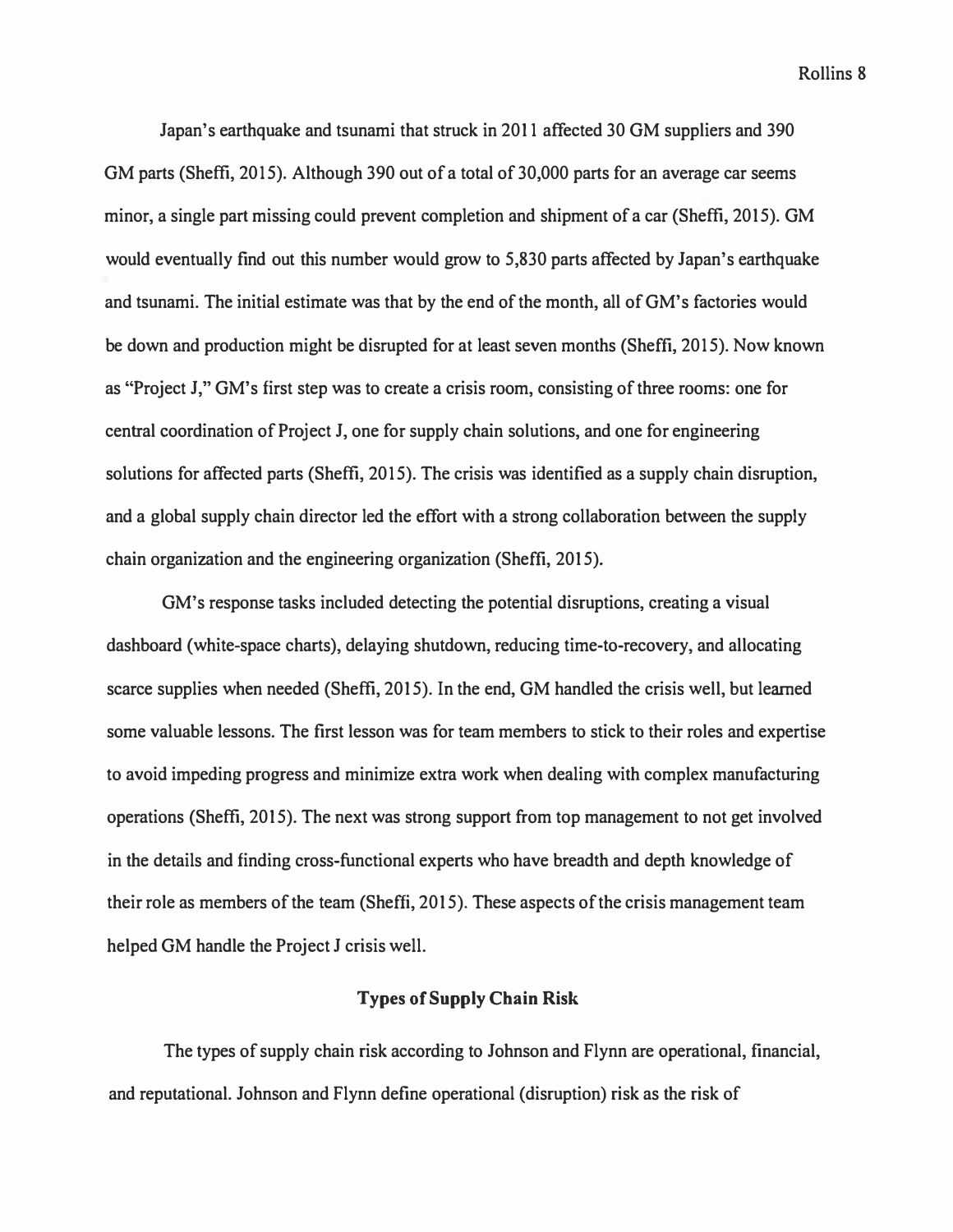**Japan's earthquake and tsunami that struck in 2011 affected 30 GM suppliers and 390 GM parts (Sheffi, 2015). Although 390 out of a total of 30,000 parts for an average car seems minor, a single part missing could prevent completion and shipment of a car (Sheffi, 2015). GM would eventually find out this number would grow to 5,830 parts affected by Japan's earthquake and tsunami. The initial estimate was that by the end of the month, all of GM's factories would be down and production might be disrupted for at least seven months (Sheffi, 2015). Now known as "Project J," GM's first step was to create a crisis room, consisting of three rooms: one for central coordination of Project J, one for supply chain solutions, and one for engineering solutions for affected parts (Sheffi, 2015). The crisis was identified as a supply chain disruption, and a global supply chain director led the effort with a strong collaboration between the supply chain organization and the engineering organization (Sheffi, 2015).** 

**GM's response tasks included detecting the potential disruptions, creating a visual dashboard (white-space charts), delaying shutdown, reducing time-to-recovery, and allocating scarce supplies when needed (Sheffi, 2015). In the end, GM handled the crisis well, but learned some valuable lessons. The first lesson was for team members to stick to their roles and expertise to avoid impeding progress and minimize extra work when dealing with complex manufacturing operations (Sheffi, 2015). The next was strong support from top management to not get involved in the details and finding cross-functional experts who have breadth and depth knowledge of their role as members of the team (Sheffi, 2015). These aspects of the crisis management team helped GM handle the Project J crisis well.** 

# **Types of Supply Chain Risk**

**The types of supply chain risk according to Johnson and Flynn are operational, financial, and reputational. Johnson and Flynn define operational (disruption) risk as the risk of**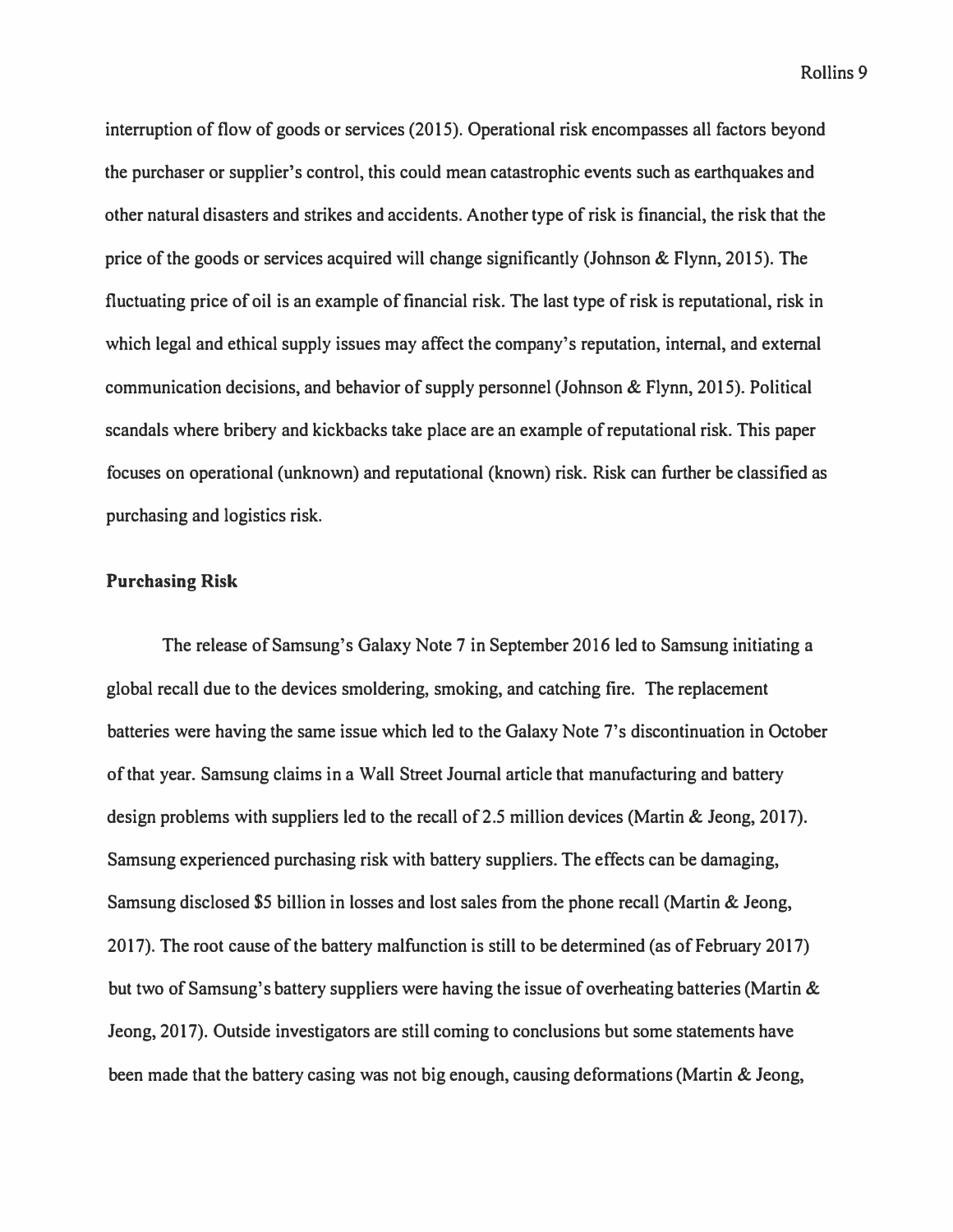*interruption of flow of goods or services (2015). Operational risk encompasses all factors beyond the purchaser or supplier's control, this could mean catastrophic events such as earthquakes and other natural disasters and strikes and accidents. Another type of risk is financial, the risk that the price of the goods or services acquired will change significantly (Johnson & Flynn, 2015). The fluctuating price of oil is an example of financial risk. The last type of risk is reputational, risk in*  which legal and ethical supply issues may affect the company's reputation, internal, and external *communication decisions, and behavior of supply personnel (Johnson & Flynn, 2015). Political scandals where bribery and kickbacks take place are an example of reputational risk. This paper focuses on operational (unknown) and reputational (known) risk. Risk can further be classified as purchasing and logistics risk.* 

# **Purchasing Risk**

*The release of Samsung's Galaxy Note 7 in September 2016 led to Samsung initiating a global recall due to the devices smoldering, smoking, and catching fire. The replacement batteries were having the same issue which led to the Galaxy Note 7's discontinuation in October of that year. Samsung claims in a Wall Street Journal article that manufacturing and battery design problems with suppliers led to the recall of 2.5 million devices (Martin & Jeong, 2017). Samsung experienced purchasing risk with battery suppliers. The effects can be damaging, Samsung disclosed \$5 billion in losses and lost sales from the phone recall (Martin & Jeong,*  2017). The root cause of the battery malfunction is still to be determined (as of February 2017) *but two of Samsung's battery suppliers were having the issue of overheating batteries (Martin & Jeong, 2017). Outside investigators are still coming to conclusions but some statements have been made that the battery casing was not big enough, causing deformations (Martin & Jeong,*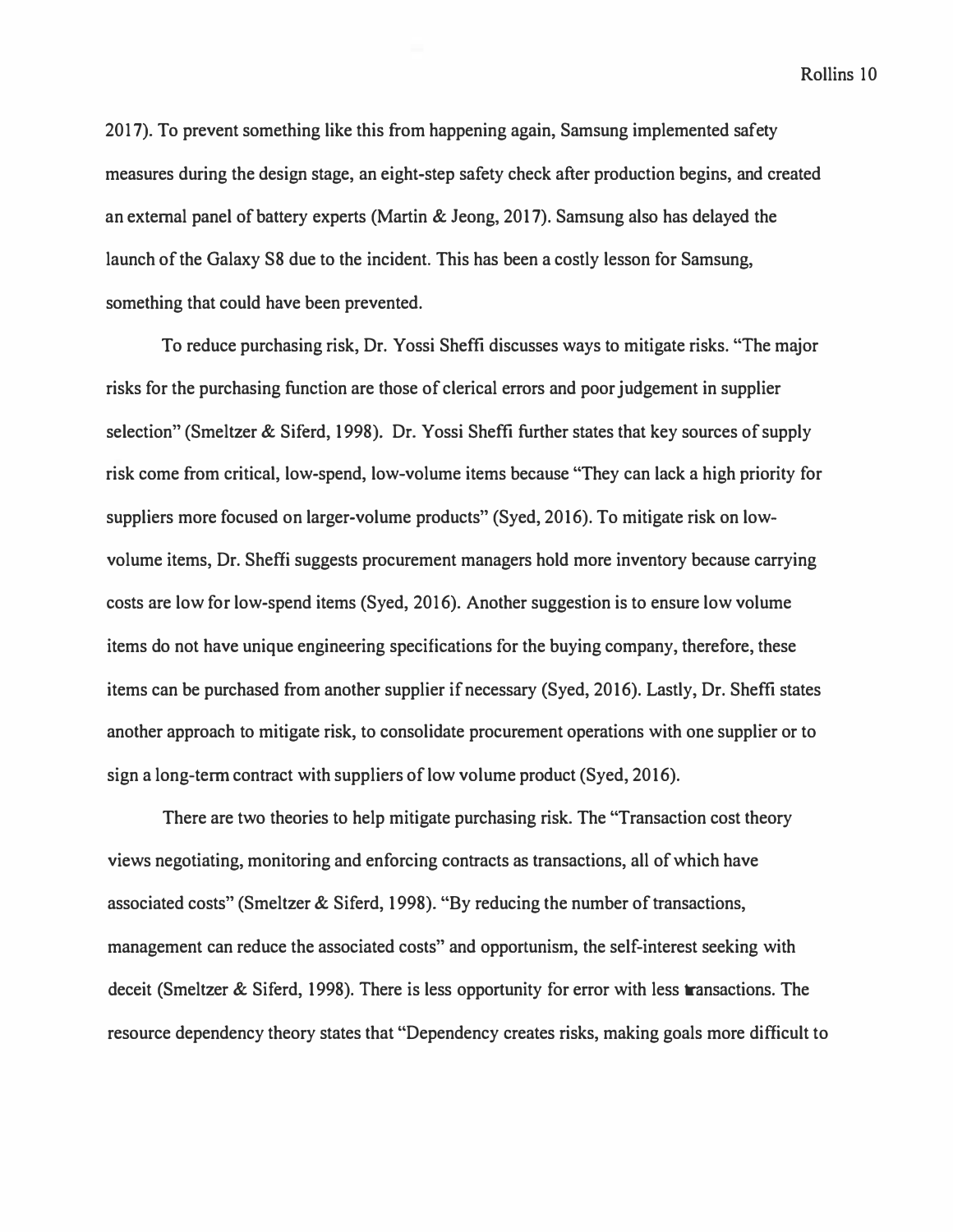*2017). To prevent something like this from happening again, Samsung implemented safety measures during the design stage, an eight-step safety check after production begins, and created an external panel of battery experts (Martin & Jeong, 2017). Samsung also has delayed the launch of the Galaxy S8 due to the incident. This has been a costly lesson for Samsung, something that could have been prevented.* 

*To reduce purchasing risk, Dr. Yossi Sheffi discusses ways to mitigate risks. "The major risks for the purchasing function are those of clerical errors and poor judgement in supplier selection" (Smeltzer & Siferd, 1998). Dr. Yossi Sheffi further states that key sources of supply risk come from critical, low-spend, low-volume items because "They can lack a high priority for suppliers more focused on larger-volume products" (Syed, 2016). To mitigate risk on lowvolume items, Dr. Sheffi suggests procurement managers hold more inventory because carrying costs are low for low-spend items (Syed, 2016). Another suggestion is to ensure low volume items do not have unique engineering specifications for the buying company, therefore, these items can be purchased from another supplier if necessary (Syed, 2016). Lastly, Dr. Sheffi states another approach to mitigate risk, to consolidate procurement operations with one supplier or to sign a long-term contract with suppliers of low volume product (Syed, 2016).* 

*There are two theories to help mitigate purchasing risk. The "Transaction cost theory views negotiating, monitoring and enforcing contracts as transactions, all of which have associated costs" (Smeltzer & Siferd, 1998). "By reducing the number of transactions, management can reduce the associated costs" and opportunism, the self-interest seeking with deceit (Smeltzer & Siferd, 1998). There is less opportunity for error with less transactions. The resource dependency theory states that "Dependency creates risks, making goals more difficult to*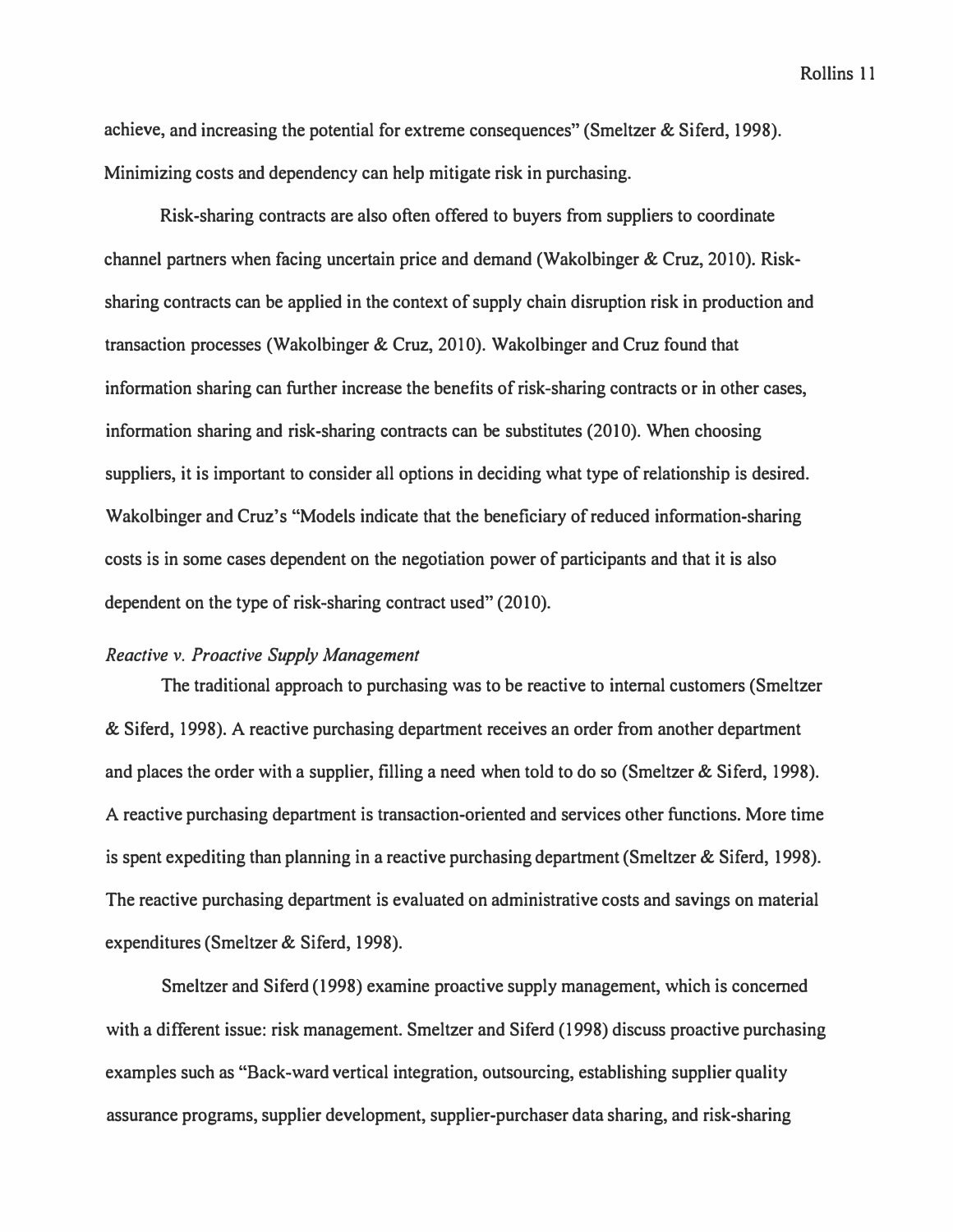achieve, and increasing the potential for extreme consequences" (Smeltzer & Siferd, 1998). Minimizing costs and dependency can help mitigate risk in purchasing.

Risk-sharing contracts are also often offered to buyers from suppliers to coordinate channel partners when facing uncertain price and demand (Wakolbinger & Cruz, 2010). Risksharing contracts can be applied in the context of supply chain disruption risk in production and transaction processes (Wakolbinger & Cruz, 2010). Wakolbinger and Cruz found that information sharing can further increase the benefits of risk-sharing contracts or in other cases, information sharing and risk-sharing contracts can be substitutes (2010). When choosing suppliers, it is important to consider all options in deciding what type of relationship is desired. Wakolbinger and Cruz's "Models indicate that the beneficiary of reduced information-sharing costs is in some cases dependent on the negotiation power of participants and that it is also dependent on the type of risk-sharing contract used" (2010).

# *Reactive v. Proactive Supply Management*

The traditional approach to purchasing was to be reactive to internal customers (Smeltzer & Siferd, 1998). A reactive purchasing department receives an order from another department and places the order with a supplier, filling a need when told to do so (Smeltzer & Siferd, 1998). A reactive purchasing department is transaction-oriented and services other functions. More time is spent expediting than planning in a reactive purchasing department (Smeltzer & Siferd, 1998). The reactive purchasing department is evaluated on administrative costs and savings on material expenditures (Smeltzer & Siferd, 1998).

Smeltzer and Siferd (1998) examine proactive supply management, which is concerned with a different issue: risk management. Smeltzer and Siferd (1998) discuss proactive purchasing examples such as "Back-ward vertical integration, outsourcing, establishing supplier quality assurance programs, supplier development, supplier-purchaser data sharing, and risk-sharing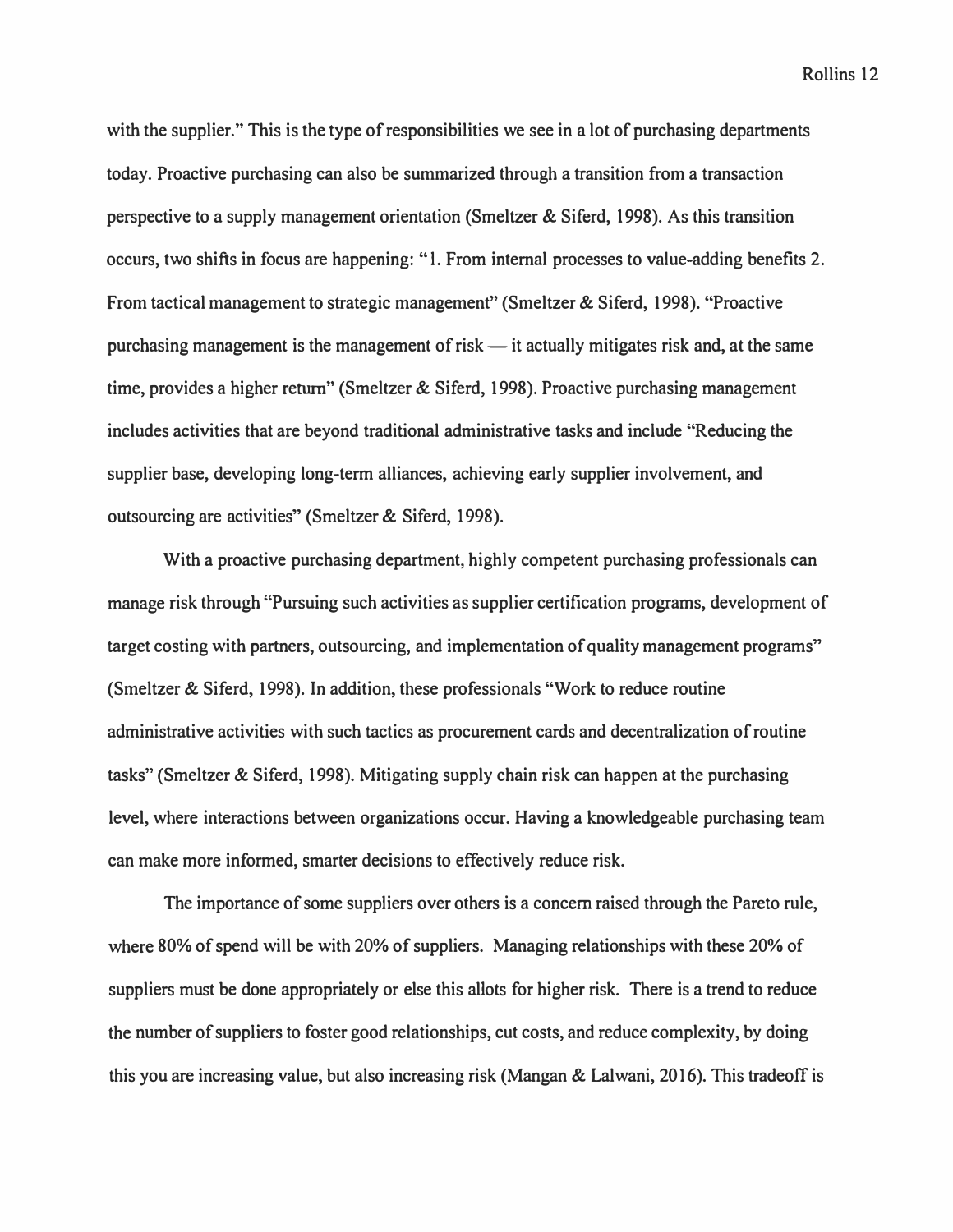with the supplier." This is the type of responsibilities we see in a lot of purchasing departments **today. Proactive purchasing can also be summarized through a transition from a transaction perspective to a supply management orientation (Smeltzer & Siferd, 1998). As this transition occurs, two shifts in focus are happening: "l. From internal processes to value-adding benefits 2.**  From tactical management to strategic management" (Smeltzer & Siferd, 1998). "Proactive purchasing management is the management of risk — it actually mitigates risk and, at the same **time, provides a higher return" (Smeltzer & Siferd, 1998). Proactive purchasing management includes activities that are beyond traditional administrative tasks and include "Reducing the supplier base, developing long-term alliances, achieving early supplier involvement, and outsourcing are activities" (Smeltzer & Siford, 1998).** 

**With a proactive purchasing department, highly competent purchasing professionals can manage risk through "Pursuing such activities as supplier certification programs, development of target costing with partners, outsourcing, and implementation of quality management programs" (Smeltzer & Siford, 1998). In addition, these professionals "Work to reduce routine administrative activities with such tactics as procurement cards and decentralization of routine**  tasks" (Smeltzer & Siferd, 1998). Mitigating supply chain risk can happen at the purchasing **level, where interactions between organizations occur. Having a knowledgeable purchasing team can make more informed, smarter decisions to effectively reduce risk.** 

**The importance of some suppliers over others is a concern raised through the Pareto rule, where 80% of spend will be with 20% of suppliers. Managing relationships with these 20% of suppliers must be done appropriately or else this allots for higher risk. There is a trend to reduce the number of suppliers to foster good relationships, cut costs, and reduce complexity, by doing this you are increasing value, but also increasing risk (Mangan & Lalwani, 2016). This tradeoff is**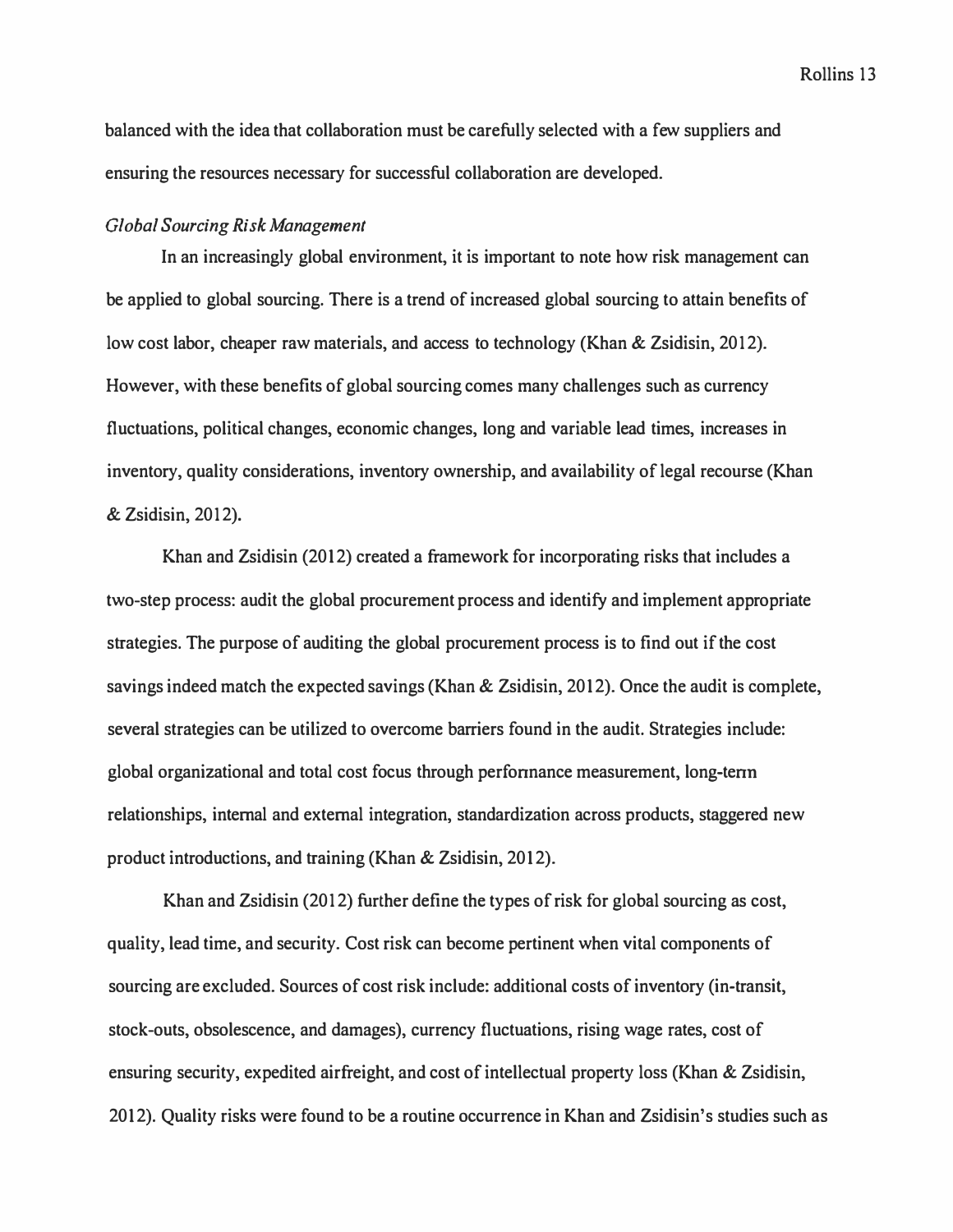balanced with the idea that collaboration must be carefully selected with a few suppliers and *ensuring the resources necessary for successful collaboration are developed.* 

#### *Global Sourcing Risk Management*

*In an increasingly global environment, it is important to note how risk management can be applied to global sourcing. There is a trend of increased global sourcing to attain benefits of low cost labor, cheaper raw materials, and access to technology (Khan & Zsidisin, 2012). However, with these benefits of global sourcing comes many challenges such as currency fluctuations, political changes, economic changes, long and variable lead times, increases in inventory, quality considerations, inventory ownership, and availability of legal recourse (Khan & Zsidisin, 2012).* 

*Khan and Zsidisin (2012) created a framework for incorporating risks that includes a two-step process: audit the global procurement process and identify and implement appropriate strategies. The purpose of auditing the global procurement process is to find out if the cost savings indeed match the expected savings (Khan & Zsidisin, 2012). Once the audit is complete, several strategies can be utilized to overcome barriers found in the audit. Strategies include: global organizational and total cost focus through perfonnance measurement, long-tenn relationships, internal and external integration, standardization across products, staggered new product introductions, and training (Khan & Zsidisin, 2012).* 

*Khan and Zsidisin (2012) further define the types of risk for global sourcing as cost, quality, lead time, and security. Cost risk can become pertinent when vital components of sourcing are excluded. Sources of cost risk include: additional costs of inventory (in-transit, stock-outs, obsolescence, and damages), currency fluctuations, rising wage rates, cost of ensuring security, expedited airfreight, and cost of intellectual property loss (Khan & Zsidisin, 2012). Quality risks were found to be a routine occurrence in Khan and Zsidisin's studies such as*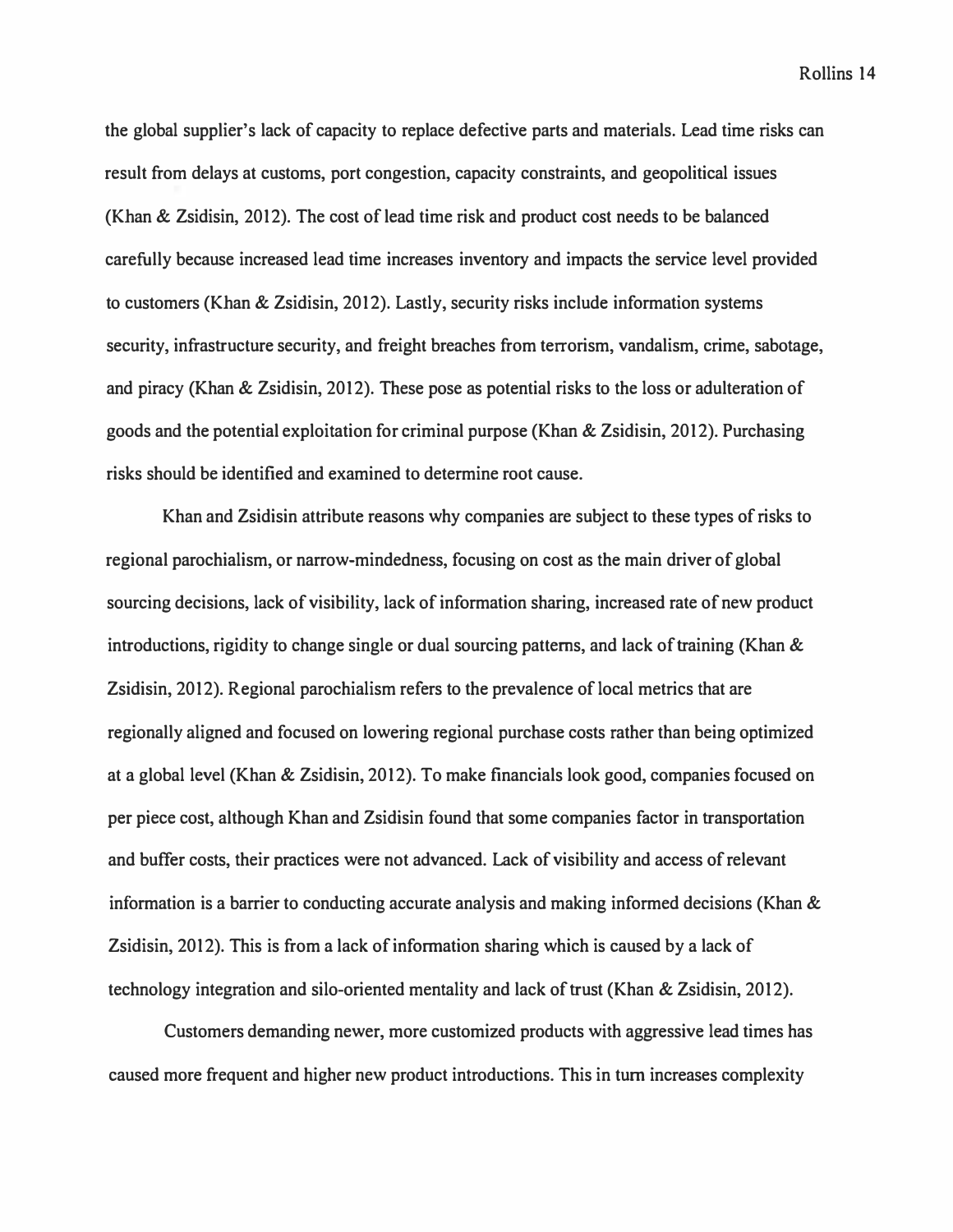**the global supplier's lack of capacity to replace defective parts and materials. Lead time risks can result from delays at customs, port congestion, capacity constraints, and geopolitical issues (Khan & Zsidisin, 2012). The cost of lead time risk and product cost needs to be balanced carefully because increased lead time increases inventory and impacts the service level provided to customers (Khan & Zsidisin, 2012). Lastly, security risks include information systems security, infrastructure security, and freight breaches from terrorism, vandalism, crime, sabotage, and piracy (Khan & Zsidisin, 2012). These pose as potential risks to the loss or adulteration of goods and the potential exploitation for criminal purpose (Khan & Zsidisin, 2012). Purchasing risks should be identified and examined to determine root cause.** 

**Khan and Zsidisin attribute reasons why companies are subject to these types of risks to regional parochialism, or narrow-mindedness, focusing on cost as the main driver of global sourcing decisions, lack of visibility, lack of information sharing, increased rate of new product introductions, rigidity to change single or dual sourcing patterns, and lack of training (Khan & Zsidisin, 2012). Regional parochialism refers to the prevalence of local metrics that are regionally aligned and focused on lowering regional purchase costs rather than being optimized at a global level (Khan & Zsidisin, 2012). To make financials look good, companies focused on per piece cost, although Khan and Zsidisin found that some companies factor in transportation and buffer costs, their practices were not advanced. Lack of visibility and access of relevant information is a barrier to conducting accurate analysis and making informed decisions (Khan & Zsidisin, 2012). This is from a lack of information sharing which is caused by a lack of technology integration and silo-oriented mentality and lack of trust (Khan & Zsidisin, 2012).** 

**Customers demanding newer, more customized products with aggressive lead times has caused more frequent and higher new product introductions. This in tum increases complexity**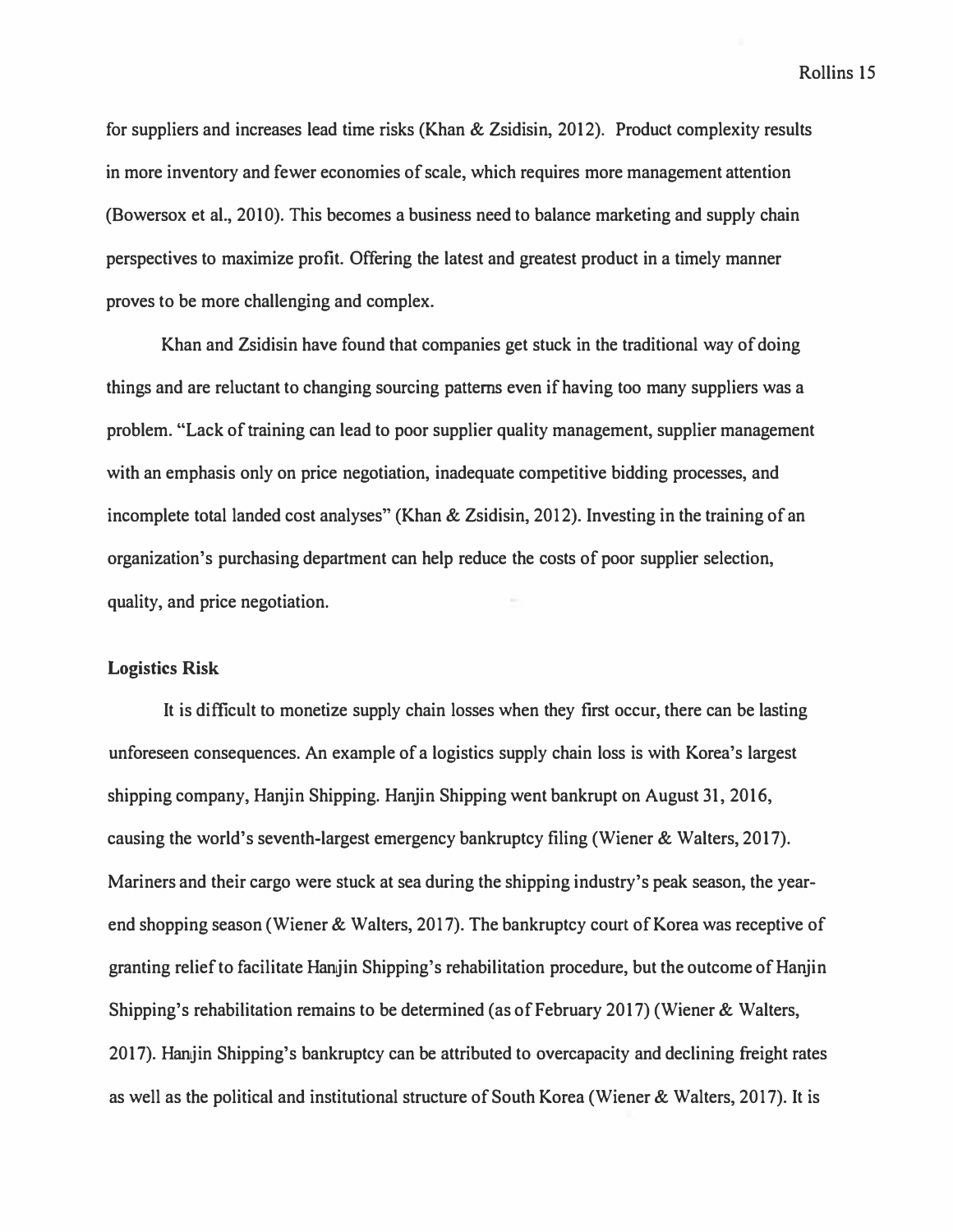*for suppliers and increases lead time risks (Khan & Zsidisin, 2012). Product complexity results in more inventory and fewer economies of scale, which requires more management attention (Bowersox et al., 2010). This becomes a business need to balance marketing and supply chain perspectives to maximize profit. Offering the latest and greatest product in a timely manner proves to be more challenging and complex.* 

*Khan and Zsidisin have found that companies get stuck in the traditional way of doing things and are reluctant to changing sourcing patterns even if having too many suppliers was a problem. "Lack of training can lead to poor supplier quality management, supplier management with an emphasis only on price negotiation, inadequate competitive bidding processes, and incomplete total landed cost analyses" (Khan & Zsidisin, 2012). Investing in the training of an organization's purchasing department can help reduce the costs of poor supplier selection, quality, and price negotiation.* 

# **Logistics Risk**

*It is difficult to monetize supply chain losses when they first occur, there can be lasting unforeseen consequences. An example of a logistics supply chain loss is with Korea's largest shipping company, Hanjin Shipping. Hanjin Shipping went bankrupt on August 31, 2016, causing the world's seventh-largest emergency bankruptcy filing (Wiener & Walters, 2017). Mariners and their cargo were stuck at sea during the shipping industry's peak season, the yearend shopping season (Wiener & Walters, 2017). The bankruptcy court of Korea was receptive of granting relief to facilitate Hanjin Shipping's rehabilitation procedure, but the outcome of Hanjin Shipping's rehabilitation remains to be determined (as of February 2017) (Wiener & Walters, 2017). Hanjin Shipping's bankruptcy can be attributed to overcapacity and declining freight rates as well as the political and institutional structure of South Korea (Wiener & Walters, 2017). It is*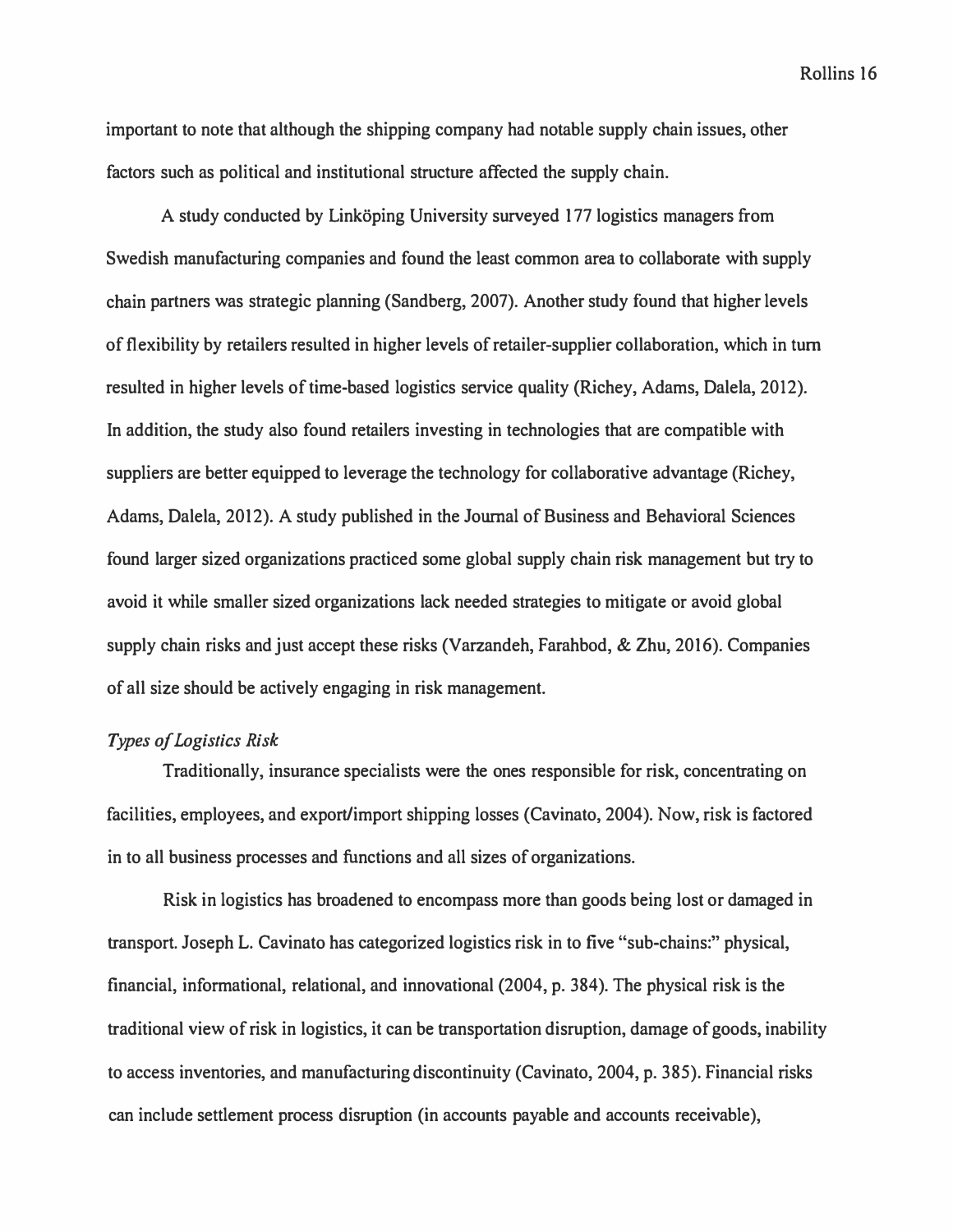**important to note that although the shipping company had notable supply chain issues, other factors such as political and institutional structure affected the supply chain.** 

A study conducted by Linköping University surveyed 177 logistics managers from **Swedish manufacturing companies and found the least common area to collaborate with supply chain partners was strategic planning (Sandberg, 2007). Another study found that higher levels of flexibility by retailers resulted in higher levels of retailer-supplier collaboration, which in tum resulted in higher levels of time-based logistics service quality (Richey, Adams, Dalela, 2012). In addition, the study also found retailers investing in technologies that are compatible with suppliers are better equipped to leverage the technology for collaborative advantage (Richey, Adams, Dalela, 2012). A study published in the Journal of Business and Behavioral Sciences found larger sized organizations practiced some global supply chain risk management but try to avoid it while smaller sized organizations lack needed strategies to mitigate or avoid global supply chain risks and just accept these risks (Varzandeh, Farahbod, & Zhu, 2016). Companies of all size should be actively engaging in risk management.** 

# *Types of Logistics Risk*

**Traditionally, insurance specialists were the ones responsible for risk, concentrating on facilities, employees, and export/import shipping losses (Cavinato, 2004). Now, risk is factored in to all business processes and functions and all sizes of organizations.** 

**Risk in logistics has broadened to encompass more than goods being lost or damaged in transport. Joseph L. Cavinato has categorized logistics risk in to five "sub-chains:" physical, financial, informational, relational, and innovational (2004, p. 384). The physical risk is the traditional view of risk in logistics, it can be transportation disruption, damage of goods, inability to access inventories, and manufacturing discontinuity (Cavinato, 2004, p. 385). Financial risks can include settlement process disruption (in accounts payable and accounts receivable),**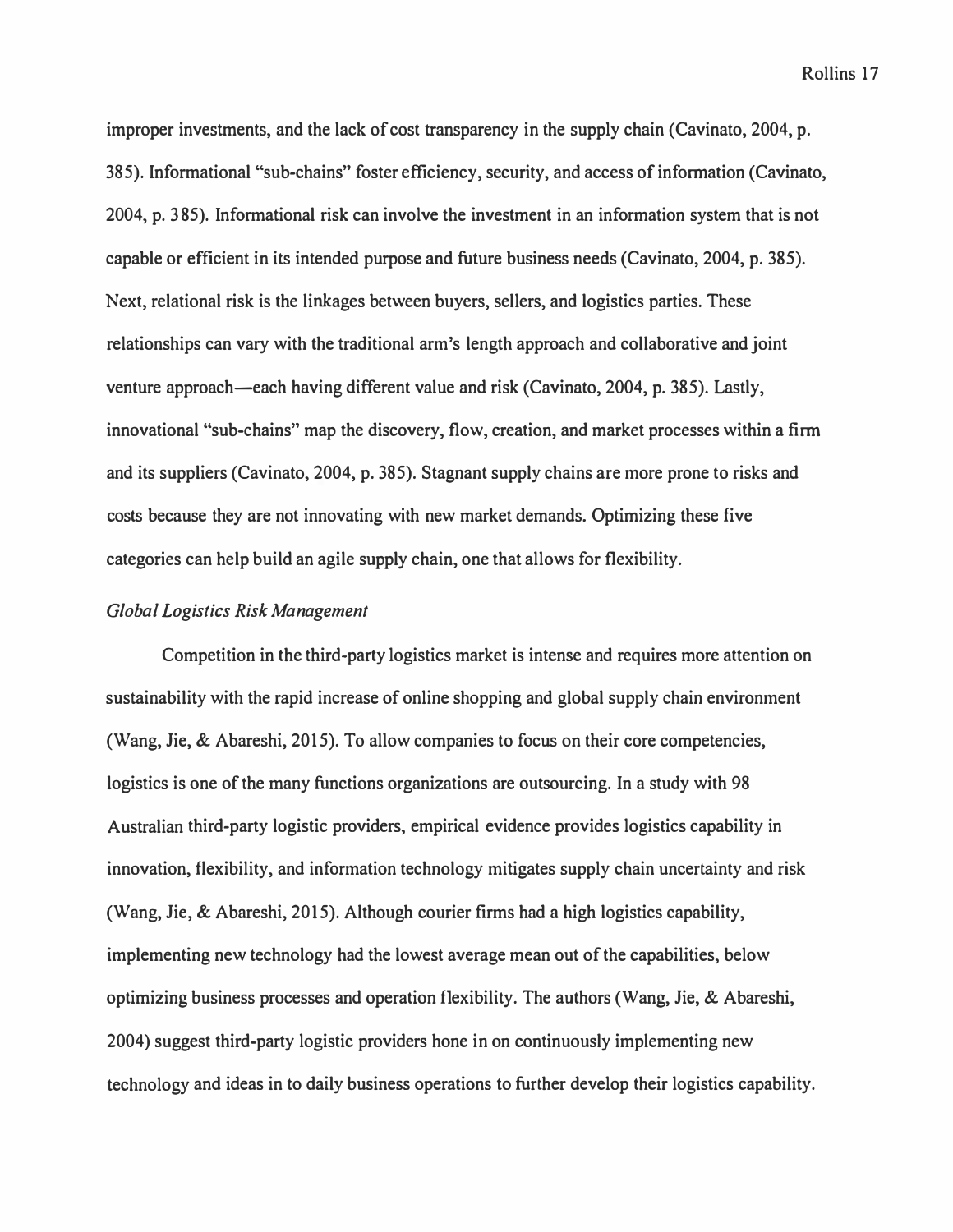*improper investments, and the lack of cost transparency in the supply chain (Cavinato, 2004, p. 385). Informational "sub-chains" foster efficiency, security, and access of information (Cavinato, 2004, p. 385). Informational risk can involve the investment in an information system that is not capable or efficient in its intended purpose and future business needs (Cavinato, 2004, p. 385). Next, relational risk is the linkages between buyers, sellers, and logistics parties. These relationships can vary with the traditional arm's length approach and collaborative and joint venture approach-each having different value and risk (Cavinato, 2004, p. 385). Lastly, innovational "sub-chains" map the discovery, flow, creation, and market processes within a firm and its suppliers (Cavinato, 2004, p. 385). Stagnant supply chains are more prone to risks and costs because they are not innovating with new market demands. Optimizing these five categories can help build an agile supply chain, one that allows for flexibility.* 

# *Global Logistics Risk Management*

*Competition in the third-party logistics market is intense and requires more attention on sustainability with the rapid increase of online shopping and global supply chain environment (Wang, Jie, & Abareshi, 2015). To allow companies to focus on their core competencies, logistics is one of the many functions organizations are outsourcing. In a study with 98 Australian third-party logistic providers, empirical evidence provides logistics capability in innovation, flexibility, and information technology mitigates supply chain uncertainty and risk (Wang, Jie, & Abareshi, 2015). Although courier firms had a high logistics capability, implementing new technology had the lowest average mean out of the capabilities, below optimizing business processes and operation flexibility. The authors (Wang, Jie, & Abareshi, 2004) suggest third-party logistic providers hone in on continuously implementing new technology and ideas in to daily business operations to further develop their logistics capability.*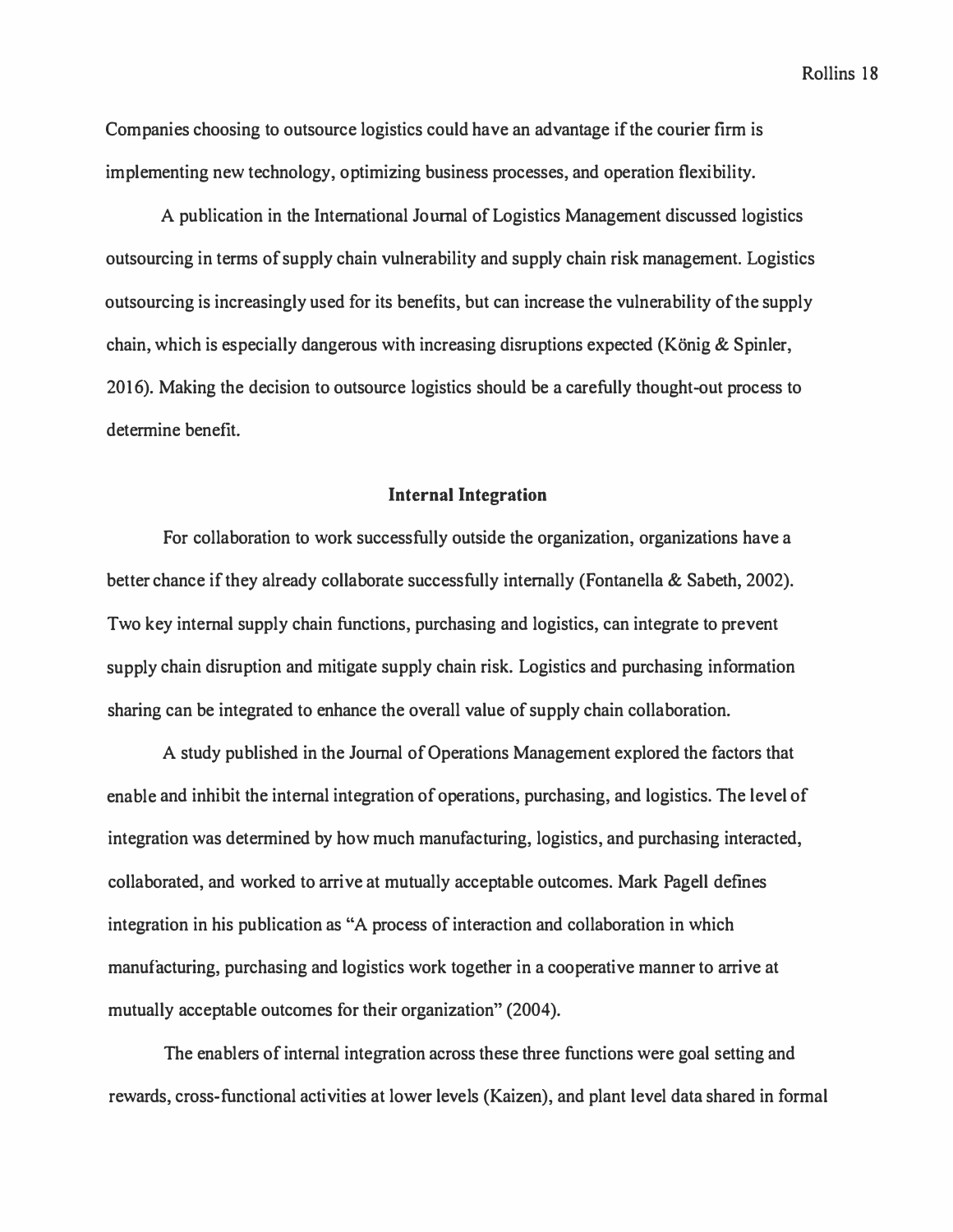Companies choosing to outsource logistics could have an advantage if the courier firm is implementing new technology, optimizing business processes, and operation flexibility.

A publication in the International Journal of Logistics Management discussed logistics outsourcing in terms of supply chain vulnerability and supply chain risk management. Logistics outsourcing is increasingly used for its benefits, but can increase the vulnerability of the supply chain, which is especially dangerous with increasing disruptions expected (König  $\&$  Spinler, 2016). Making the decision to outsource logistics should be a carefully thought-out process to determine benefit.

#### **Internal Integration**

For collaboration to work successfully outside the organization, organizations have a better chance if they already collaborate successfully internally (Fontanella & Sabeth, 2002). Two key internal supply chain functions, purchasing and logistics, can integrate to prevent supply chain disruption and mitigate supply chain risk. Logistics and purchasing information sharing can be integrated to enhance the overall value of supply chain collaboration.

A study published in the Journal of Operations Management explored the factors that enable and inhibit the internal integration of operations, purchasing, and logistics. The level of integration was determined by how much manufacturing, logistics, and purchasing interacted, collaborated, and worked to arrive at mutually acceptable outcomes. Mark Pagell defines integration in his publication as "A process of interaction and collaboration in which manufacturing, purchasing and logistics work together in a cooperative manner to arrive at mutually acceptable outcomes for their organization" (2004 ).

The enablers of internal integration across these three functions were goal setting and rewards, cross-functional activities at lower levels (Kaizen), and plant level data shared in formal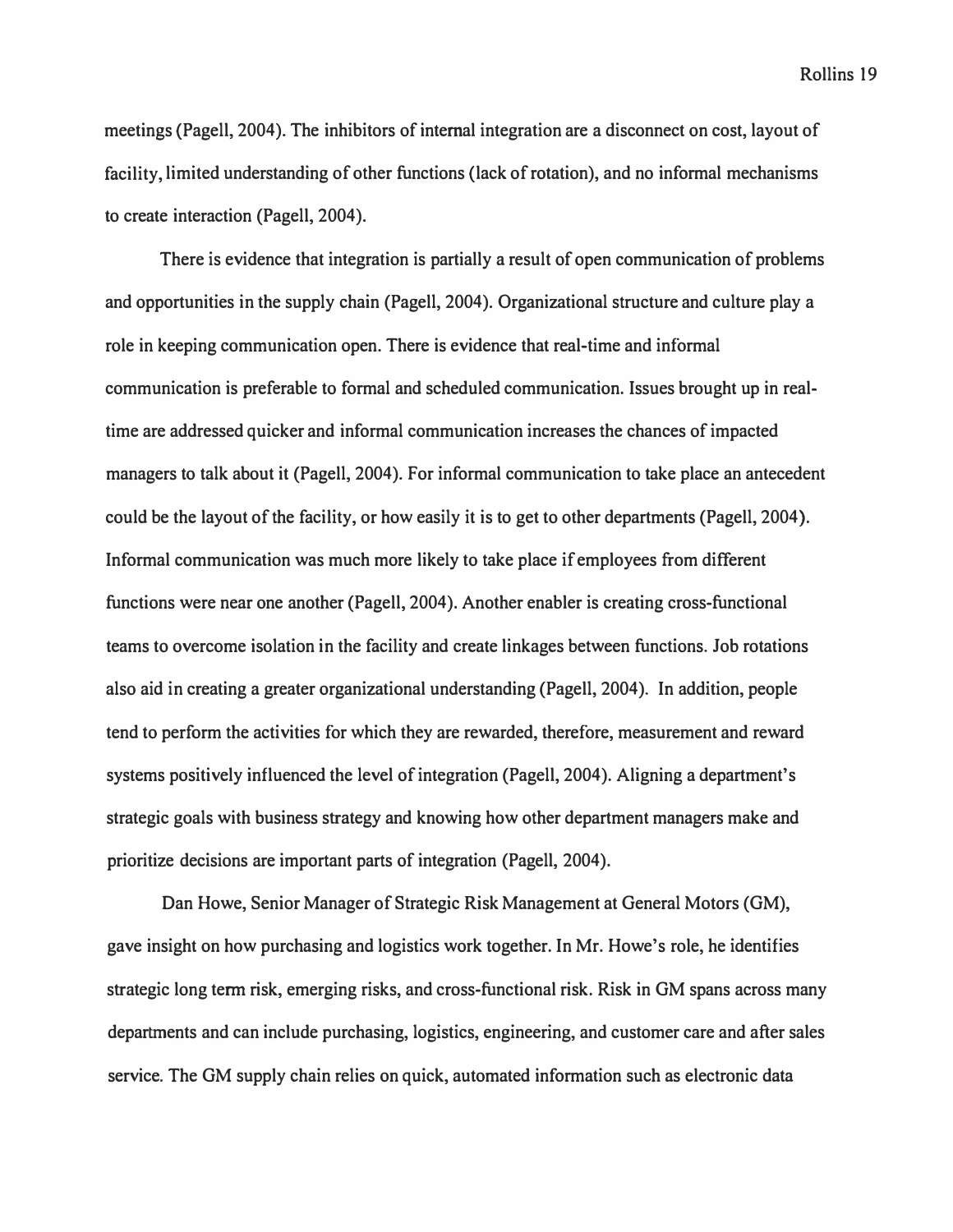**meetings {Pagell, 2004). The inhibitors of internal integration are a disconnect on cost, layout of facility, limited understanding of other functions {lack of rotation), and no informal mechanisms to create interaction (Pagell, 2004 ).** 

**There is evidence that integration is partially a result of open communication of problems and opportunities in the supply chain (Pagell, 2004). Organizational structure and culture play a role in keeping communication open. There is evidence that real-time and informal communication is preferable to formal and scheduled communication. Issues brought up in realtime are addressed quicker and informal communication increases the chances of impacted managers to talk about it (Pagell, 2004). For informal communication to take place an antecedent could be the layout of the facility, or how easily it is to get to other departments (Pagell, 2004}. Informal communication was much more likely to take place if employees from different functions were near one another (Pagell, 2004). Another enabler is creating cross-functional teams to overcome isolation in the facility and create linkages between functions. Job rotations also aid in creating a greater organizational understanding (Pagell, 2004). In addition, people tend to perform the activities for which they are rewarded, therefore, measurement and reward systems positively influenced the level of integration (Pagell, 2004). Aligning a department's strategic goals with business strategy and knowing how other department managers make and prioritize decisions are important parts of integration (Pagell, 2004 ).** 

**Dan Howe, Senior Manager of Strategic Risk Management at General Motors (GM), gave insight on how purchasing and logistics work together. In Mr. Howe's role, he identifies strategic long term risk, emerging risks, and cross-functional risk. Risk in GM spans across many departments and can include purchasing, logistics, engineering, and customer care and after sales service. The GM supply chain relies on quick, automated information such as electronic data**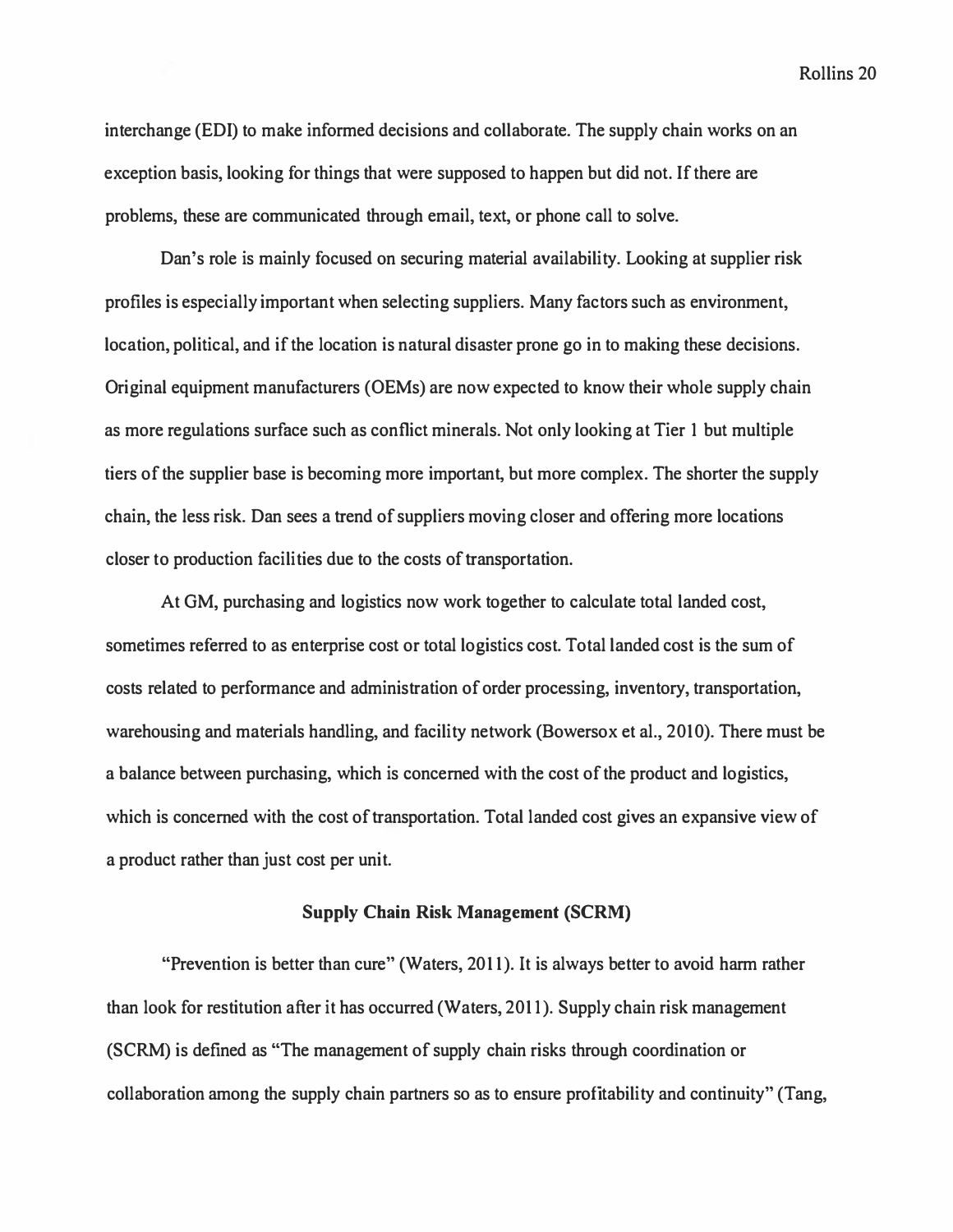interchange (EDI) to make informed decisions and collaborate. The supply chain works on an exception basis, looking for things that were supposed to happen but did not. If there are problems, these are communicated through email, text, or phone call to solve.

Dan's role is mainly focused on securing material availability. Looking at supplier risk profiles is especially important when selecting suppliers. Many factors such as environment, location, political, and if the location is natural disaster prone go in to making these decisions. Original equipment manufacturers (OEMs) are now expected to know their whole supply chain as more regulations surface such as conflict minerals. Not only looking at Tier 1 but multiple tiers of the supplier base is becoming more important, but more complex. The shorter the supply chain, the less risk. Dan sees a trend of suppliers moving closer and offering more locations closer to production facilities due to the costs of transportation.

At GM, purchasing and logistics now work together to calculate total landed cost, sometimes referred to as enterprise cost or total logistics cost. Total landed cost is the sum of costs related to performance and administration of order processing, inventory, transportation, warehousing and materials handling, and facility network (Bowersox et al., 2010). There must be a balance between purchasing, which is concerned with the cost of the product and logistics, which is concerned with the cost of transportation. Total landed cost gives an expansive view of a product rather than just cost per unit.

#### **Supply Chain Risk Management (SCRM)**

"Prevention is better than cure" (Waters, 2011). It is always better to avoid harm rather than look for restitution after it has occurred (Waters, 2011). Supply chain risk management (SCRM) is defined as "The management of supply chain risks through coordination or collaboration among the supply chain partners so as to ensure profitability and continuity" (Tang,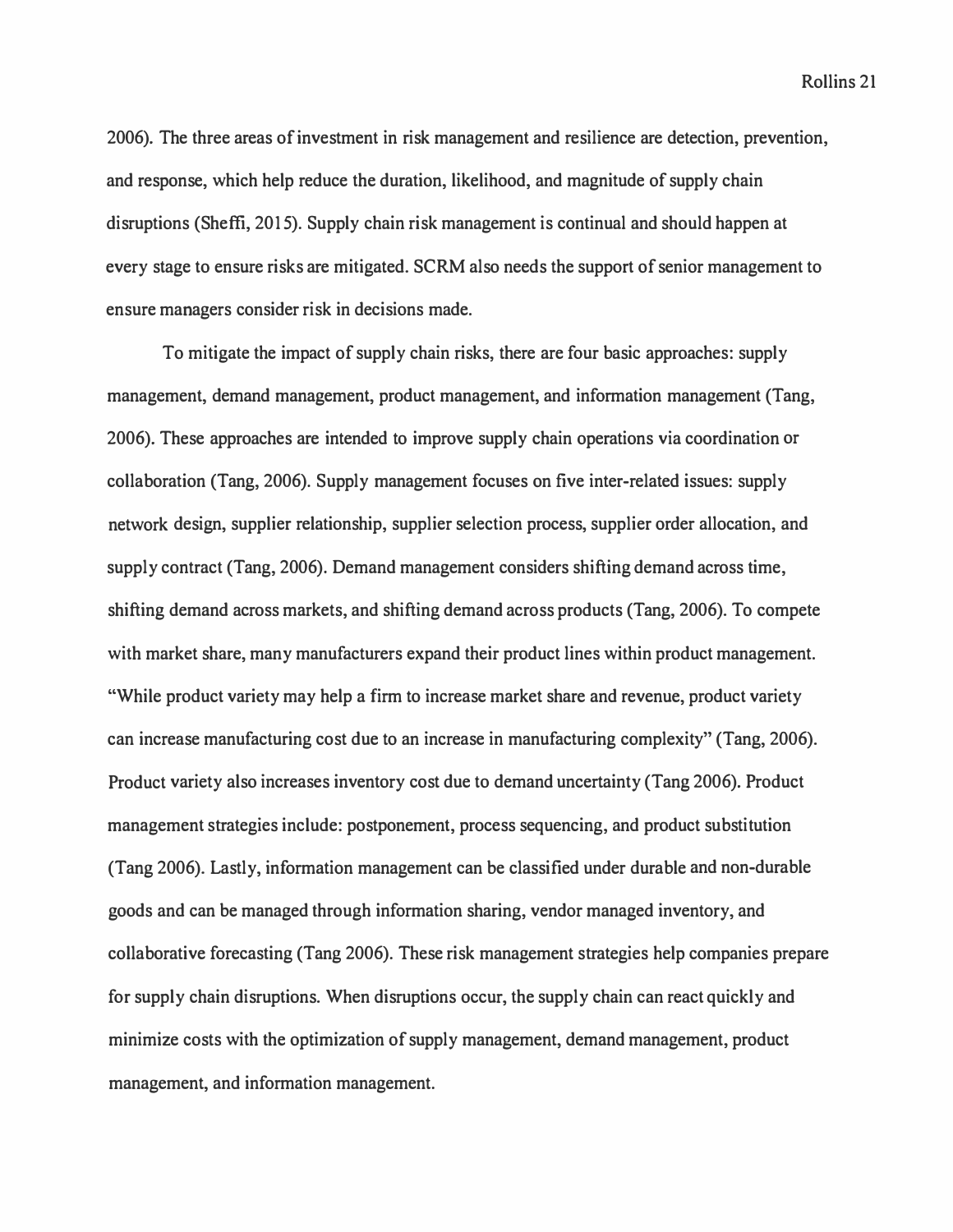2006). The three areas of investment in risk management and resilience are detection, prevention, and response, which help reduce the duration, likelihood, and magnitude of supply chain disruptions (Sheffi, 2015). Supply chain risk management is continual and should happen at every stage to ensure risks are mitigated. SCRM also needs the support of senior management to ensure managers consider risk in decisions made.

To mitigate the impact of supply chain risks, there are four basic approaches: supply management, demand management, product management, and information management (Tang, 2006). These approaches are intended to improve supply chain operations via coordination or collaboration (Tang, 2006). Supply management focuses on five inter-related issues: supply network design, supplier relationship, supplier selection process, supplier order allocation, and supply contract (Tang, 2006). Demand management considers shifting demand across time, shifting demand across markets, and shifting demand across products (Tang, 2006). To compete with market share, many manufacturers expand their product lines within product management. "While product variety may help a firm to increase market share and revenue, product variety can increase manufacturing cost due to an increase in manufacturing complexity" (Tang, 2006). Product variety also increases inventory cost due to demand uncertainty (Tang 2006). Product management strategies include: postponement, process sequencing, and product substitution (Tang 2006). Lastly, information management can be classified under durable and non-durable goods and can be managed through information sharing, vendor managed inventory, and collaborative forecasting (Tang 2006). These risk management strategies help companies prepare for supply chain disruptions. When disruptions occur, the supply chain can react quickly and minimize costs with the optimization of supply management, demand management, product management, and information management.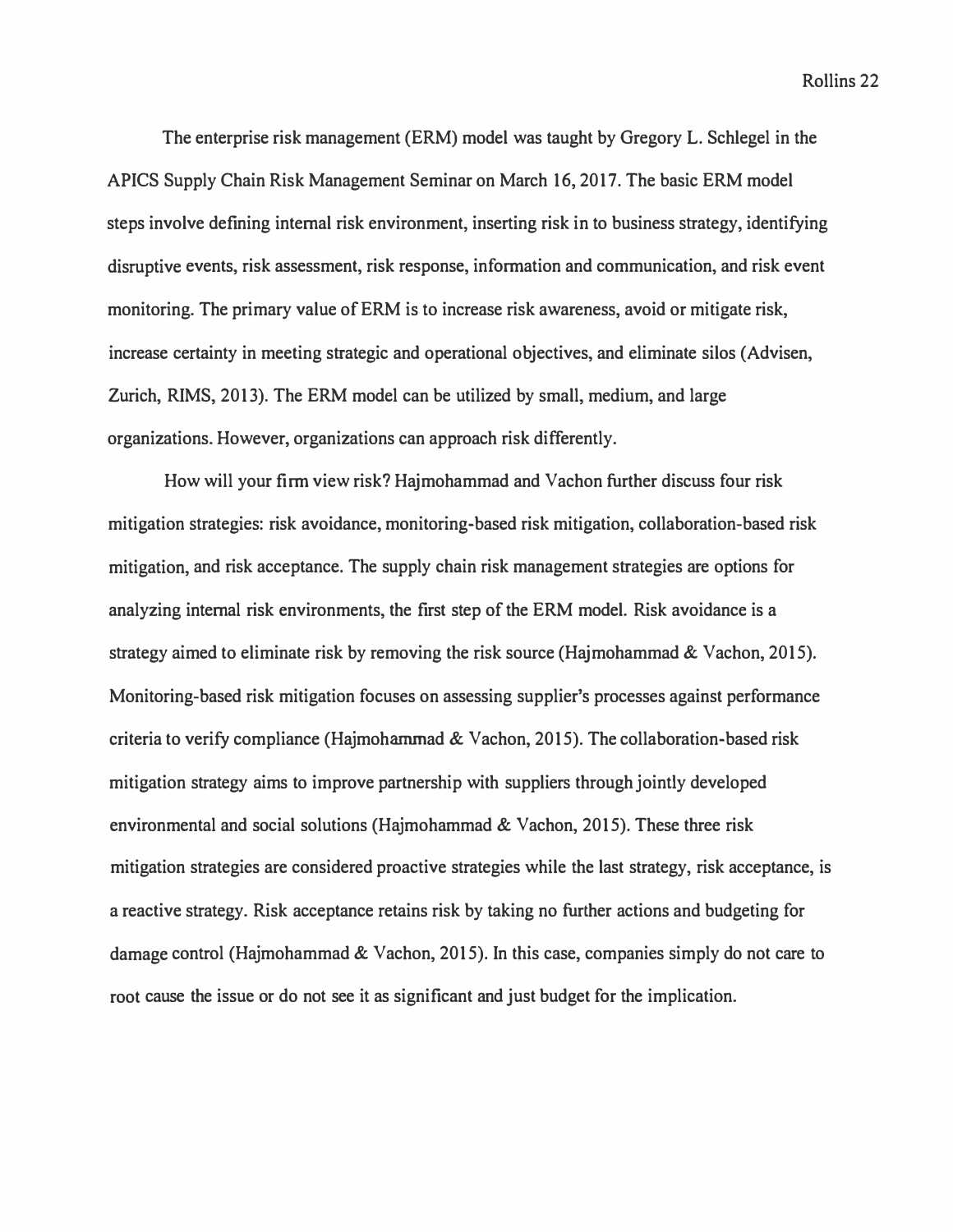*The enterprise risk management (ERM) model was taught by Gregory L. Schlegel in the APICS Supply Chain Risk Management Seminar on March 16, 2017. The basic ERM model steps involve defining internal risk environment, inserting risk in to business strategy, identifying disruptive events, risk assessment, risk response, information and communication, and risk event monitoring. The primary value of ERM is to increase risk awareness, avoid or mitigate risk, increase certainty in meeting strategic and operational objectives, and eliminate silos (Advisen, Zurich, RIMS, 2013). The ERM model can be utilized by small, medium, and large organizations. However, organizations can approach risk differently.* 

*How will your firm view risk? Hajmohammad and Vachon further discuss four risk mitigation strategies: risk avoidance, monitoring-based risk mitigation, collaboration-based risk mitigation, and risk acceptance. The supply chain risk management strategies are options for analyzing internal risk environments, the first step of the ERM model. Risk avoidance is a strategy aimed to eliminate risk by removing the risk source (Hajmohammad & Vachon, 2015). Monitoring-based risk mitigation focuses on assessing supplier's processes against performance criteria to verify compliance (Hajmoharnmad & Vachon, 2015). The collaboration-based risk mitigation strategy aims to improve partnership with suppliers through jointly developed environmental and social solutions (Hajmohammad & Vachon, 2015). These three risk mitigation strategies are considered proactive strategies while the last strategy, risk acceptance, is a reactive strategy. Risk acceptance retains risk by taking no further actions and budgeting for damage control (Hajmohammad & Vachon, 2015). In this case, companies simply do not care to root cause the issue or do not see it as significant and just budget for the implication.*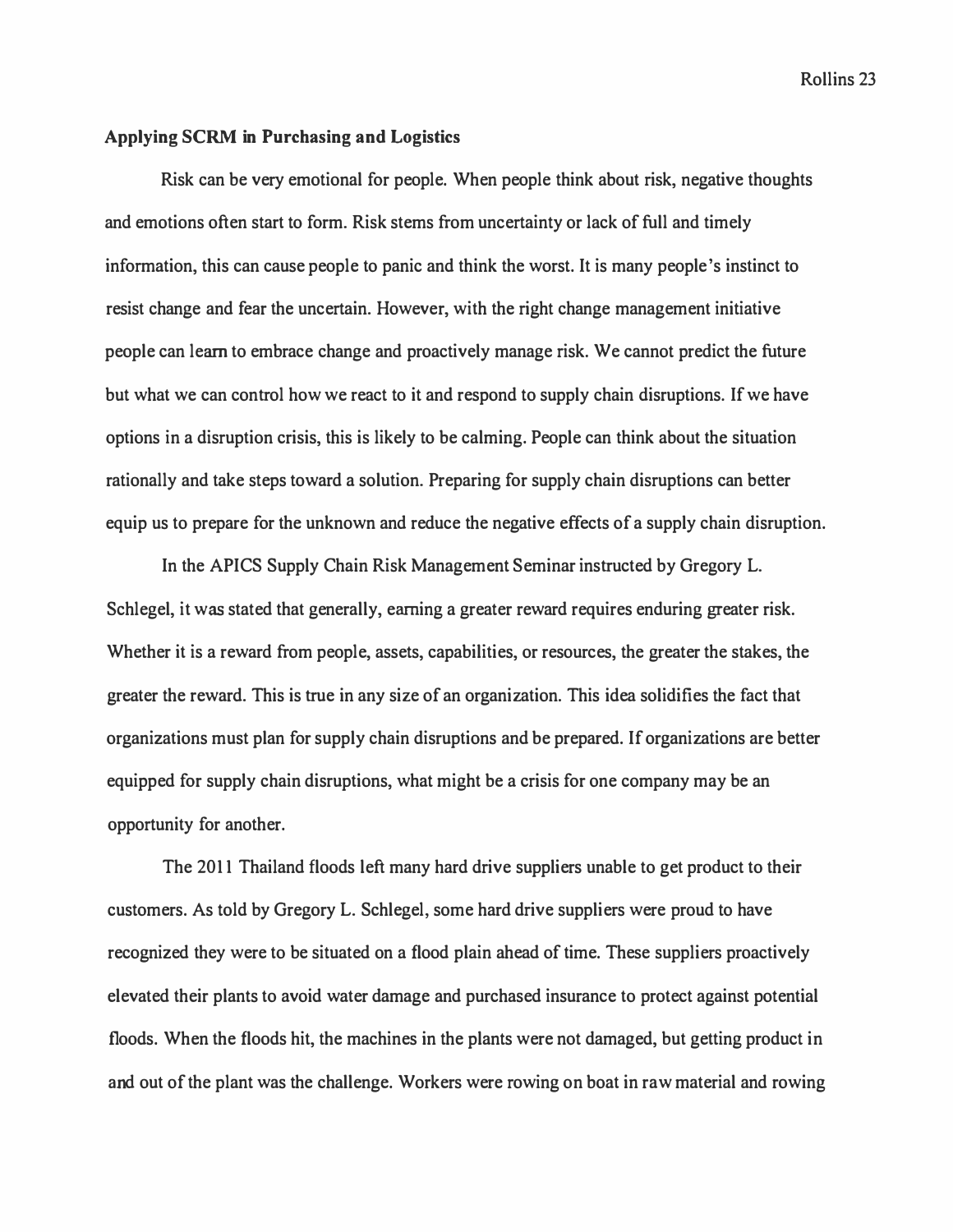# **Applying SCRM in Purchasing and Logistics**

Risk can be very emotional for people. When people think about risk, negative thoughts and emotions often start to form. Risk stems from uncertainty or lack of full and timely information, this can cause people to panic and think the worst. It is many people's instinct to resist change and fear the uncertain. However, with the right change management initiative people can learn to embrace change and proactively manage risk. We cannot predict the future but what we can control how we react to it and respond to supply chain disruptions. If we have options in a disruption crisis, this is likely to be calming. People can think about the situation rationally and take steps toward a solution. Preparing for supply chain disruptions can better equip us to prepare for the unknown and reduce the negative effects of a supply chain disruption.

In the APICS Supply Chain Risk Management Seminar instructed by Gregory L. Schlegel, it was stated that generally, earning a greater reward requires enduring greater risk. Whether it is a reward from people, assets, capabilities, or resources, the greater the stakes, the greater the reward. This is true in any size of an organization. This idea solidifies the fact that organizations must plan for supply chain disruptions and be prepared. If organizations are better equipped for supply chain disruptions, what might be a crisis for one company may be an opportunity for another.

The 2011 Thailand floods left many hard drive suppliers unable to get product to their customers. As told by Gregory L. Schlegel, some hard drive suppliers were proud to have recognized they were to be situated on a flood plain ahead of time. These suppliers proactively elevated their plants to avoid water damage and purchased insurance to protect against potential floods. When the floods hit, the machines in the plants were not damaged, but getting product in and out of the plant was the challenge. Workers were rowing on boat in raw material and rowing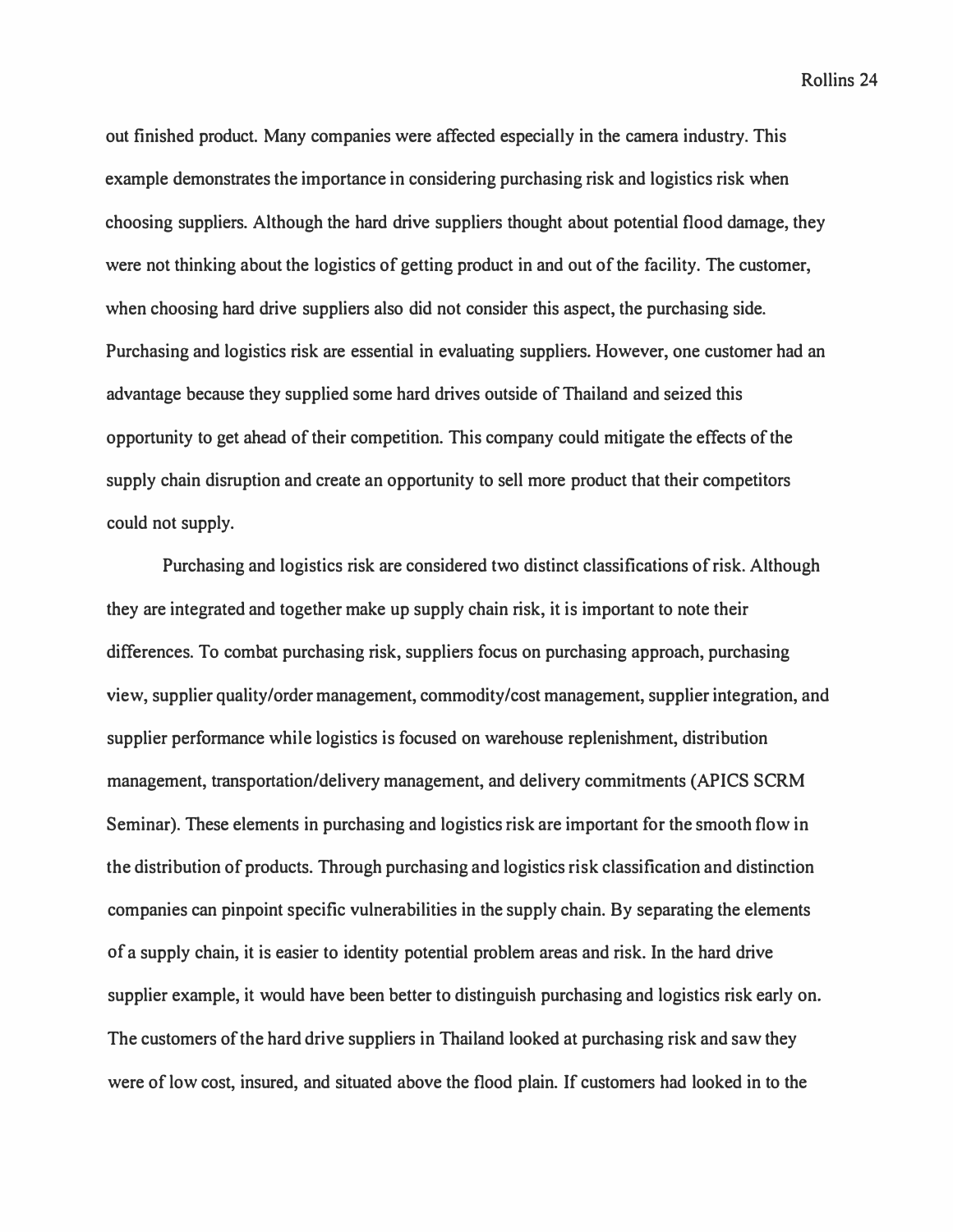**out finished product. Many companies were affected especially in the camera industry. This example demonstrates the importance in considering purchasing risk and logistics risk when choosing suppliers. Although the hard drive suppliers thought about potential flood damage, they were not thinking about the logistics of getting product in and out of the facility. The customer, when choosing hard drive suppliers also did not consider this aspect, the purchasing side. Purchasing and logistics risk are essential in evaluating suppliers. However, one customer had an advantage because they supplied some hard drives outside of Thailand and seized this opportunity to get ahead of their competition. This company could mitigate the effects of the supply chain disruption and create an opportunity to sell more product that their competitors could not supply.** 

**Purchasing and logistics risk are considered two distinct classifications of risk. Although they are integrated and together make up supply chain risk, it is important to note their differences. To combat purchasing risk, suppliers focus on purchasing approach, purchasing view, supplier quality/order management, commodity/cost management, supplier integration, and supplier performance while logistics is focused on warehouse replenishment, distribution management, transportation/delivery management, and delivery commitments (APICS SCRM Seminar). These elements in purchasing and logistics risk are important for the smooth flow in the distribution of products. Through purchasing and logistics risk classification and distinction companies can pinpoint specific vulnerabilities in the supply chain. By separating the elements of a supply chain, it is easier to identity potential problem areas and risk. In the hard drive supplier example, it would have been better to distinguish purchasing and logistics risk early on. The customers of the hard drive suppliers in Thailand looked at purchasing risk and saw they were of low cost, insured, and situated above the flood plain. If customers had looked in to the**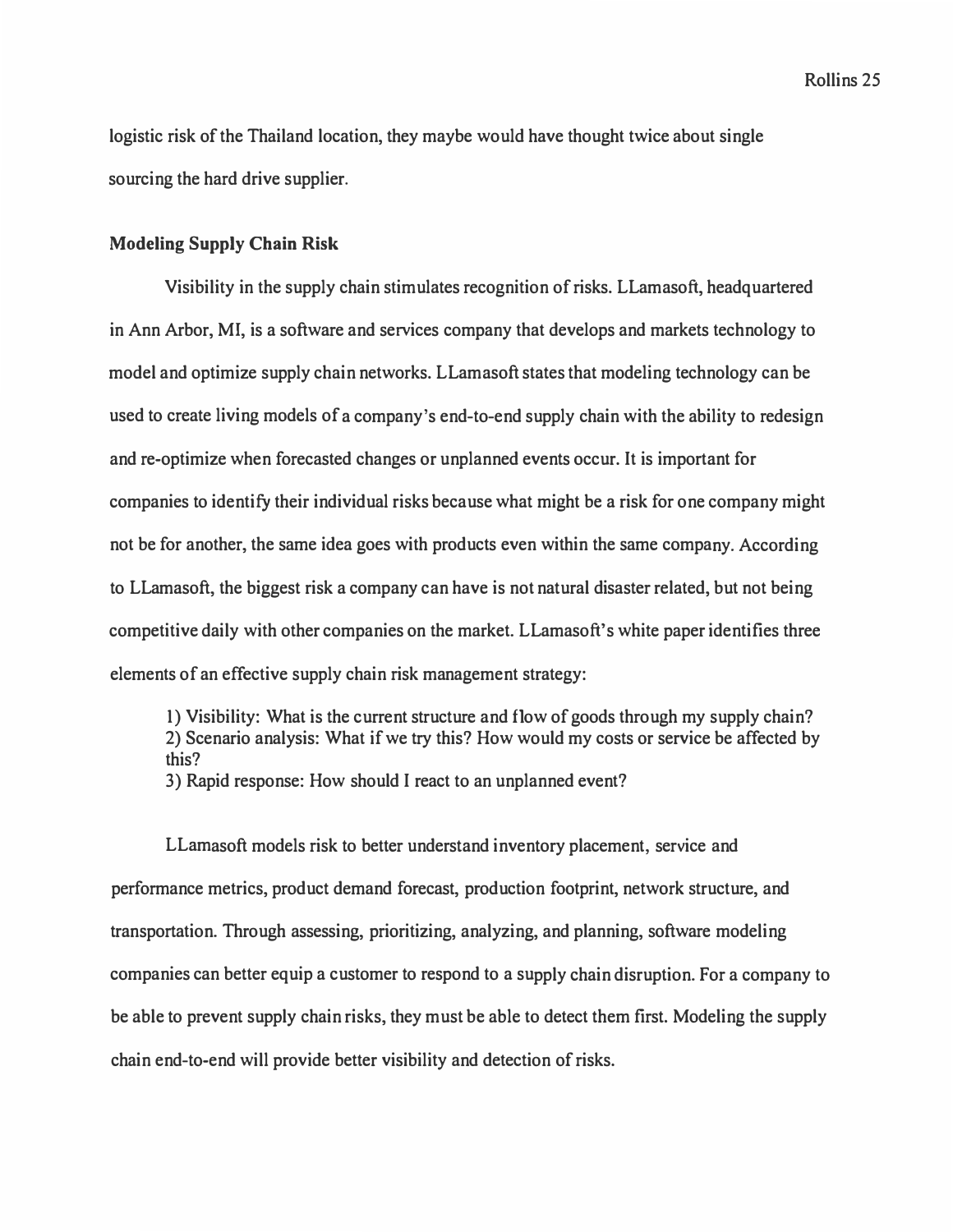logistic risk of the Thailand location, they maybe would have thought twice about single sourcing the hard drive supplier.

# **Modeling Supply Chain Risk**

Visibility in the supply chain stimulates recognition of risks. LLamasoft, headquartered in Ann Arbor, Ml, is a software and services company that develops and markets technology to model and optimize supply chain networks. LLamasoft states that modeling technology can be used to create living models of a company's end-to-end supply chain with the ability to redesign and re-optimize when forecasted changes or unplanned events occur. It is important for companies to identify their individual risks because what might be a risk for one company might not be for another, the same idea goes with products even within the same company. According to LLamasoft, the biggest risk a company can have is not natural disaster related, but not being competitive daily with other companies on the market. LLamasoft's white paper identifies three elements of an effective supply chain risk management strategy:

1) Visibility: What is the current structure and flow of goods through my supply chain? 2) Scenario analysis: What if we try this? How would my costs or service be affected by this? 3) Rapid response: How should I react to an unplanned event?

LLamasoft models risk to better understand inventory placement, service and performance metrics, product demand forecast, production footprint, network structure, and transportation. Through assessing, prioritizing, analyzing, and planning, software modeling companies can better equip a customer to respond to a supply chain disruption. For a company to be able to prevent supply chain risks, they must be able to detect them first. Modeling the supply chain end-to-end will provide better visibility and detection of risks.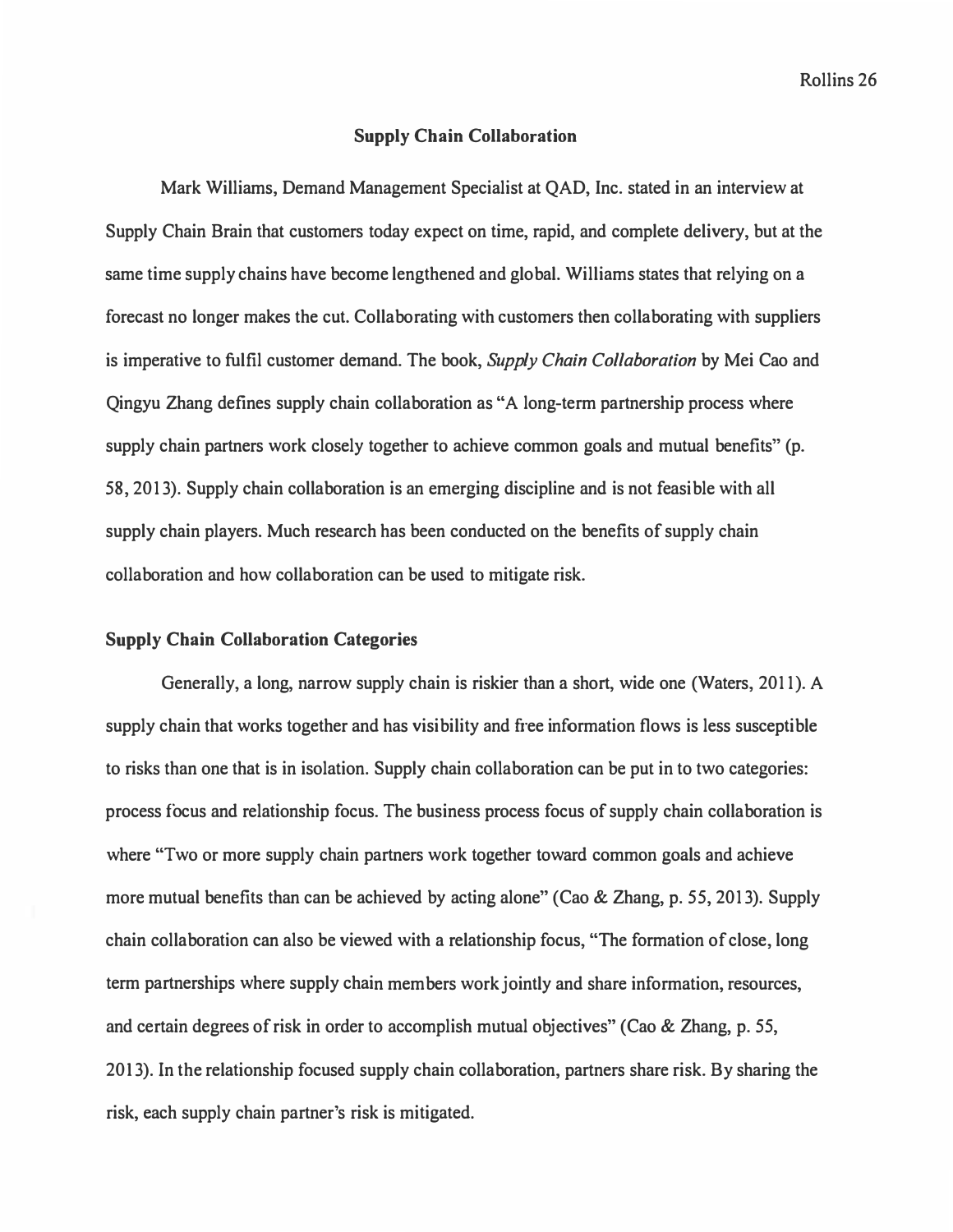#### **Supply Chain Collaboration**

Mark Williams, Demand Management Specialist at QAD, Inc. stated in an interview at Supply Chain Brain that customers today expect on time, rapid, and complete delivery, but at the same time supply chains have become lengthened and global. Williams states that relying on a forecast no longer makes the cut. Collaborating with customers then collaborating with suppliers is imperative to fulfil customer demand. The book, *Supply Chain Collaboration* by Mei Cao and Qingyu Zhang defines supply chain collaboration as "A long-term partnership process where supply chain partners work closely together to achieve common goals and mutual benefits" (p. 58, 2013). Supply chain collaboration is an emerging discipline and is not feasible with all supply chain players. Much research has been conducted on the benefits of supply chain collaboration and how collaboration can be used to mitigate risk.

#### **Supply Chain Collaboration Categories**

Generally, a long, narrow supply chain is riskier than a short, wide one (Waters, 2011). A supply chain that works together and has visibility and free information flows is less susceptible to risks than one that is in isolation. Supply chain collaboration can be put in to two categories: process focus and relationship focus. The business process focus of supply chain collaboration is where "Two or more supply chain partners work together toward common goals and achieve more mutual benefits than can be achieved by acting alone" (Cao & Zhang, p. 55, 2013). Supply chain collaboration can also be viewed with a relationship focus, "The formation of close, long term partnerships where supply chain members work jointly and share information, resources, and certain degrees of risk in order to accomplish mutual objectives" (Cao & Zhang, p. 55, 2013). In the relationship focused supply chain collaboration, partners share risk. By sharing the risk, each supply chain partner's risk is mitigated.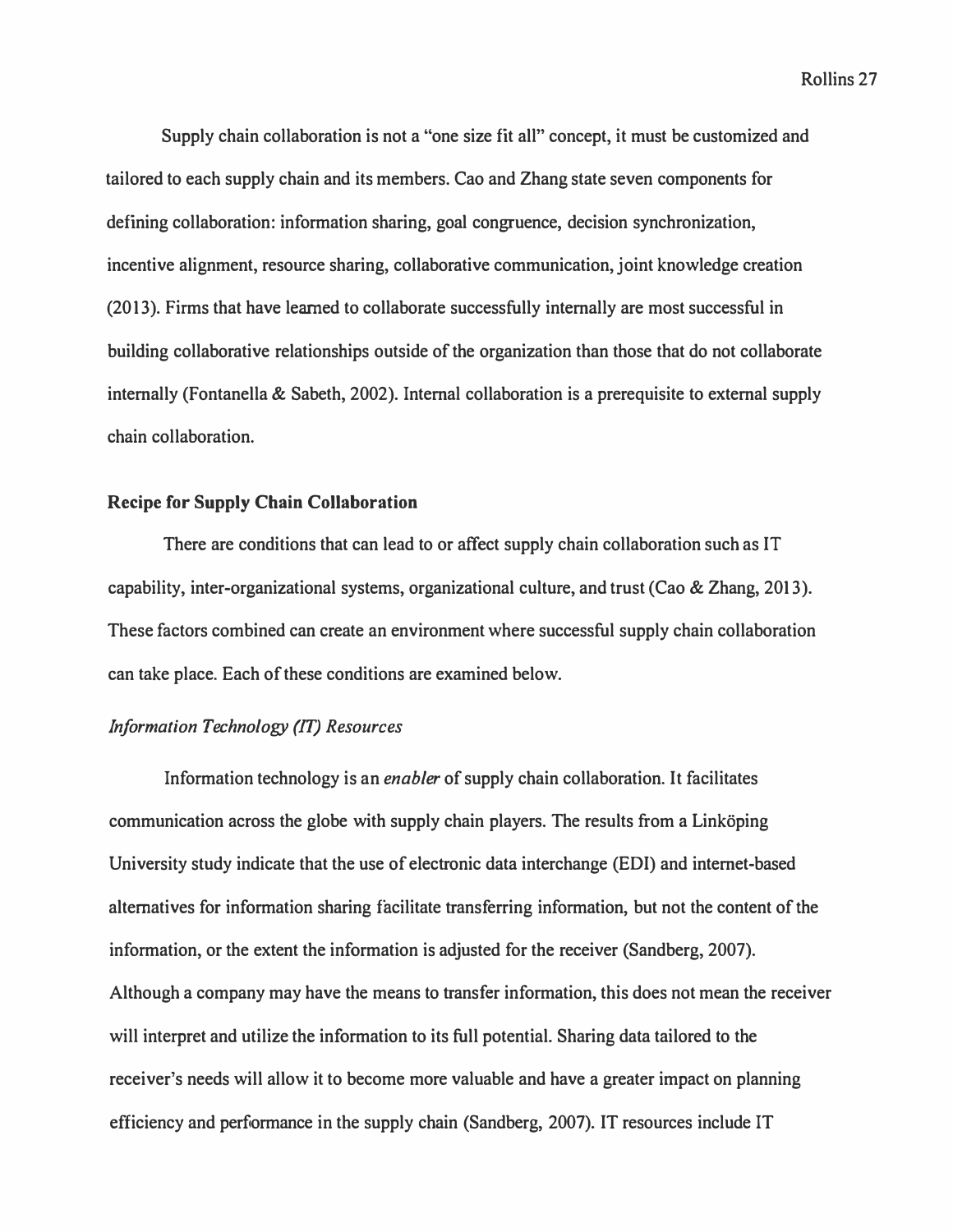**Supply chain collaboration is not a "one size fit all" concept, it must be customized and tailored to each supply chain and its members. Cao and Zhang state seven components for defining collaboration: information sharing, goal congruence, decision synchronization, incentive alignment, resource sharing, collaborative communication, joint knowledge creation (2013). Firms that have learned to collaborate successfully internally are most successful in building collaborative relationships outside of the organization than those that do not collaborate internally (Fontanella & Sabeth, 2002). Internal collaboration is a prerequisite to external supply chain collaboration.** 

#### **Recipe for Supply Chain Collaboration**

**There are conditions that can lead to or affect supply chain collaboration such as IT capability, inter-organizational systems, organizational culture, and trust (Cao & Zhang, 2013). These factors combined can create an environment where successful supply chain collaboration can take place. Each of these conditions are examined below.** 

# *Information Technology (IT) Resources*

**Information technology is an** *enabler* **of supply chain collaboration. It facilitates**  communication across the globe with supply chain players. The results from a Linköping **University study indicate that the use of electronic data interchange (EDI) and internet-based alternatives for information sharing facilitate transferring information, but not the content of the information, or the extent the information is adjusted for the receiver (Sandberg, 2007). Although a company may have the means to transfer information, this does not mean the receiver will interpret and utilize the information to its full potential. Sharing data tailored to the receiver's needs will allow it to become more valuable and have a greater impact on planning efficiency and performance in the supply chain (Sandberg, 2007). IT resources include IT**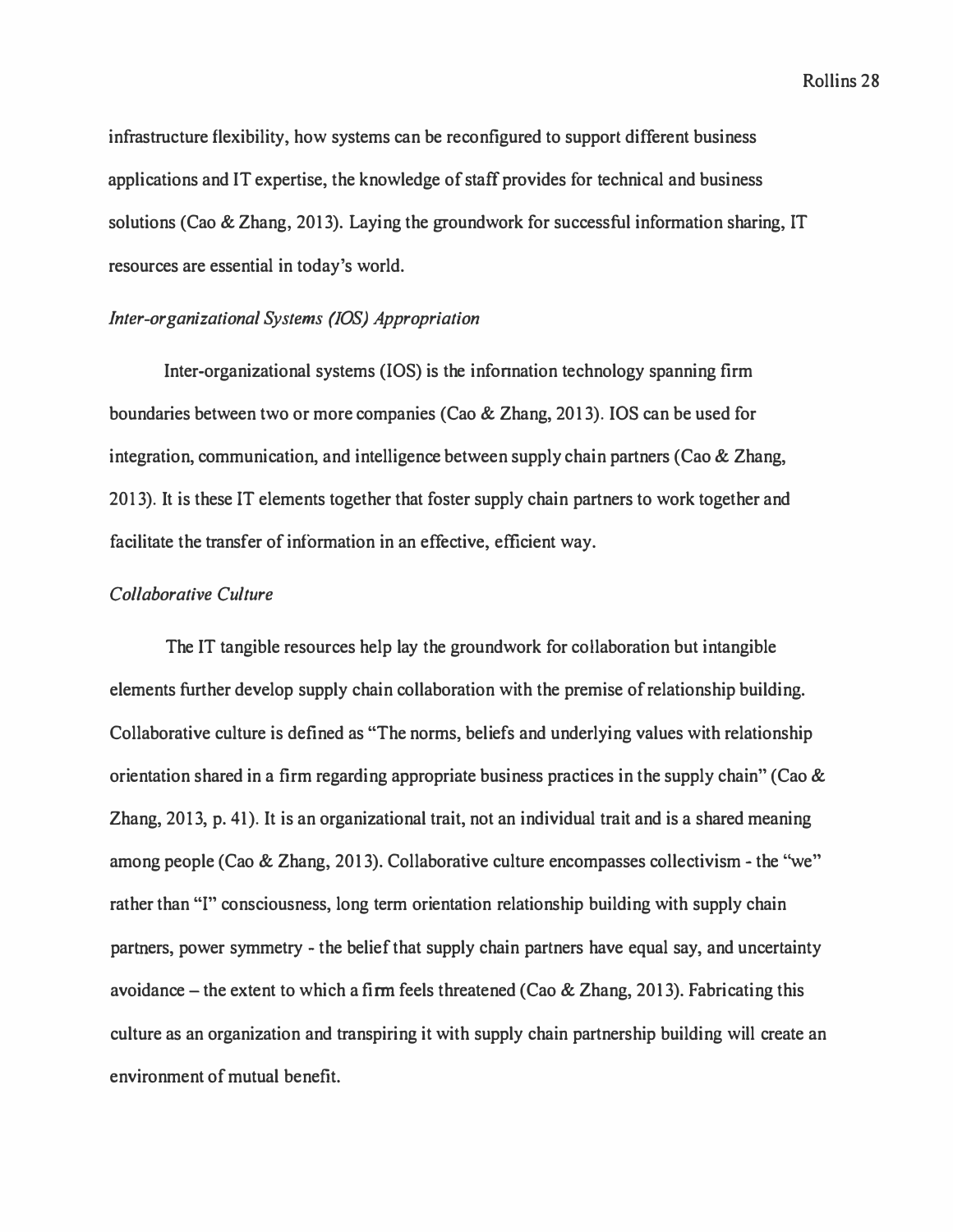infrastructure flexibility, how systems can be reconfigured to support different business applications and IT expertise, the knowledge of staff provides for technical and business solutions (Cao & Zhang, 2013). Laying the groundwork for successful information sharing, IT resources are essential in today's world.

# *Inter-organizational Systems (!OS) Appropriation*

Inter-organizational systems (IOS) is the infonnation technology spanning firm boundaries between two or more companies (Cao & Zhang, 2013). IOS can be used for integration, communication, and intelligence between supply chain partners (Cao & Zhang, 2013). It is these IT elements together that foster supply chain partners to work together and facilitate the transfer of information in an effective, efficient way.

# *Collaborative Culture*

The IT tangible resources help lay the groundwork for collaboration but intangible elements further develop supply chain collaboration with the premise of relationship building. Collaborative culture is defined as "The norms, beliefs and underlying values with relationship orientation shared in a firm regarding appropriate business practices in the supply chain" (Cao & Zhang, 2013, p. 41). It is an organizational trait, not an individual trait and is a shared meaning among people (Cao & Zhang, 2013). Collaborative culture encompasses collectivism - the "we" rather than "I" consciousness, long term orientation relationship building with supply chain partners, power symmetry - the belief that supply chain partners have equal say, and uncertainty avoidance – the extent to which a firm feels threatened (Cao & Zhang, 2013). Fabricating this culture as an organization and transpiring it with supply chain partnership building will create an environment of mutual benefit.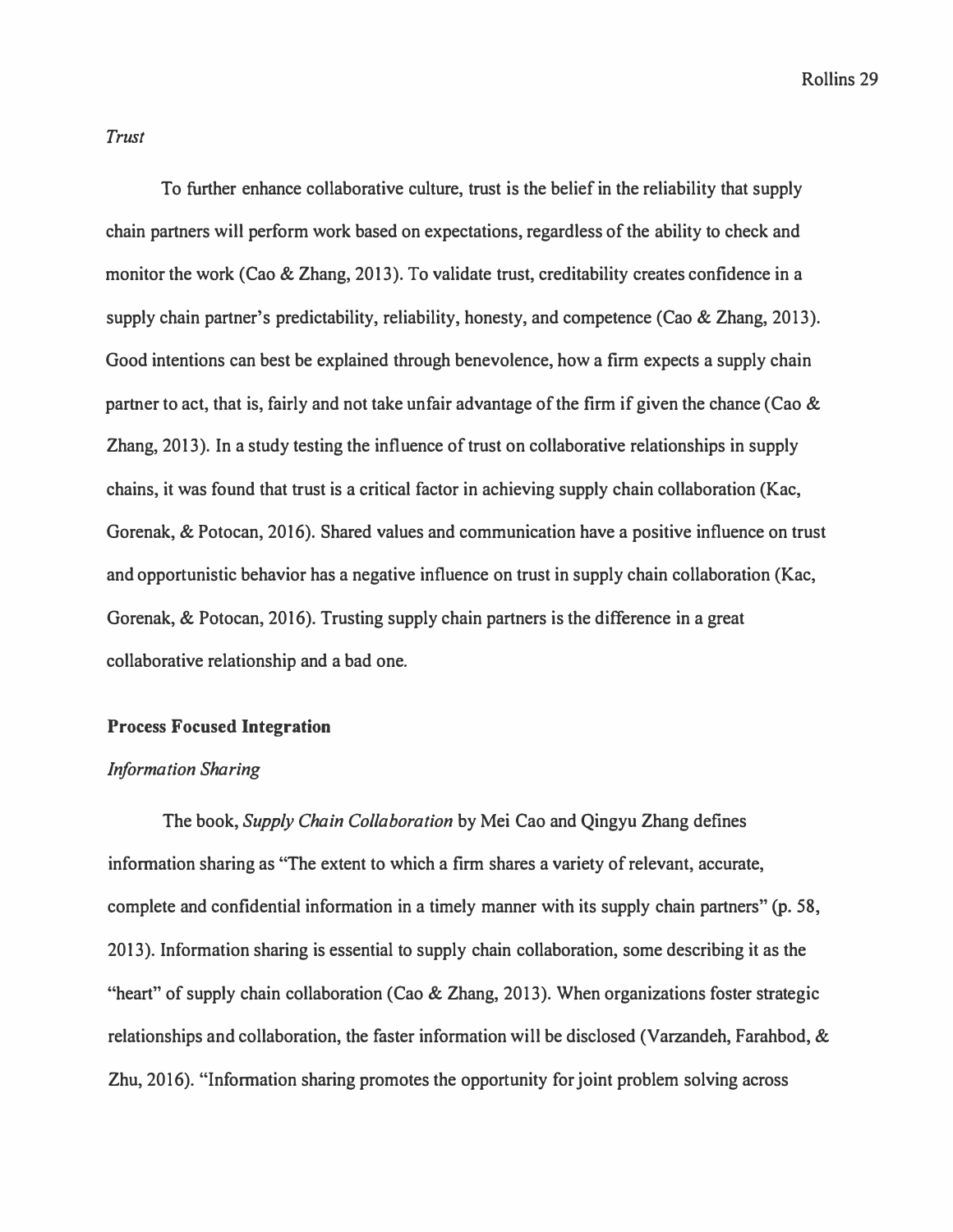### *Trust*

**To further enhance collaborative culture, trust is the belief in the reliability that supply chain partners will perform work based on expectations, regardless of the ability to check and monitor the work (Cao** & **Zhang, 2013). To validate trust, creditability creates confidence in a supply chain partner's predictability, reliability, honesty, and competence (Cao & Zhang, 2013). Good intentions can best be explained through benevolence, how a firm expects a supply chain partner to act, that is, fairly and not take unfair advantage of the firm if given the chance (Cao** & **Zhang, 2013). In a study testing the influence of trust on collaborative relationships in supply chains, it was found that trust is a critical factor in achieving supply chain collaboration (Kac, Gorenak,** & **Potocan, 2016). Shared values and communication have a positive influence on trust and opportunistic behavior has a negative influence on trust in supply chain collaboration (Kac, Gorenak,** & **Potocan, 2016). Trusting supply chain partners is the difference in a great collaborative relationship and a bad one.** 

# **Process Focused Integration**

# *Information Sharing*

**The book,** *Supply Chain Collaboration* **by Mei Cao and Qingyu Zhang defines information sharing as "The extent to which a firm shares a variety of relevant, accurate, complete and confidential information in a timely manner with its supply chain partners"** (p. **58, 2013). Information sharing is essential to supply chain collaboration, some describing it as the "heart" of supply chain collaboration (Cao & Zhang, 2013). When organizations foster strategic relationships and collaboration, the faster information will be disclosed (Varzandeh, Farahbod,** & **Zhu, 2016). "Information sharing promotes the opportunity for joint problem solving across**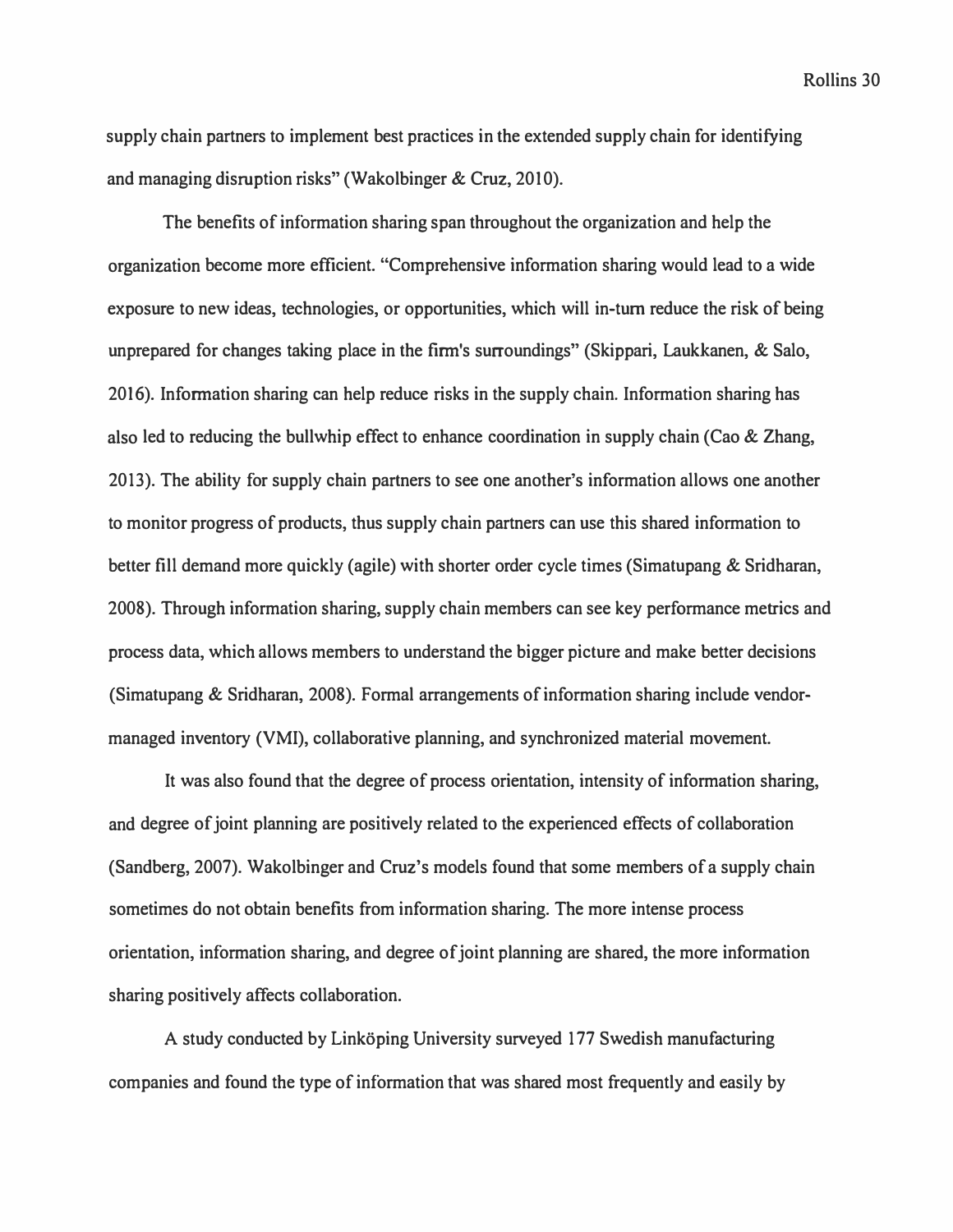**supply chain partners to implement best practices in the extended supply chain for identifying and managing disruption risks" (Wakolbinger & Cruz, 2010).** 

**The benefits of information sharing span throughout the organization and help the organization become more efficient. "Comprehensive information sharing would lead to a wide exposure to new ideas, technologies, or opportunities, which will in-tum reduce the risk of being unprepared for changes taking place in the firm's surroundings" (Skippari, Laukkanen, & Salo, 2016). Information sharing can help reduce risks in the supply chain. Information sharing has also led to reducing the bullwhip effect to enhance coordination in supply chain (Cao & Zhang, 2013). The ability for supply chain partners to see one another's information allows one another to monitor progress of products, thus supply chain partners can use this shared information to better fill demand more quickly (agile) with shorter order cycle times (Simatupang & Sridharan, 2008). Through information sharing, supply chain members can see key performance metrics and process data, which allows members to understand the bigger picture and make better decisions (Simatupang & Sridharan, 2008). Formal arrangements of information sharing include vendormanaged inventory (VMI), collaborative planning, and synchronized material movement.** 

**It was also found that the degree of process orientation, intensity of information sharing, and degree of joint planning are positively related to the experienced effects of collaboration (Sandberg, 2007). Wakolbinger and Cruz's models found that some members of a supply chain sometimes do not obtain benefits from information sharing. The more intense process orientation, information sharing, and degree of joint planning are shared, the more information sharing positively affects collaboration.** 

A study conducted by Linköping University surveyed 177 Swedish manufacturing **companies and found the type of information that was shared most frequently and easily by**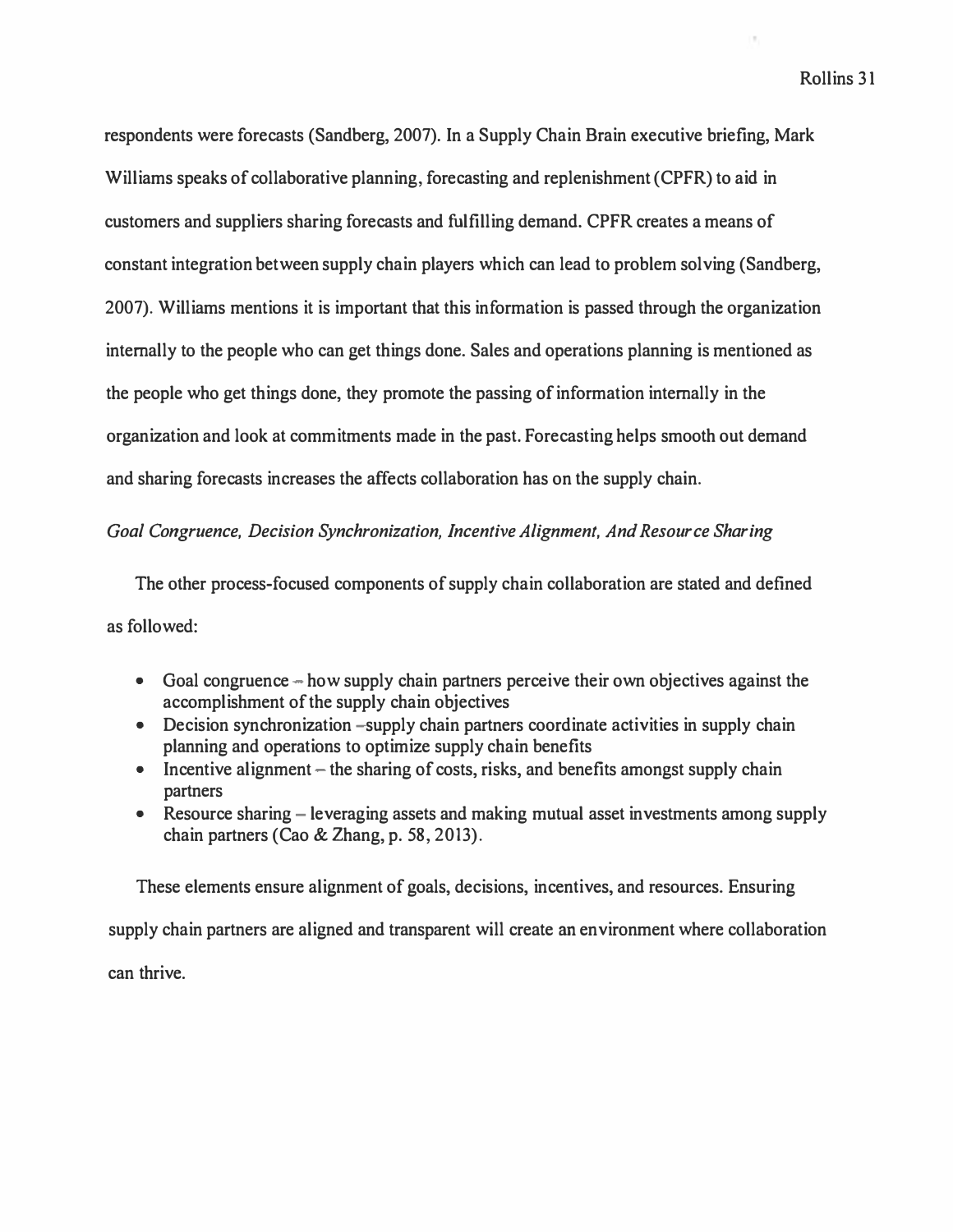respondents were forecasts (Sandberg, 2007). In a Supply Chain Brain executive briefing, Mark Williams speaks of collaborative planning, forecasting and replenishment (CPFR) to aid in customers and suppliers sharing forecasts and fulfilling demand. CPFR creates a means of constant integration between supply chain players which can lead to problem solving (Sandberg, 2007). Williams mentions it is important that this information is passed through the organization internally to the people who can get things done. Sales and operations planning is mentioned as the people who get things done, they promote the passing of information internally in the organization and look at commitments made in the past. Forecasting helps smooth out demand and sharing forecasts increases the affects collaboration has on the supply chain.

# *Goal Congruence, Decision Synchronization, Incentive Alignment, And Resource Sharing*

The other process-focused components of supply chain collaboration are stated and defined as followed:

- Goal congruence how supply chain partners perceive their own objectives against the accomplishment of the supply chain objectives
- Decision synchronization –supply chain partners coordinate activities in supply chain planning and operations to optimize supply chain benefits
- Incentive alignment  $-$  the sharing of costs, risks, and benefits amongst supply chain partners
- Resource sharing leveraging assets and making mutual asset investments among supply chain partners (Cao & Zhang, p. 58, 2013).

These elements ensure alignment of goals, decisions, incentives, and resources. Ensuring supply chain partners are aligned and transparent will create an environment where collaboration can thrive.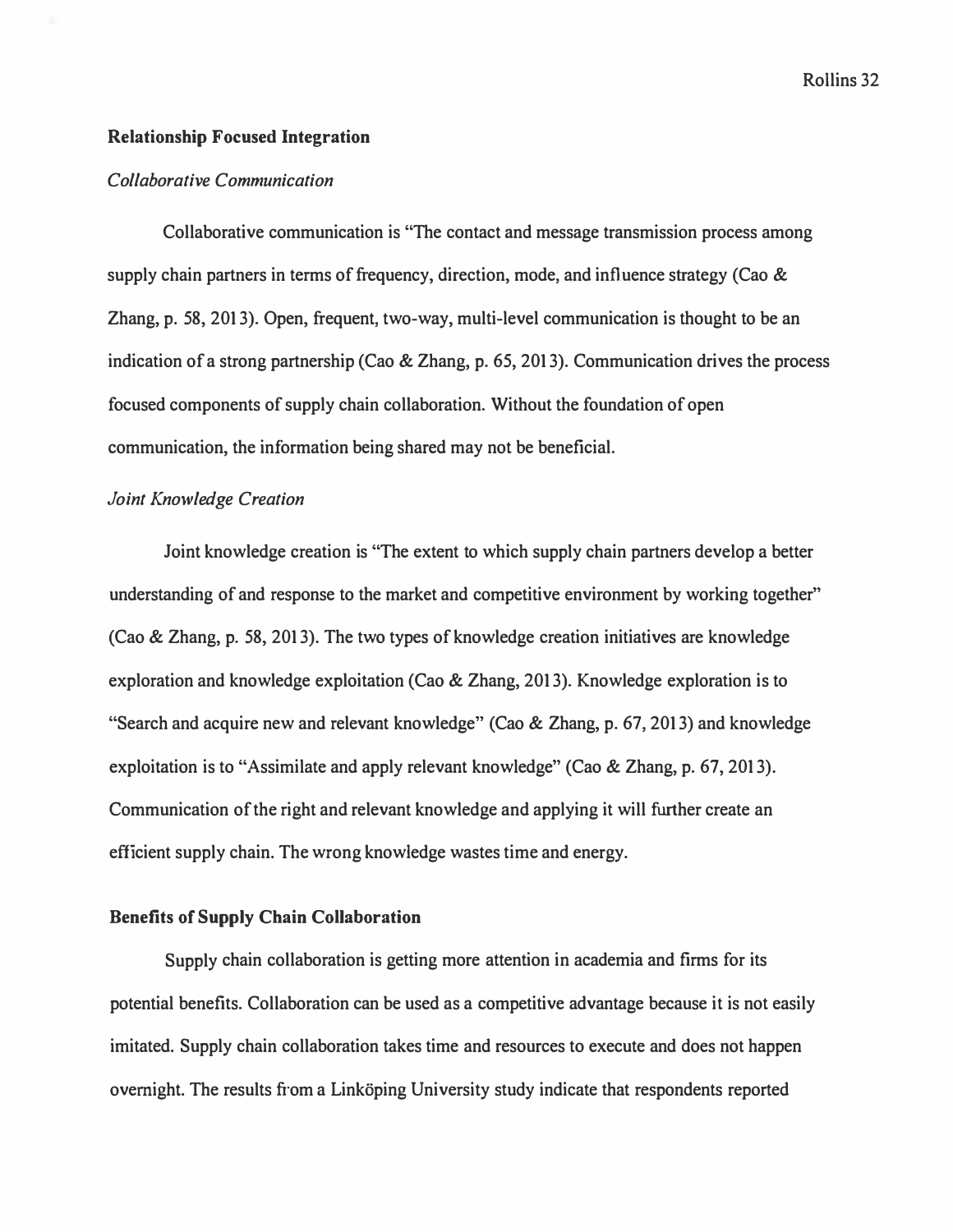#### **Relationship Focused Integration**

#### *Collaborative Communication*

**Collaborative communication is "The contact and message transmission process among supply chain partners in terms of frequency, direction, mode, and influence strategy (Cao & Zhang, p. 58, 2013). Open, frequent, two-way, multi-level communication is thought to be an indication of a strong partnership (Cao & Zhang, p. 65, 2013). Communication drives the process focused components of supply chain collaboration. Without the foundation of open communication, the information being shared may not be beneficial.** 

#### *Joint Knowledge Creation*

**Joint knowledge creation is "The extent to which supply chain partners develop a better understanding of and response to the market and competitive environment by working together" (Cao & Zhang, p. 58, 2013). The two types of knowledge creation initiatives are knowledge exploration and knowledge exploitation (Cao & Zhang, 2013). Knowledge exploration is to "Search and acquire new and relevant knowledge" (Cao & Zhang, p. 67, 2013) and knowledge exploitation is to "Assimilate and apply relevant knowledge" (Cao & Zhang, p. 67, 2013). Communication of the right and relevant knowledge and applying it will further create an efficient supply chain. The wrong knowledge wastes time and energy.** 

# **Benefits of Supply Chain Collaboration**

**Supply chain collaboration is getting more attention in academia and firms for its potential benefits. Collaboration can be used as a competitive advantage because it is not easily imitated. Supply chain collaboration takes time and resources to execute and does not happen**  overnight. The results from a Linköping University study indicate that respondents reported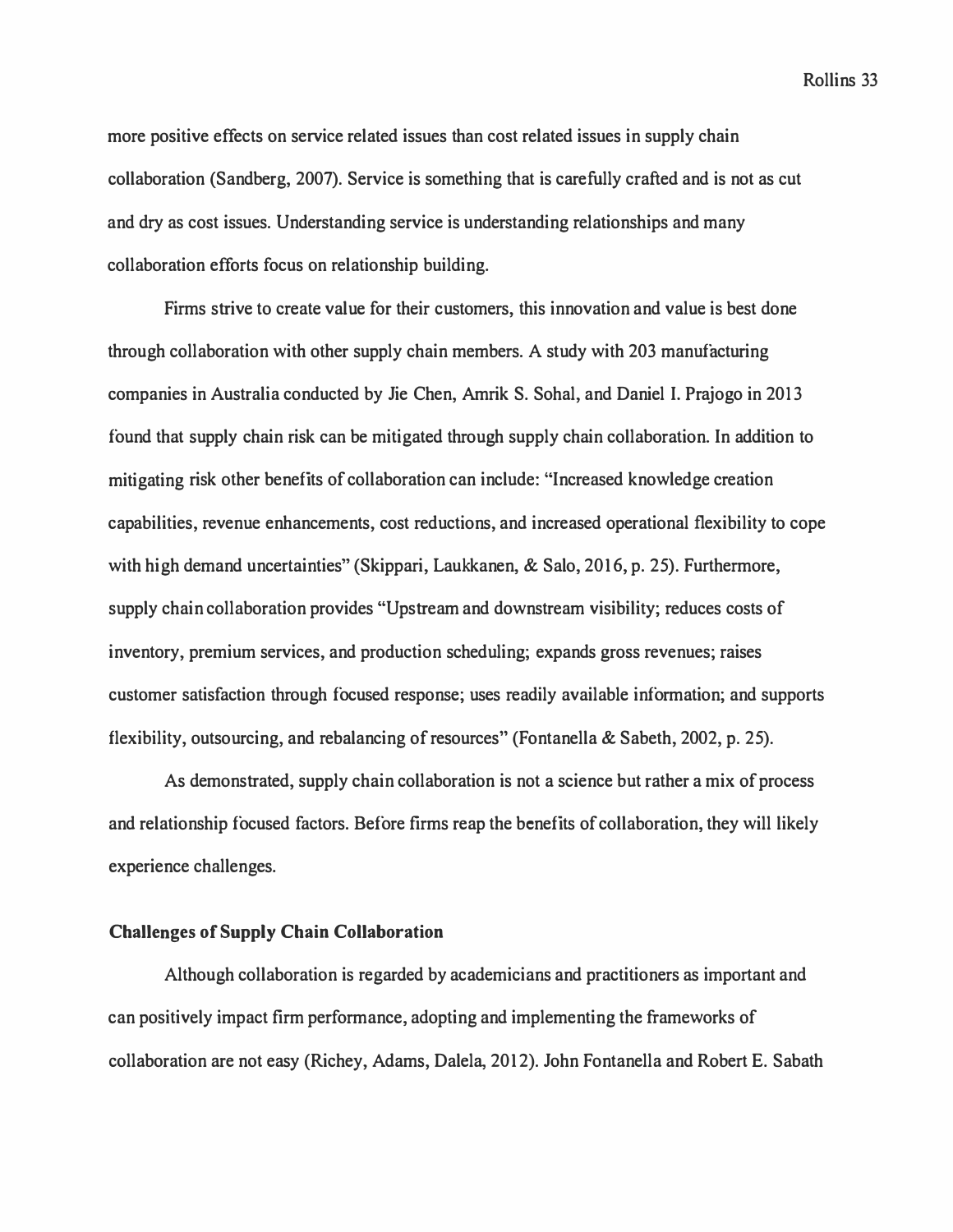more positive effects on service related issues than cost related issues in supply chain collaboration (Sandberg, 2007). Service is something that is carefully crafted and is not as cut and dry as cost issues. Understanding service is understanding relationships and many collaboration efforts focus on relationship building.

Firms strive to create value for their customers, this innovation and value is best done through collaboration with other supply chain members. A study with 203 manufacturing companies in Australia conducted by Jie Chen, Amrik S. Sohal, and Daniel I. Prajogo in 2013 found that supply chain risk can be mitigated through supply chain collaboration. In addition to mitigating risk other benefits of collaboration can include: "Increased knowledge creation capabilities, revenue enhancements, cost reductions, and increased operational flexibility to cope with high demand uncertainties" (Skippari, Laukkanen, & Salo, 2016, p. 25). Furthermore, supply chain collaboration provides ''Upstream and downstream visibility; reduces costs of inventory, premium services, and production scheduling; expands gross revenues; raises customer satisfaction through focused response; uses readily available information; and supports flexibility, outsourcing, and rebalancing of resources" (Fontanella & Sabeth, 2002, p. 25).

As demonstrated, supply chain collaboration is not a science but rather a mix of process and relationship focused factors. Before firms reap the benefits of collaboration, they will likely experience challenges.

### **Challenges of Supply Chain Collaboration**

Although collaboration is regarded by academicians and practitioners as important and can positively impact firm performance, adopting and implementing the frameworks of collaboration are not easy (Richey, Adams, Dalela, 2012). John Fontanella and Robert E. Sabath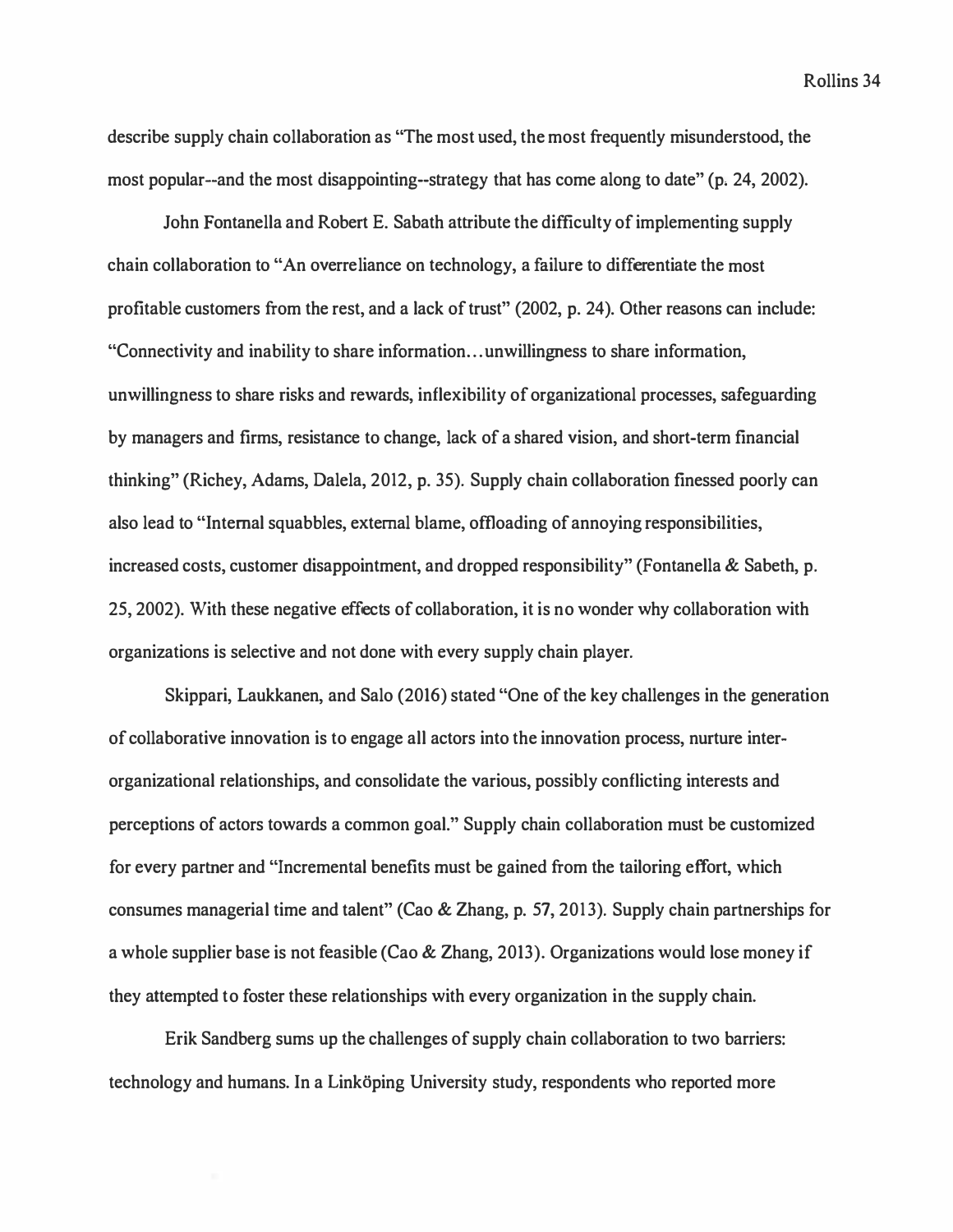describe supply chain collaboration as "The most used, the most frequently misunderstood, the most popular--and the most disappointing--strategy that has come along to date" (p. 24, 2002).

John Fontanella and Robert E. Sabath attribute the difficulty of implementing supply chain collaboration to "An overreliance on technology, a failure to differentiate the most profitable customers from the rest, and a lack of trust" (2002, p. 24). Other reasons can include: "Connectivity and inability to share information ... unwillingness to share information, unwillingness to share risks and rewards, inflexibility of organizational processes, safeguarding by managers and firms, resistance to change, lack of a shared vision, and short-term financial thinking" (Richey, Adams, Dalela, 2012, p. 35). Supply chain collaboration finessed poorly can also lead to "Internal squabbles, external blame, offloading of annoying responsibilities, increased costs, customer disappointment, and dropped responsibility" (Fontanella & Sabeth, p. 25, 2002). With these negative effects of collaboration, it is no wonder why collaboration with organizations is selective and not done with every supply chain player.

Skippari, Laukkanen, and Salo (2016) stated "One of the key challenges in the generation of collaborative innovation is to engage all actors into the innovation process, nurture interorganizational relationships, and consolidate the various, possibly conflicting interests and perceptions of actors towards a common goal." Supply chain collaboration must be customized for every partner and "Incremental benefits must be gained from the tailoring effort, which consumes managerial time and talent" (Cao & Zhang, p. 57, 2013). Supply chain partnerships for a whole supplier base is not feasible (Cao & Zhang, 2013). Organizations would lose money if they attempted to foster these relationships with every organization in the supply chain.

Erik Sandberg sums up the challenges of supply chain collaboration to two barriers: technology and humans. In a Linköping University study, respondents who reported more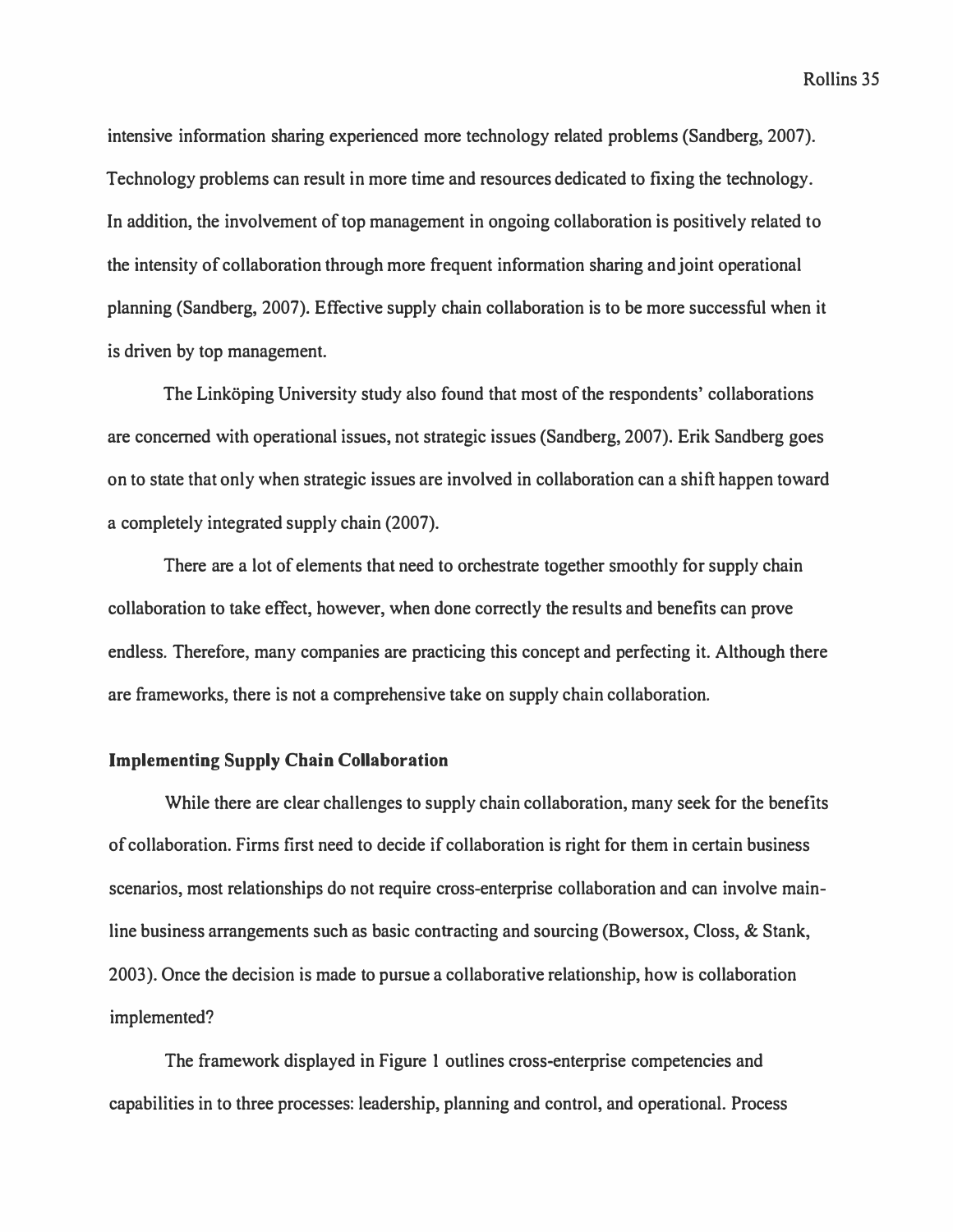**intensive information sharing experienced more technology related problems (Sandberg, 2007). Technology problems can result in more time and resources dedicated to fixing the technology. In addition, the involvement of top management in ongoing collaboration is positively related to the intensity of collaboration through more frequent information sharing and joint operational planning (Sandberg, 2007). Effective supply chain collaboration is to be more successful when it is driven by top management.** 

The Linkoping University study also found that most of the respondents' collaborations **are concerned with operational issues, not strategic issues (Sandberg, 2007). Erik Sandberg goes on to state that only when strategic issues are involved in collaboration can a shift happen toward a completely integrated supply chain (2007).** 

**There are a lot of elements that need to orchestrate together smoothly for supply chain collaboration to take effect, however, when done correctly the results and benefits can prove endless. Therefore, many companies are practicing this concept and perfecting it. Although there are frameworks, there is not a comprehensive take on supply chain collaboration.** 

#### **Implementing Supply Chain Collaboration**

**While there are clear challenges to supply chain collaboration, many seek for the benefits of collaboration. Firms first need to decide if collaboration is right for them in certain business scenarios, most relationships do not require cross-enterprise collaboration and can involve mainline business arrangements such as basic contracting and sourcing (Bowersox, Closs, & Stank, 2003). Once the decision is made to pursue a collaborative relationship, how is collaboration implemented?** 

**The framework displayed in Figure 1 outlines cross-enterprise competencies and capabilities in to three processes: leadership, planning and control, and operational. Process**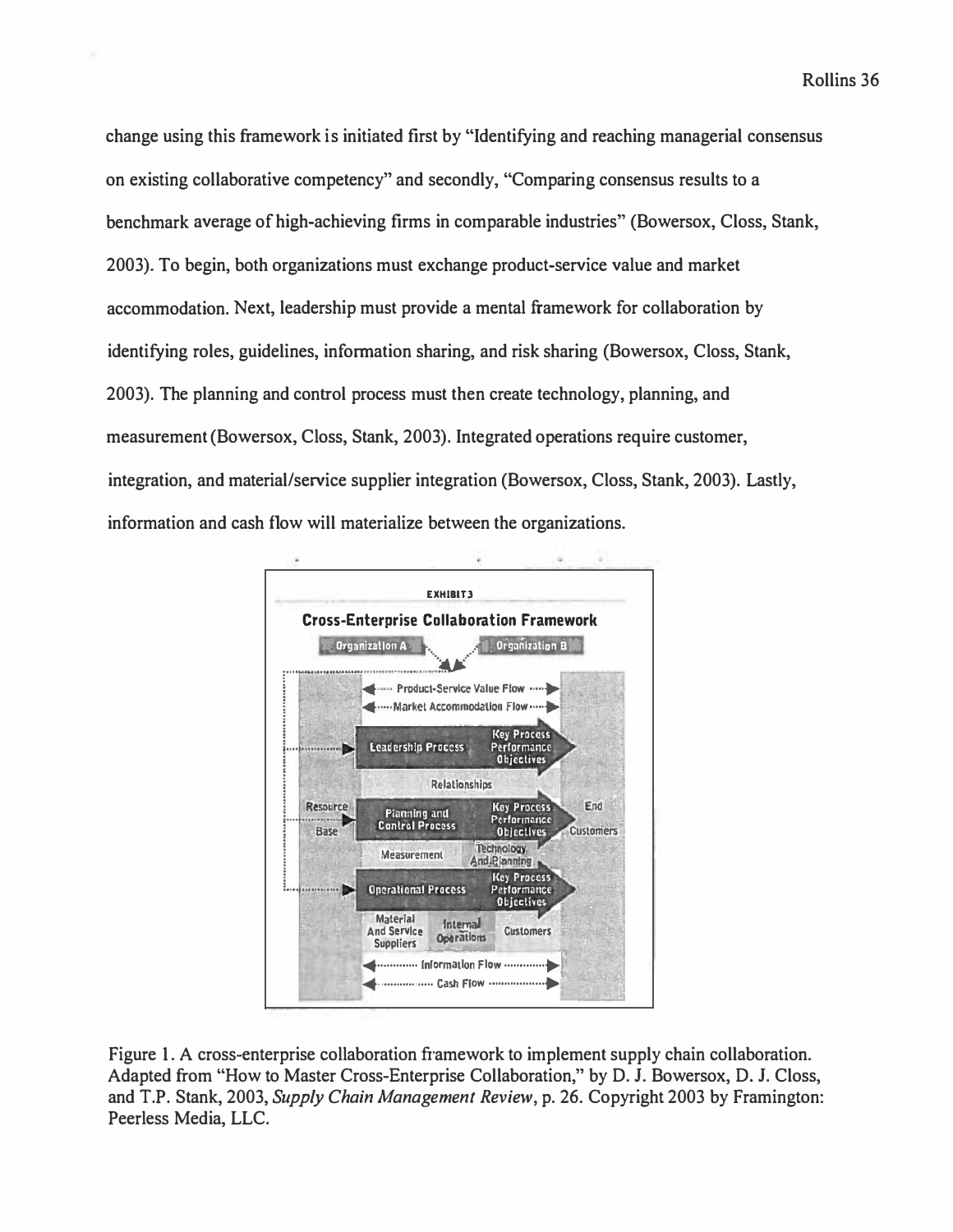*change using this framework is initiated first by "Identifying and reaching managerial consensus on existing collaborative competency" and secondly, "Comparing consensus results to a benchmark average of high-achieving firms in comparable industries" (Bowersox, Closs, Stank, 2003). To begin, both organizations must exchange product-service value and market accommodation. Next, leadership must provide a mental framework for collaboration by identifying roles, guidelines, information sharing, and risk sharing (Bowersox, Closs, Stank, 2003). The planning and control process must then create technology, planning, and measurement (Bowersox, Closs, Stank, 2003). Integrated operations require customer, integration, and material/service supplier integration (Bowersox, Closs, Stank, 2003). Lastly, information and cash flow will materialize between the organizations.* 



*Figure 1. A cross-enterprise collaboration framework to implement supply chain collaboration. Adapted from "How to Master Cross-Enterprise Collaboration," by D. J. Bowersox, D. J. Closs, and T.P. Stank, 2003, Supply Chain Management Review, p. 26. Copyright 2003 by Framington: Peerless Media, LLC.*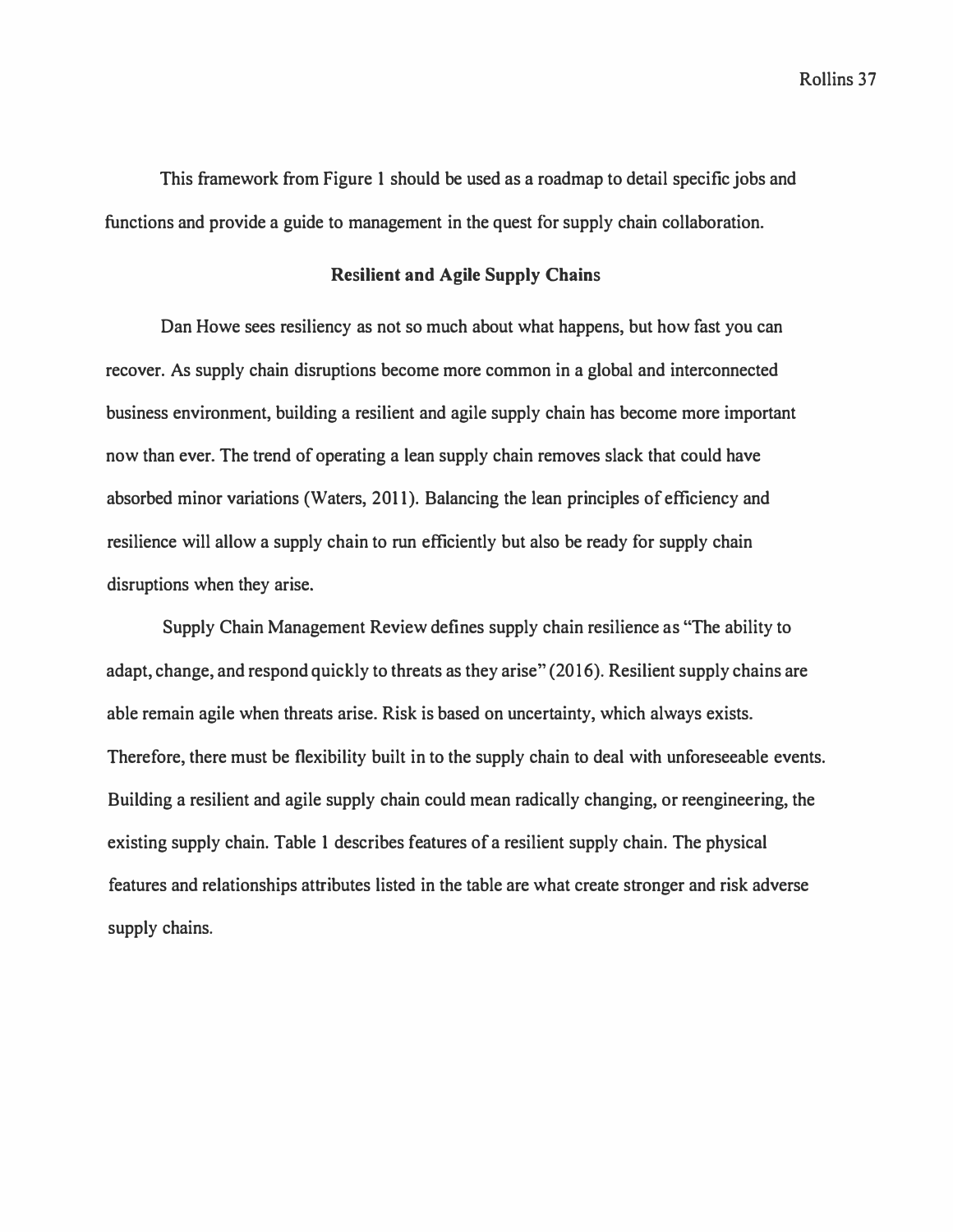*This framework from Figure 1 should be used as a roadmap to detail specific jobs and functions and provide a guide to management in the quest for supply chain collaboration.* 

# **Resilient and Agile Supply Chains**

*Dan Howe sees resiliency as not so much about what happens, but how fast you can recover. As supply chain disruptions become more common in a global and interconnected business environment, building a resilient and agile supply chain has become more important*  now than ever. The trend of operating a lean supply chain removes slack that could have *absorbed minor variations (Waters, 2011). Balancing the lean principles of efficiency and*  resilience will allow a supply chain to run efficiently but also be ready for supply chain *disruptions when they arise.* 

*Supply Chain Management Review defines supply chain resilience as "The ability to adapt, change, and respond quickly to threats as they arise" (2016). Resilient supply chains are able remain agile when threats arise. Risk is based on uncertainty, which always exists. Therefore, there must be flexibility built in to the supply chain to deal with unforeseeable events. Building a resilient and agile supply chain could mean radically changing, or reengineering, the existing supply chain. Table 1 describes features of a resilient supply chain. The physical features and relationships attributes listed in the table are what create stronger and risk adverse supply chains.*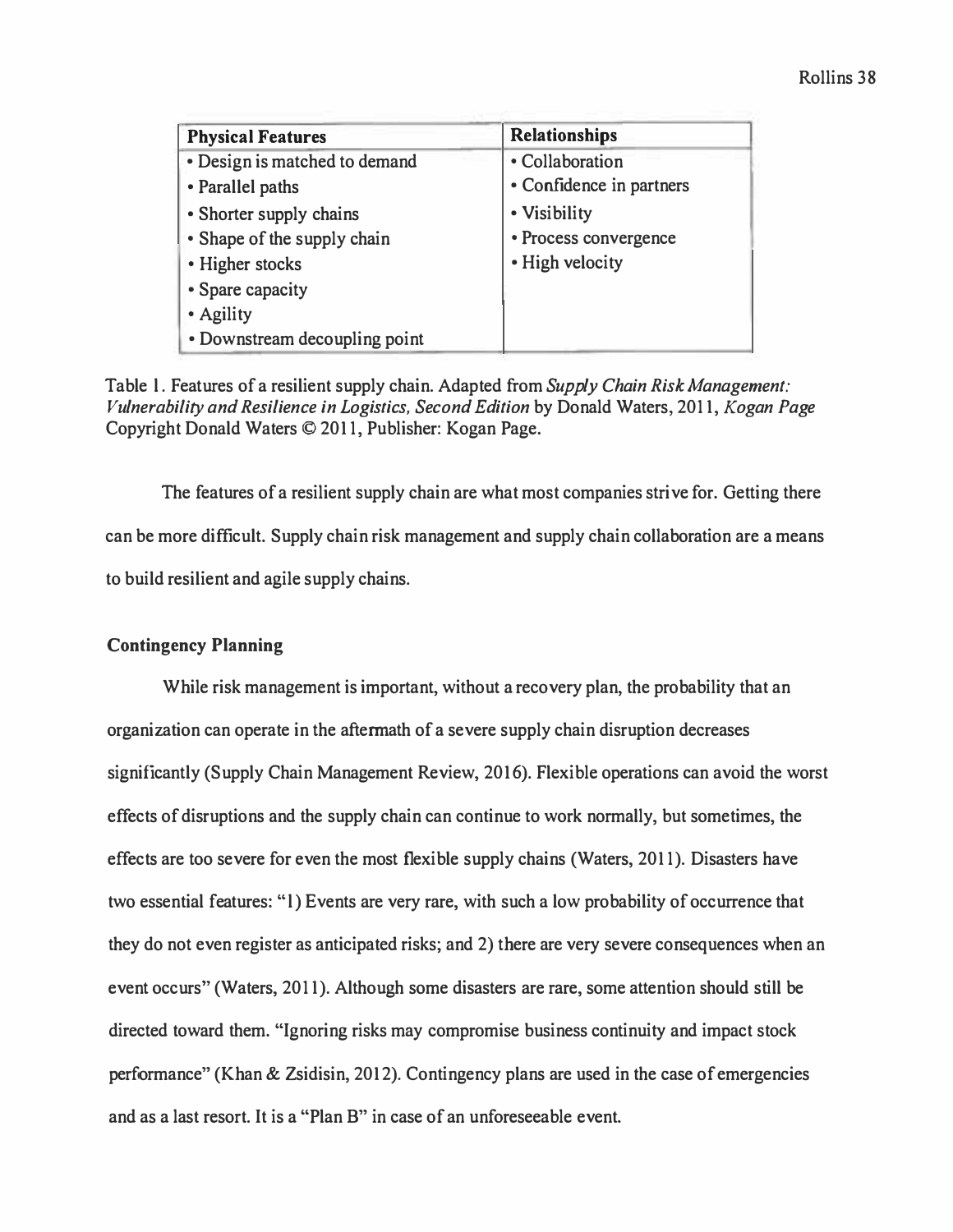| <b>Physical Features</b>      | <b>Relationships</b>     |
|-------------------------------|--------------------------|
| • Design is matched to demand | · Collaboration          |
| • Parallel paths              | • Confidence in partners |
| • Shorter supply chains       | • Visibility             |
| • Shape of the supply chain   | • Process convergence    |
| • Higher stocks               | • High velocity          |
| • Spare capacity              |                          |
| • Agility                     |                          |
| • Downstream decoupling point |                          |

Table l. Features of a resilient supply chain. Adapted from *Supply Chain Risk Management: Vulnerability and Resilience in Logistics, Second Edition* by Donald Waters, 2011, *Kogan Page*  Copyright Donald Waters © 2011, Publisher: Kogan Page.

The features of a resilient supply chain are what most companies strive for. Getting there can be more difficult. Supply chain risk management and supply chain collaboration are a means to build resilient and agile supply chains.

# **Contingency Planning**

While risk management is important, without a recovery plan, the probability that an organization can operate in the aftermath of a severe supply chain disruption decreases significantly (Supply Chain Management Review, 2016). Flexible operations can avoid the worst effects of disruptions and the supply chain can continue to work normally, but sometimes, the effects are too severe for even the most flexible supply chains (Waters, 2011). Disasters have two essential features: "l) Events are very rare, with such a low probability of occurrence that they do not even register as anticipated risks; and 2) there are very severe consequences when an event occurs" (Waters, 2011). Although some disasters are rare, some attention should still be directed toward them. "Ignoring risks may compromise business continuity and impact stock performance" (Khan & Zsidisin, 2012). Contingency plans are used in the case of emergencies and as a last resort. It is a "Plan B" in case of an unforeseeable event.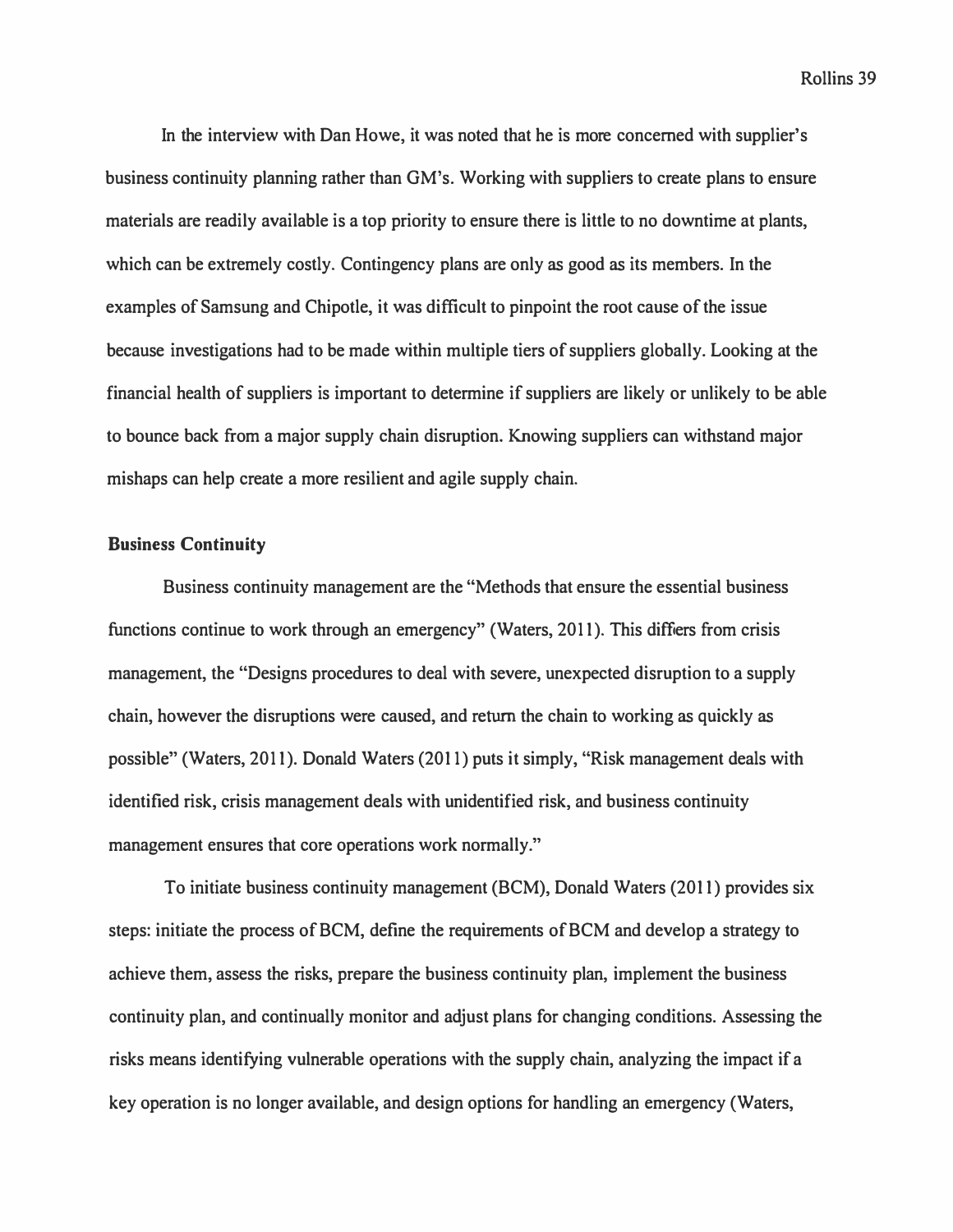**In the interview with Dan Howe, it was noted that he is more concerned with supplier's business continuity planning rather than GM's. Working with suppliers to create plans to ensure materials are readily available is a top priority to ensure there is little to no downtime at plants, which can be extremely costly. Contingency plans are only** *as* **good** *as* **its members. In the examples of Samsung and Chipotle, it was difficult to pinpoint the root cause of the issue because investigations had to be made within multiple tiers of suppliers globally. Looking at the financial health of suppliers is important to determine if suppliers are likely or unlikely to be able to bounce back from a major supply chain disruption. Knowing suppliers can withstand major mishaps can help create a more resilient and agile supply chain.** 

# **Business Continuity**

**Business continuity management are the "Methods that ensure the essential business functions continue to work through an emergency" (Waters, 2011). This differs from crisis management, the "Designs procedures to deal with severe, unexpected disruption to a supply chain, however the disruptions were caused, and return the chain to working** *as* **quickly** *as*  **possible" (Waters, 2011). Donald Waters (2011) puts it simply, "Risk management deals with identified risk, crisis management deals with unidentified risk, and business continuity management ensures that core operations work normally."** 

**To initiate business continuity management (BCM), Donald Waters (2011) provides six steps: initiate the process of BCM, define the requirements of BCM and develop a strategy to achieve them, assess the risks, prepare the business continuity plan, implement the business continuity plan, and continually monitor and adjust plans for changing conditions. Assessing the risks means identifying vulnerable operations with the supply chain, analyzing the impact if a key operation is no longer available, and design options for handling an emergency (Waters,**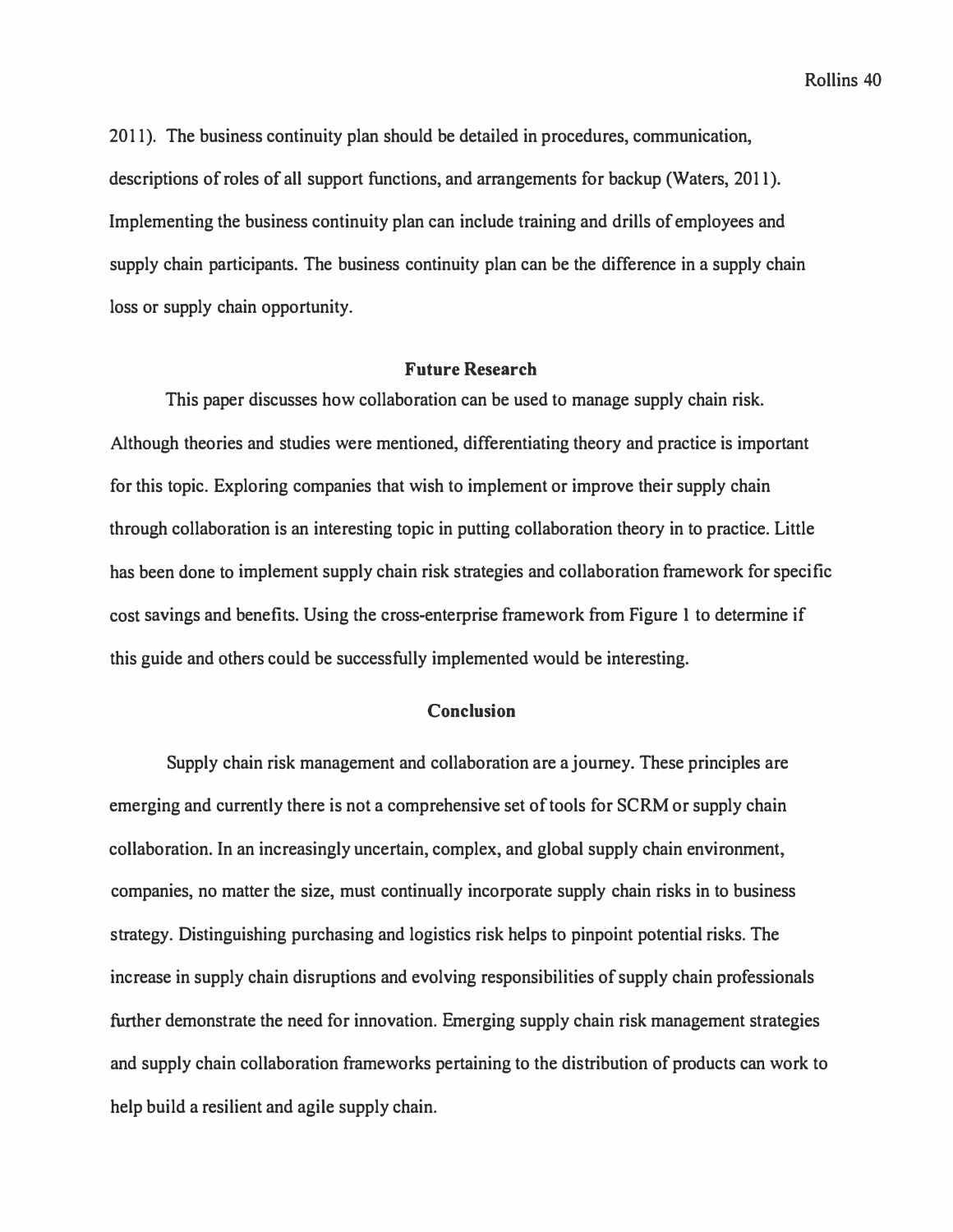2011). The business continuity plan should be detailed in procedures, communication, descriptions of roles of all support functions, and arrangements for backup (Waters, 2011 ). Implementing the business continuity plan can include training and drills of employees and supply chain participants. The business continuity plan can be the difference in a supply chain loss or supply chain opportunity.

# **Future Research**

This paper discusses how collaboration can be used to manage supply chain risk. Although theories and studies were mentioned, differentiating theory and practice is important for this topic. Exploring companies that wish to implement or improve their supply chain through collaboration is an interesting topic in putting collaboration theory in to practice. Little has been done to implement supply chain risk strategies and collaboration framework for specific cost savings and benefits. Using the cross-enterprise framework from Figure 1 to determine if this guide and others could be successfully implemented would be interesting.

# **Conclusion**

Supply chain risk management and collaboration are a journey. These principles are emerging and currently there is not a comprehensive set of tools for SCRM or supply chain collaboration. In an increasingly uncertain, complex, and global supply chain environment, companies, no matter the size, must continually incorporate supply chain risks in to business strategy. Distinguishing purchasing and logistics risk helps to pinpoint potential risks. The increase in supply chain disruptions and evolving responsibilities of supply chain professionals further demonstrate the need for innovation. Emerging supply chain risk management strategies and supply chain collaboration frameworks pertaining to the distribution of products can work to help build a resilient and agile supply chain.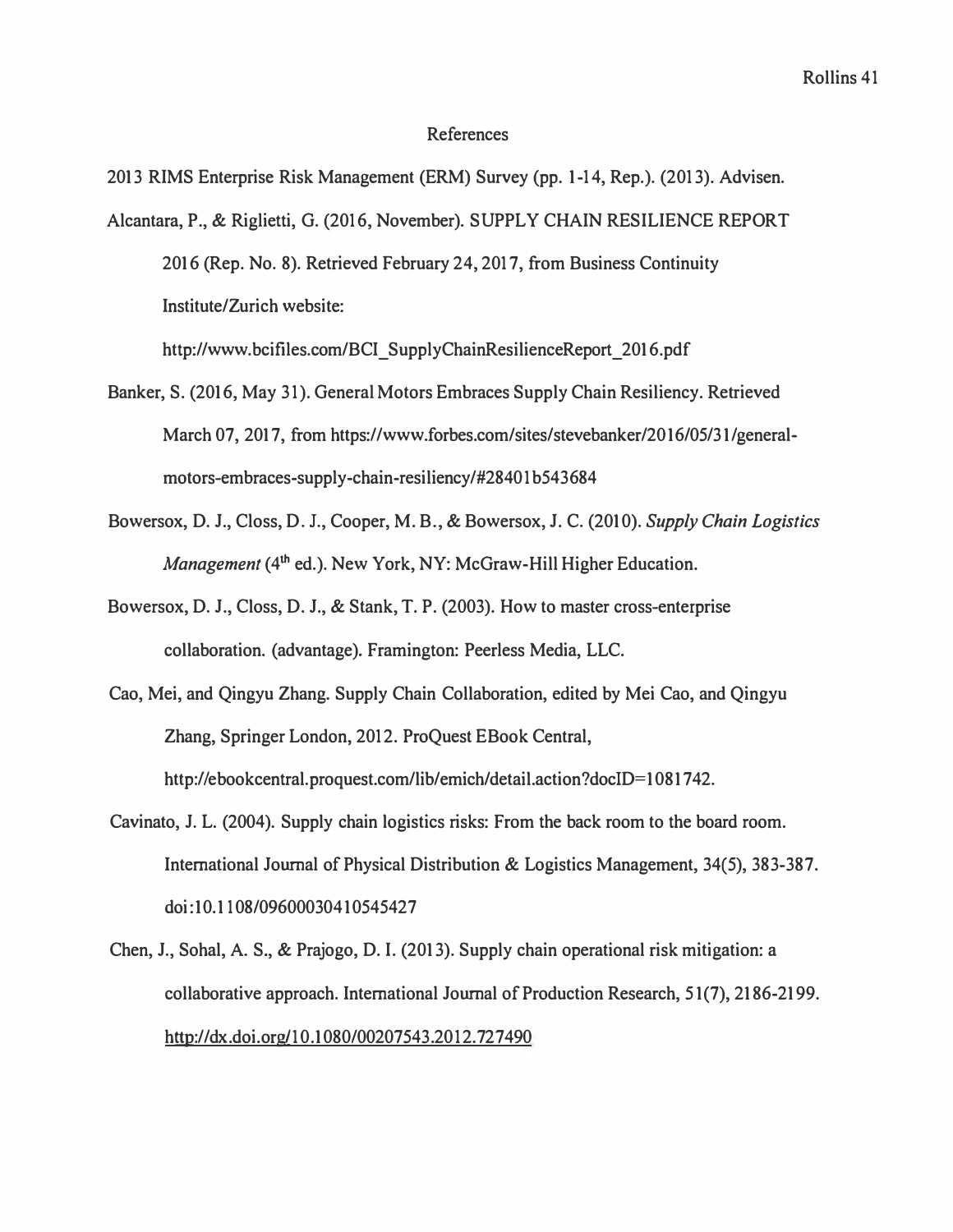#### **References**

**2013 RIMS Enterprise Risk Management (ERM) Survey (pp. 1-14, Rep.). (2013). Advisen.** 

**Alcantara, P., & Riglietti, G. (2016, November). SUPPLY CHAIN RESILIENCE REPORT 2016 (Rep. No. 8). Retrieved February 24, 2017, from Business Continuity Institute/Zurich website:** 

**http://www.bcifiles.com/BCI\_SupplyChainResilienceReport\_2016.pdf** 

- Banker, S. (2016, May 31). General Motors Embraces Supply Chain Resiliency. Retrieved March 07, 2017, from https://www.forbes.com/sites/stevebanker/2016/05/31/generalmotors-embraces-supply-chain-resiliency/#28401b543684
- **Bowersox, D. J., Closs, D. J., Cooper, M. B., & Bowersox, J. C. (2010).** *Supply Chain Logistics Management* **(4**th **ed.). New York, NY: McGraw-Hill Higher Education.**
- **Bowersox, D. J., Closs, D. J., & Stank, T. P. (2003). How to master cross-enterprise collaboration. (advantage). Framington: Peerless Media, LLC.**
- **Cao, Mei, and Qingyu Zhang. Supply Chain Collaboration, edited by Mei Cao, and Qingyu Zhang, Springer London, 2012. ProQuest EBook Central,**  http://ebookcentral.proquest.com/lib/emich/detail.action?docID=1081742.
- **Cavinato, J. L. (2004). Supply chain logistics risks: From the back room to the board room. International Journal of Physical Distribution & Logistics Management, 34(5), 383-387. doi:I0.1108/09600030410545427**
- **Chen, J., Sohal, A. S., & Prajogo, D. I. (2013). Supply chain operational risk mitigation: a collaborative approach. International Journal of Production Research, 5 1(7), 2186-2199. http://dx.doi.org/10.1080/00207543.2012. 727490**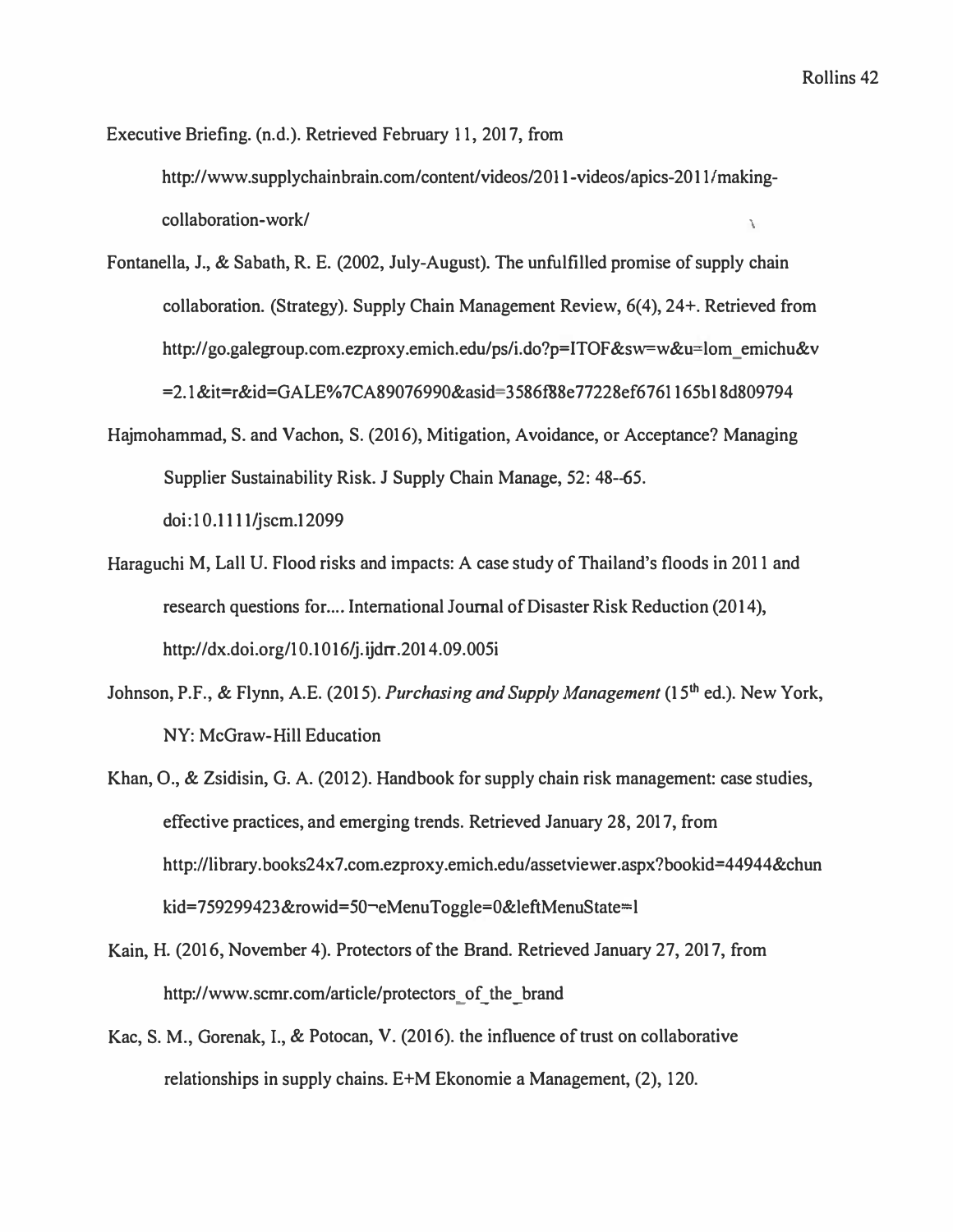**Executive Briefing. (n.d.). Retrieved February 1 1, 2017, from** 

**http://www.supplychainbrain.com/content/videos/2011-videos/apics-2011 /makingcollaboration-work/** \

- **Fontanella, J., & Sabath, R. E. (2002, July-August). The unfulfilled promise of supply chain collaboration. (Strategy). Supply Chain Management Review, 6(4), 24+. Retrieved from http://go.galegroup.com.ezproxy .emich.edu/ps/i.do?p=ITOF &sw=w&u**<sup>=</sup>**lom \_ emichu&v =2.1 &it=r&id=GALE% 7CA89076990&asid=3586IB8e77228ef6761165b l 8d809794**
- **Hajmohammad, S. and Vachon, S. (2016), Mitigation, Avoidance, or Acceptance? Managing Supplier Sustainability Risk. J Supply Chain Manage, 52: 48-65. doi:10.1111/jscm.12099**
- **Haraguchi M, Lall U. Flood risks and impacts: A case study of Thailand's floods in 2011 and**  research questions for .... International Journal of Disaster Risk Reduction (2014), **http://dx.doi.org/10.1016/j.ijdrr.2014.09.00Si**
- **Johnson, P.F., & Flynn, A.E. (2015).** *Purchasing and Supply Management* **(15**th **ed.). New York, NY: McGraw-Hill Education**
- **Khan, 0., & Zsidisin, G. A. (2012). Handbook for supply chain risk management: case studies, effective practices, and emerging trends. Retrieved January 28, 2017, from http:/ /library. books24x7 .com.ezproxy.emich.edu/ assetviewer .aspx?bookid=44944&chun kid=759299423&rowid=SO-.eMenuToggle**<sup>=</sup>**O&leftMenuState**<sup>=</sup>**l**
- **Kain, H. (2016, November 4). Protectors of the Brand. Retrieved January 27, 2017, from**  http://www.scmr.com/article/protectors of the brand
- **Kac, S. M., Gorenak, I., & Potocan, V. (2016). the influence of trust on collaborative relationships in supply chains. E+M Ekonomie a Management, (2), 120.**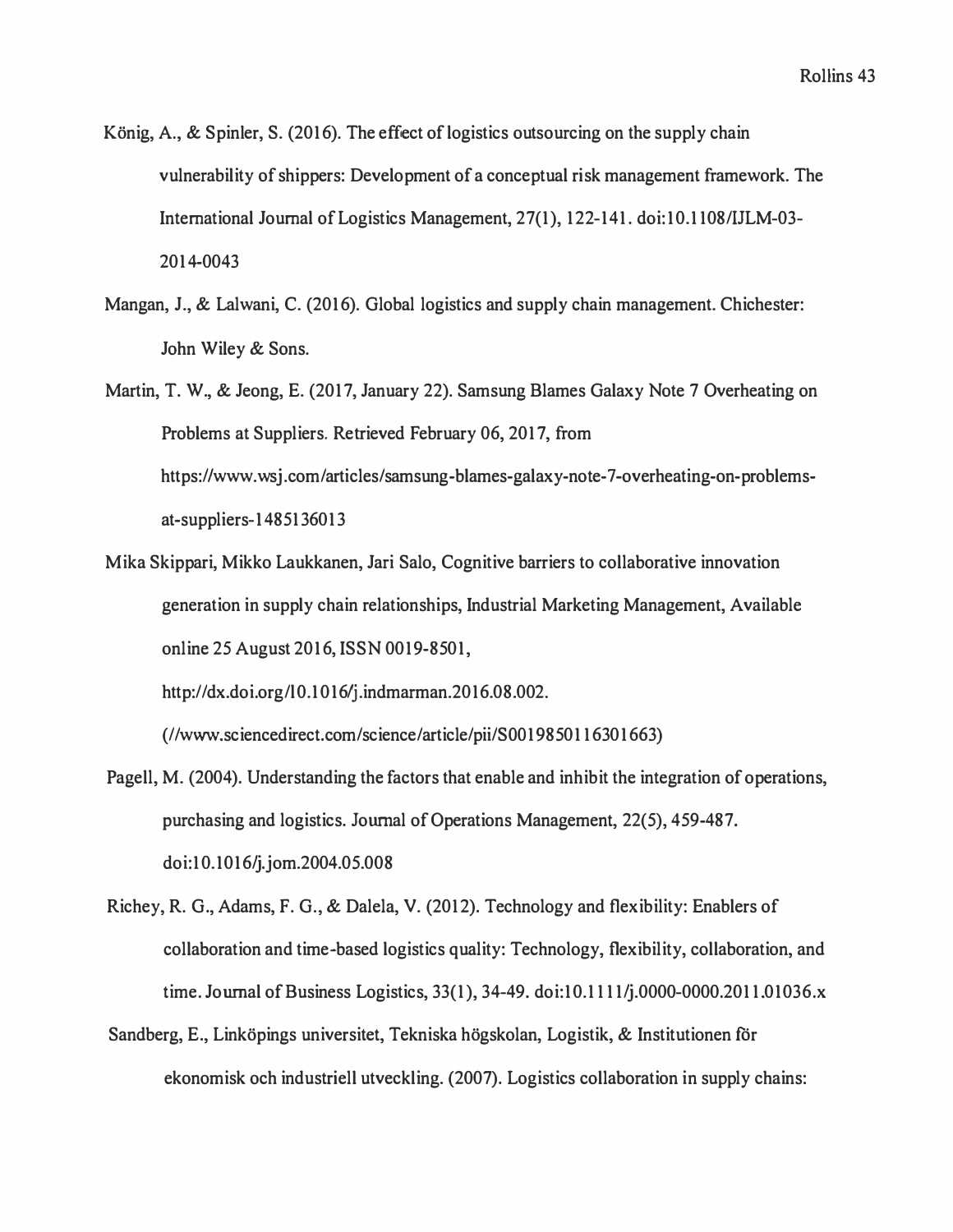- König, A., & Spinler, S. (2016). The effect of logistics outsourcing on the supply chain vulnerability of shippers: Development of a conceptual risk management framework. The International Journal of Logistics Management, 27(1 ), 122-141. doi: 10.1108/IJLM-03- 2014-0043
- Mangan, J., & Lalwani, C. (2016). Global logistics and supply chain management. Chichester: John Wiley & Sons.
- Martin, T. W., & Jeong, E. (2017, January 22). Samsung Blames Galaxy Note 7 Overheating on Problems at Suppliers. Retrieved February 06, 2017, from https://www.wsj.com/articles/samsung-blames-galaxy-note-7-overheating-on-problemsat-suppliers-1485136013
- Mika Skippari, Mikko Laukkanen, Jari Salo, Cognitive barriers to collaborative innovation generation in supply chain relationships, Industrial Marketing Management, Available online 25 August 2016, ISSN 0019-8501,

http://dx.doi.org/l 0.1016/j .indmarman.2016.08.002.

(//www.sciencedirect.com/science/article/pii/SOO 19850116301663)

- Pagell, M. (2004). Understanding the factors that enable and inhibit the integration of operations, purchasing and logistics. Journal of Operations Management, 22(5), 459-487. doi:10.1016/j.jom.2004.05.008
- Richey, R. G., Adams, F. G., & Dalela, V. (2012). Technology and flexibility: Enablers of collaboration and time-based logistics quality: Technology, flexibility, collaboration, and time. Journal of Business Logistics, 33(1), 34-49. doi:10.1111/j.0000-0000.2011.01036.x
- Sandberg, E., Linköpings universitet, Tekniska högskolan, Logistik, & Institutionen för ekonomisk och industriell utveckling. (2007). Logistics collaboration in supply chains: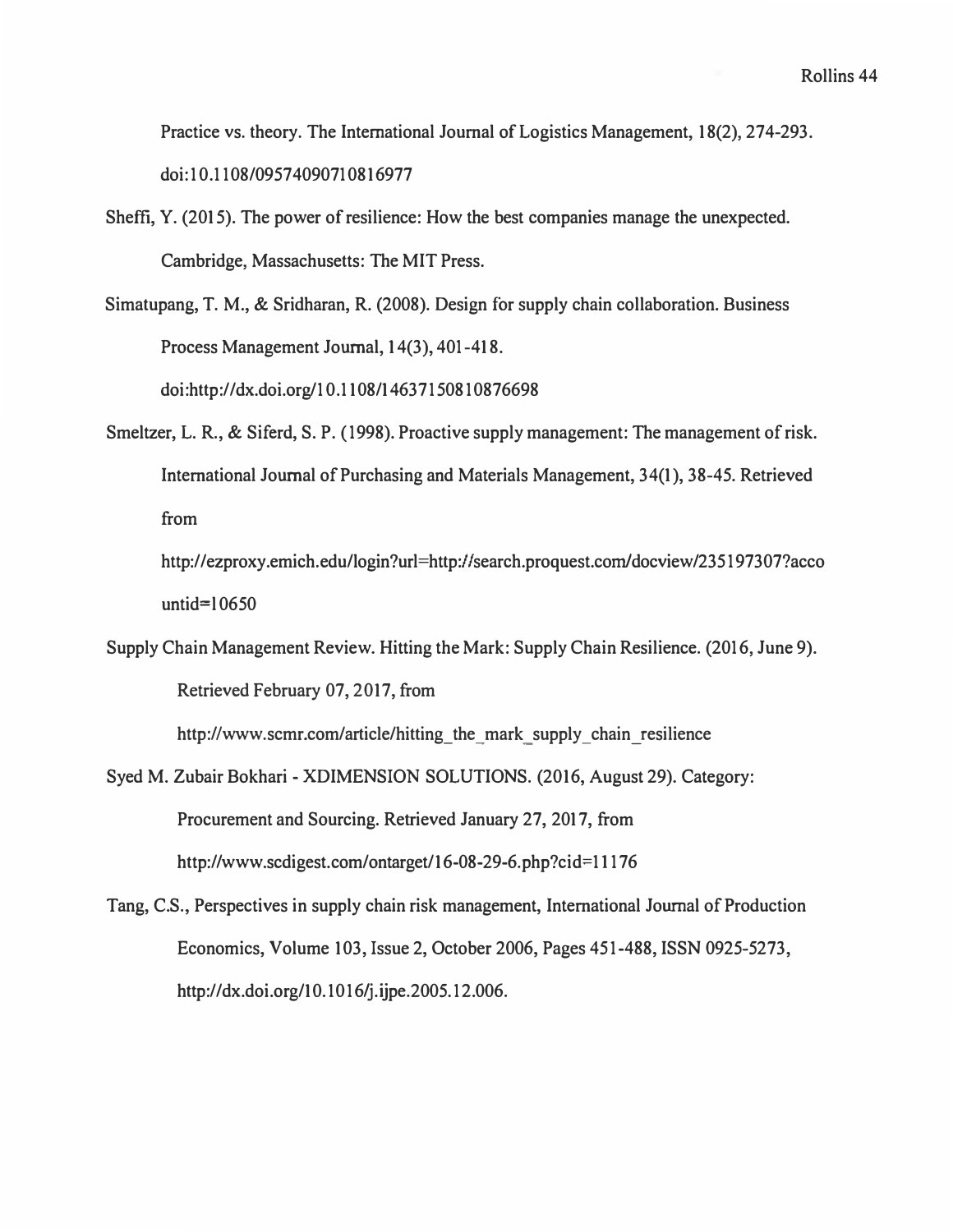**Practice vs. theory. The International Journal of Logistics Management, 18(2), 274-293. doi:10.1108/09574090710816977** 

- **Sheffi, Y. (2015). The power of resilience: How the best companies manage the unexpected. Cambridge, Massachusetts: The MIT Press.**
- **Simatupang, T. M., & Sridharan, R. (2008). Design for supply chain collaboration. Business Process Management Journal, 14(3), 401-418. doi:http://dx.doi.org/10.1108/14637150810876698**
- **Smeltzer, L. R., & Siferd, S. P. (1998). Proactive supply management: The management of risk. International Journal of Purchasing and Materials Management, 34(1), 38-45. Retrieved from**

**http://ezproxy.emich.edu/login?url=http://search.proquest.corn/docview/235 197307?acco untid=l <sup>0650</sup>**

**Supply Chain Management Review. Hitting the Mark: Supply Chain Resilience. (2016, June 9). Retrieved February 07, 2017, from** 

**http://www.scmr.com/article/hitting\_the\_mark\_supply\_chain\_resilience** 

- **Syed M. Zubair Bokhari - XDIMENSION SOLUTIONS. (2016, August 29). Category: Procurement and Sourcing. Retrieved January 27, 2017, from**  http://www.scdigest.com/ontarget/16-08-29-6.php?cid=11176
- **Tang, C.S., Perspectives in supply chain risk management, International Journal of Production Economics, Volume 103, Issue 2, October 2006, Pages 45 1-488, ISSN 0925-5273, http://dx.doi.org/10. l 016/j.ijpe.2005.12.006.**